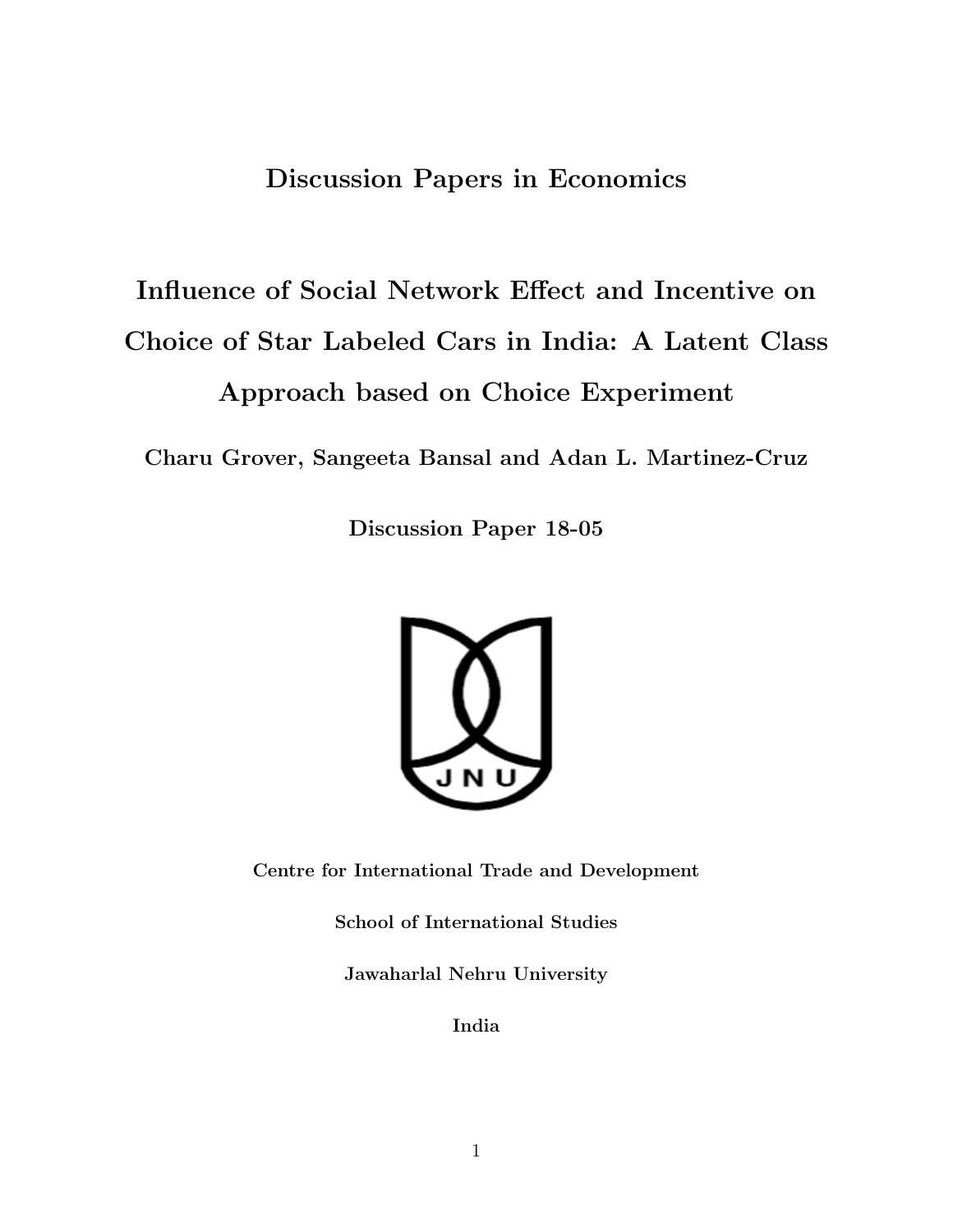## Discussion Papers in Economics

# Influence of Social Network Effect and Incentive on Choice of Star Labeled Cars in India: A Latent Class Approach based on Choice Experiment

Charu Grover, Sangeeta Bansal and Adan L. Martinez-Cruz

Discussion Paper 18-05



Centre for International Trade and Development

School of International Studies

Jawaharlal Nehru University

India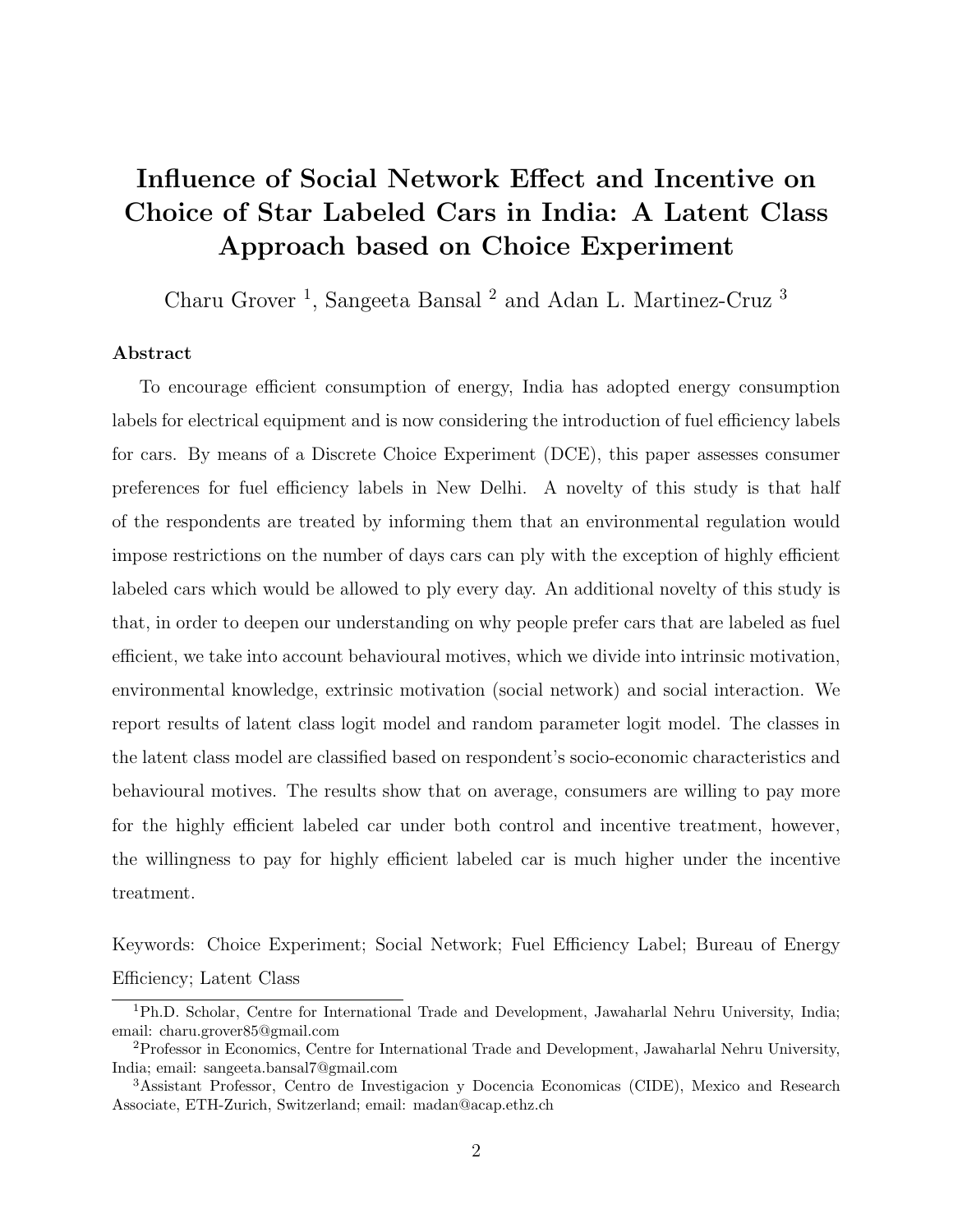## Influence of Social Network Effect and Incentive on Choice of Star Labeled Cars in India: A Latent Class Approach based on Choice Experiment

Charu Grover<sup>1</sup>, Sangeeta Bansal<sup>2</sup> and Adan L. Martinez-Cruz<sup>3</sup>

#### Abstract

To encourage efficient consumption of energy, India has adopted energy consumption labels for electrical equipment and is now considering the introduction of fuel efficiency labels for cars. By means of a Discrete Choice Experiment (DCE), this paper assesses consumer preferences for fuel efficiency labels in New Delhi. A novelty of this study is that half of the respondents are treated by informing them that an environmental regulation would impose restrictions on the number of days cars can ply with the exception of highly efficient labeled cars which would be allowed to ply every day. An additional novelty of this study is that, in order to deepen our understanding on why people prefer cars that are labeled as fuel efficient, we take into account behavioural motives, which we divide into intrinsic motivation, environmental knowledge, extrinsic motivation (social network) and social interaction. We report results of latent class logit model and random parameter logit model. The classes in the latent class model are classified based on respondent's socio-economic characteristics and behavioural motives. The results show that on average, consumers are willing to pay more for the highly efficient labeled car under both control and incentive treatment, however, the willingness to pay for highly efficient labeled car is much higher under the incentive treatment.

Keywords: Choice Experiment; Social Network; Fuel Efficiency Label; Bureau of Energy Efficiency; Latent Class

<sup>1</sup>Ph.D. Scholar, Centre for International Trade and Development, Jawaharlal Nehru University, India; email: charu.grover85@gmail.com

<sup>2</sup>Professor in Economics, Centre for International Trade and Development, Jawaharlal Nehru University, India; email: sangeeta.bansal7@gmail.com

<sup>3</sup>Assistant Professor, Centro de Investigacion y Docencia Economicas (CIDE), Mexico and Research Associate, ETH-Zurich, Switzerland; email: madan@acap.ethz.ch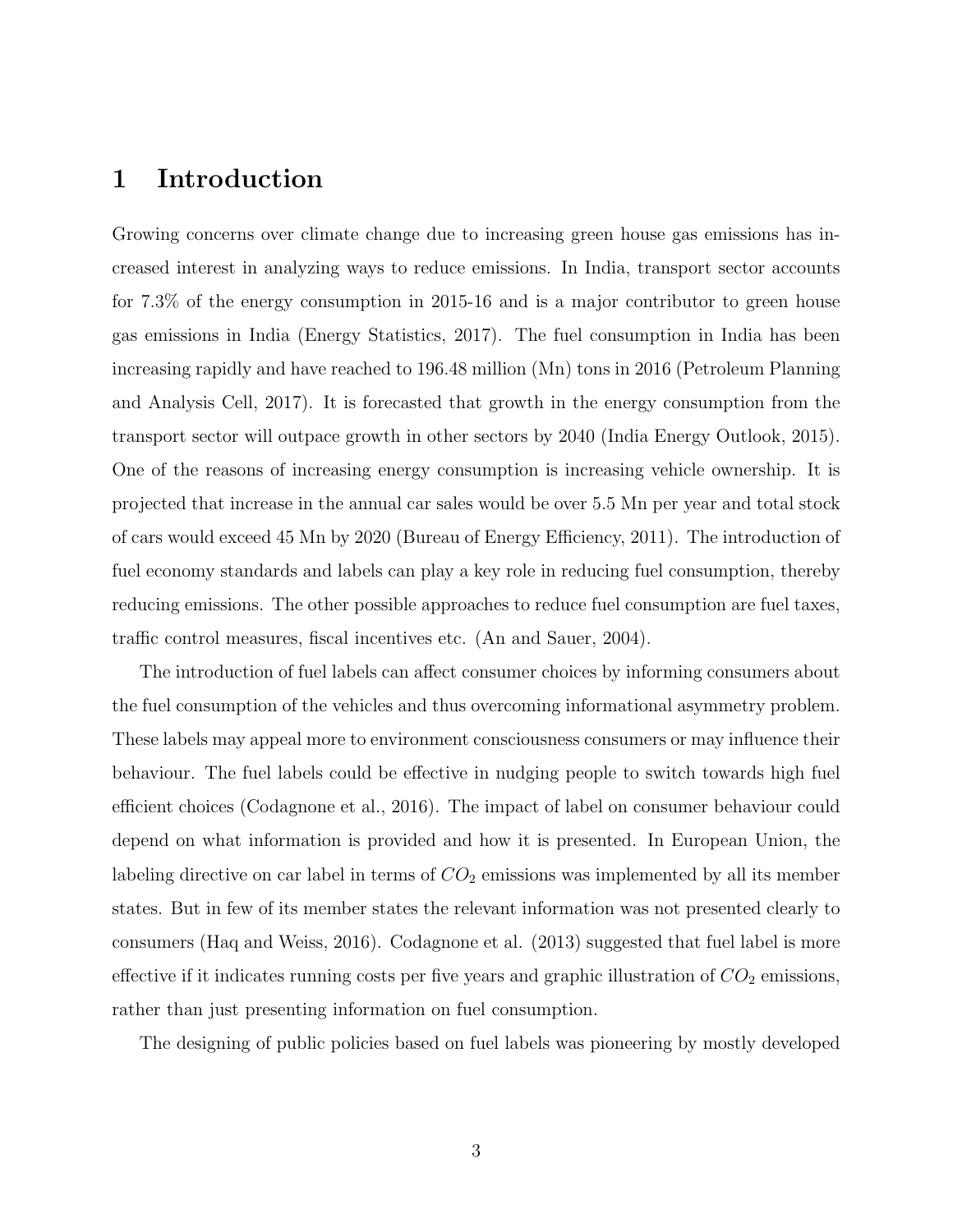## 1 Introduction

Growing concerns over climate change due to increasing green house gas emissions has increased interest in analyzing ways to reduce emissions. In India, transport sector accounts for 7.3% of the energy consumption in 2015-16 and is a major contributor to green house gas emissions in India (Energy Statistics, 2017). The fuel consumption in India has been increasing rapidly and have reached to 196.48 million (Mn) tons in 2016 (Petroleum Planning and Analysis Cell, 2017). It is forecasted that growth in the energy consumption from the transport sector will outpace growth in other sectors by 2040 (India Energy Outlook, 2015). One of the reasons of increasing energy consumption is increasing vehicle ownership. It is projected that increase in the annual car sales would be over 5.5 Mn per year and total stock of cars would exceed 45 Mn by 2020 (Bureau of Energy Efficiency, 2011). The introduction of fuel economy standards and labels can play a key role in reducing fuel consumption, thereby reducing emissions. The other possible approaches to reduce fuel consumption are fuel taxes, traffic control measures, fiscal incentives etc. (An and Sauer, 2004).

The introduction of fuel labels can affect consumer choices by informing consumers about the fuel consumption of the vehicles and thus overcoming informational asymmetry problem. These labels may appeal more to environment consciousness consumers or may influence their behaviour. The fuel labels could be effective in nudging people to switch towards high fuel efficient choices (Codagnone et al., 2016). The impact of label on consumer behaviour could depend on what information is provided and how it is presented. In European Union, the labeling directive on car label in terms of  $CO<sub>2</sub>$  emissions was implemented by all its member states. But in few of its member states the relevant information was not presented clearly to consumers (Haq and Weiss, 2016). Codagnone et al. (2013) suggested that fuel label is more effective if it indicates running costs per five years and graphic illustration of  $CO<sub>2</sub>$  emissions, rather than just presenting information on fuel consumption.

The designing of public policies based on fuel labels was pioneering by mostly developed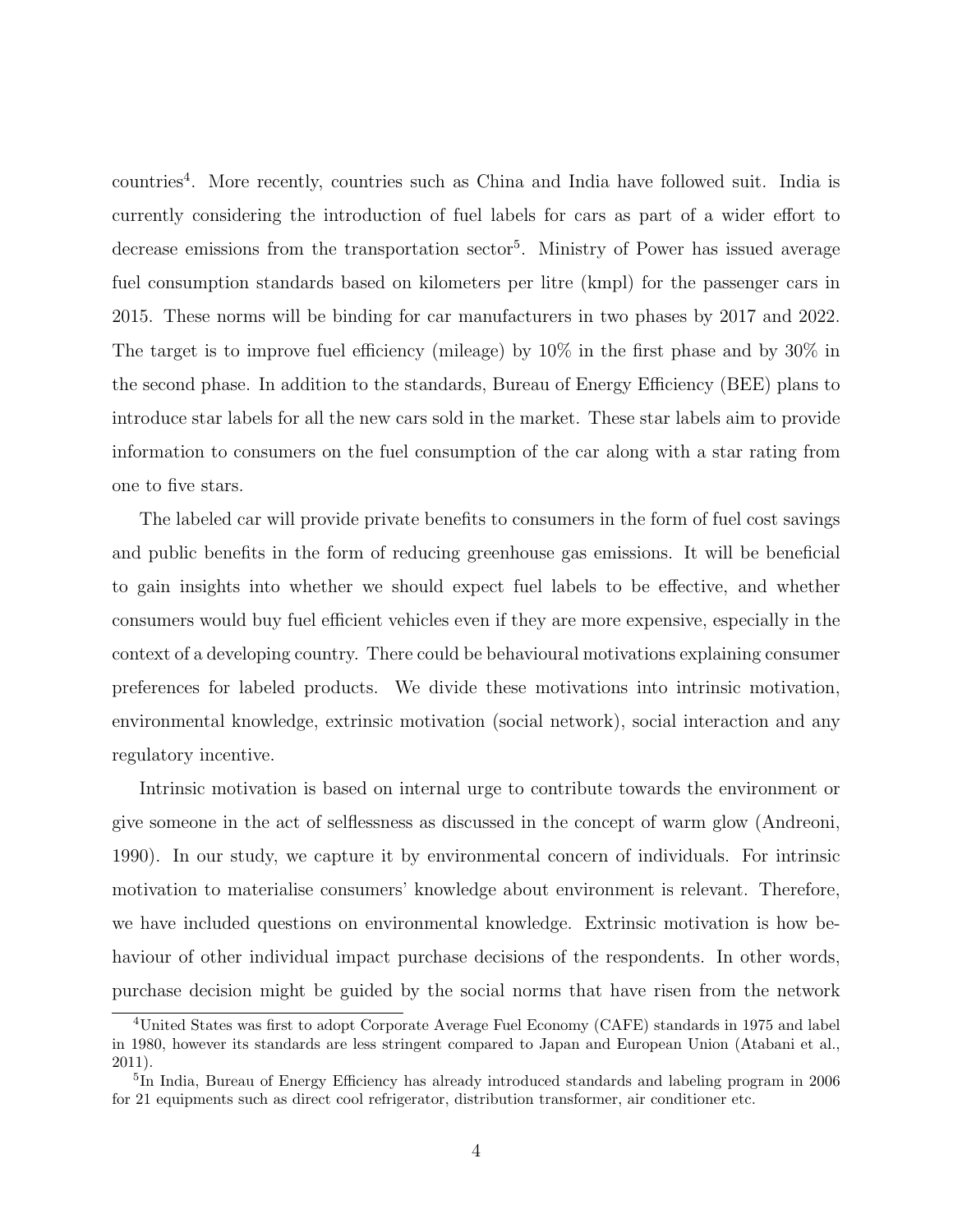countries<sup>4</sup> . More recently, countries such as China and India have followed suit. India is currently considering the introduction of fuel labels for cars as part of a wider effort to decrease emissions from the transportation sector<sup>5</sup>. Ministry of Power has issued average fuel consumption standards based on kilometers per litre (kmpl) for the passenger cars in 2015. These norms will be binding for car manufacturers in two phases by 2017 and 2022. The target is to improve fuel efficiency (mileage) by 10% in the first phase and by 30% in the second phase. In addition to the standards, Bureau of Energy Efficiency (BEE) plans to introduce star labels for all the new cars sold in the market. These star labels aim to provide information to consumers on the fuel consumption of the car along with a star rating from one to five stars.

The labeled car will provide private benefits to consumers in the form of fuel cost savings and public benefits in the form of reducing greenhouse gas emissions. It will be beneficial to gain insights into whether we should expect fuel labels to be effective, and whether consumers would buy fuel efficient vehicles even if they are more expensive, especially in the context of a developing country. There could be behavioural motivations explaining consumer preferences for labeled products. We divide these motivations into intrinsic motivation, environmental knowledge, extrinsic motivation (social network), social interaction and any regulatory incentive.

Intrinsic motivation is based on internal urge to contribute towards the environment or give someone in the act of selflessness as discussed in the concept of warm glow (Andreoni, 1990). In our study, we capture it by environmental concern of individuals. For intrinsic motivation to materialise consumers' knowledge about environment is relevant. Therefore, we have included questions on environmental knowledge. Extrinsic motivation is how behaviour of other individual impact purchase decisions of the respondents. In other words, purchase decision might be guided by the social norms that have risen from the network

<sup>4</sup>United States was first to adopt Corporate Average Fuel Economy (CAFE) standards in 1975 and label in 1980, however its standards are less stringent compared to Japan and European Union (Atabani et al., 2011).

<sup>&</sup>lt;sup>5</sup>In India, Bureau of Energy Efficiency has already introduced standards and labeling program in 2006 for 21 equipments such as direct cool refrigerator, distribution transformer, air conditioner etc.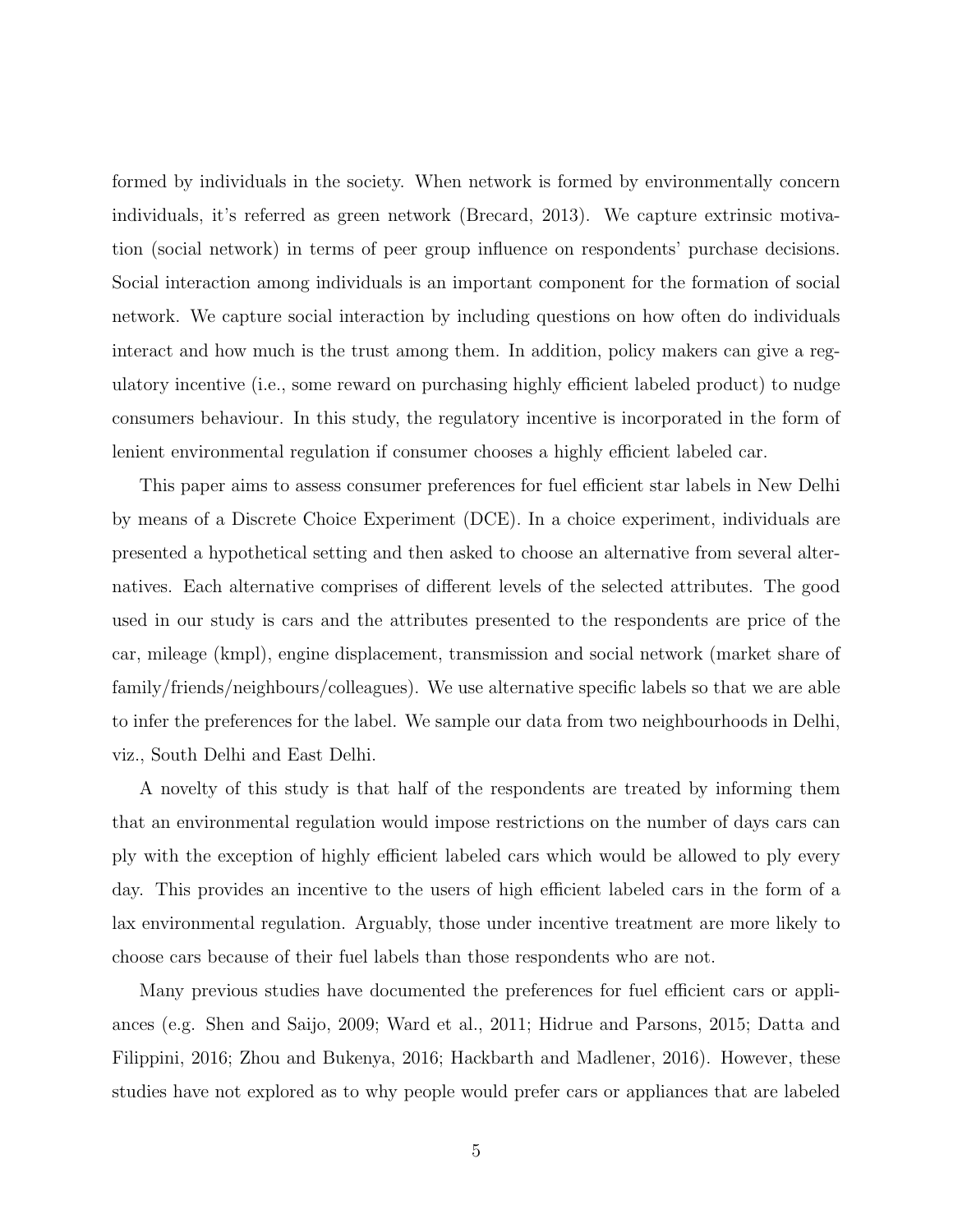formed by individuals in the society. When network is formed by environmentally concern individuals, it's referred as green network (Brecard, 2013). We capture extrinsic motivation (social network) in terms of peer group influence on respondents' purchase decisions. Social interaction among individuals is an important component for the formation of social network. We capture social interaction by including questions on how often do individuals interact and how much is the trust among them. In addition, policy makers can give a regulatory incentive (i.e., some reward on purchasing highly efficient labeled product) to nudge consumers behaviour. In this study, the regulatory incentive is incorporated in the form of lenient environmental regulation if consumer chooses a highly efficient labeled car.

This paper aims to assess consumer preferences for fuel efficient star labels in New Delhi by means of a Discrete Choice Experiment (DCE). In a choice experiment, individuals are presented a hypothetical setting and then asked to choose an alternative from several alternatives. Each alternative comprises of different levels of the selected attributes. The good used in our study is cars and the attributes presented to the respondents are price of the car, mileage (kmpl), engine displacement, transmission and social network (market share of family/friends/neighbours/colleagues). We use alternative specific labels so that we are able to infer the preferences for the label. We sample our data from two neighbourhoods in Delhi, viz., South Delhi and East Delhi.

A novelty of this study is that half of the respondents are treated by informing them that an environmental regulation would impose restrictions on the number of days cars can ply with the exception of highly efficient labeled cars which would be allowed to ply every day. This provides an incentive to the users of high efficient labeled cars in the form of a lax environmental regulation. Arguably, those under incentive treatment are more likely to choose cars because of their fuel labels than those respondents who are not.

Many previous studies have documented the preferences for fuel efficient cars or appliances (e.g. Shen and Saijo, 2009; Ward et al., 2011; Hidrue and Parsons, 2015; Datta and Filippini, 2016; Zhou and Bukenya, 2016; Hackbarth and Madlener, 2016). However, these studies have not explored as to why people would prefer cars or appliances that are labeled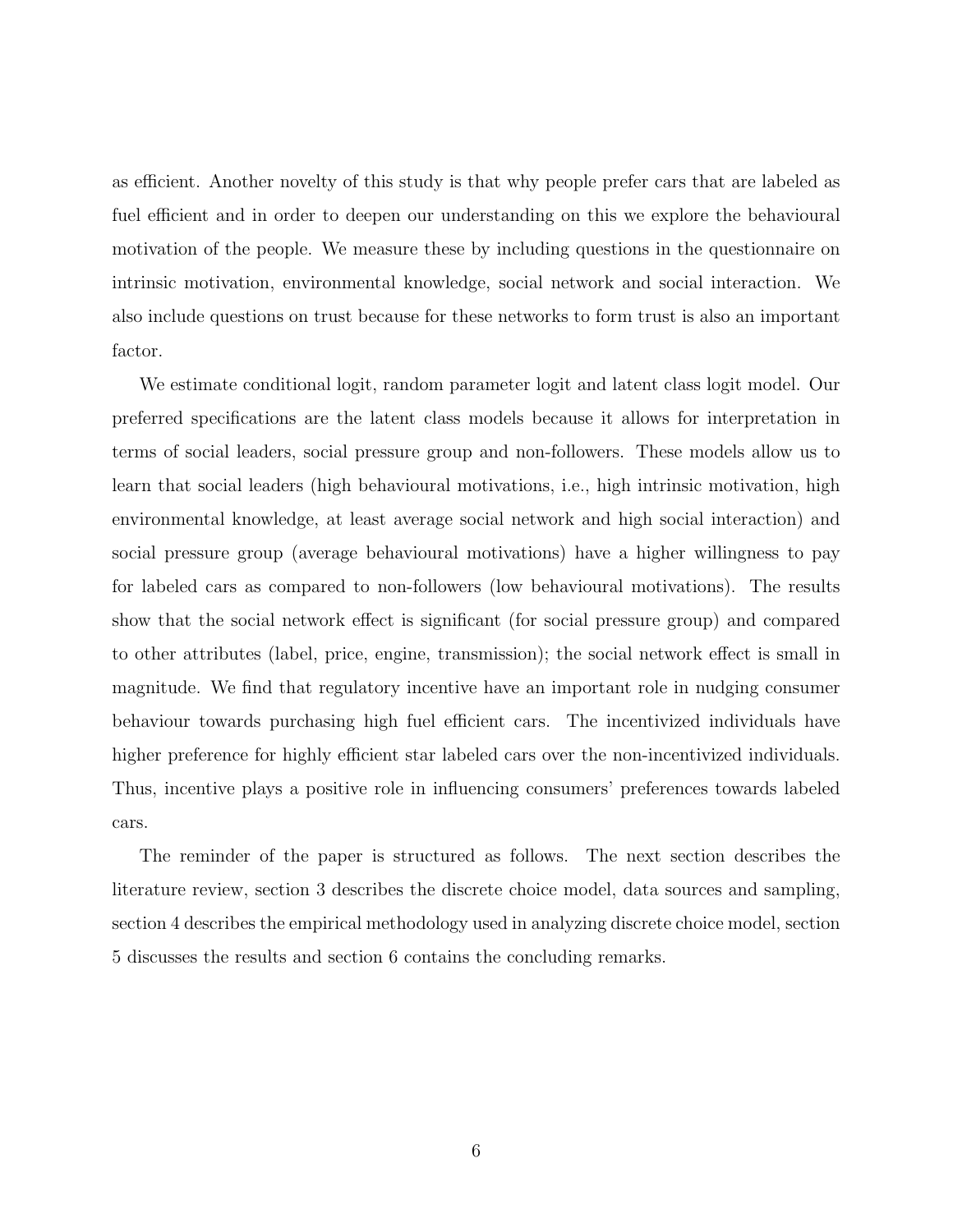as efficient. Another novelty of this study is that why people prefer cars that are labeled as fuel efficient and in order to deepen our understanding on this we explore the behavioural motivation of the people. We measure these by including questions in the questionnaire on intrinsic motivation, environmental knowledge, social network and social interaction. We also include questions on trust because for these networks to form trust is also an important factor.

We estimate conditional logit, random parameter logit and latent class logit model. Our preferred specifications are the latent class models because it allows for interpretation in terms of social leaders, social pressure group and non-followers. These models allow us to learn that social leaders (high behavioural motivations, i.e., high intrinsic motivation, high environmental knowledge, at least average social network and high social interaction) and social pressure group (average behavioural motivations) have a higher willingness to pay for labeled cars as compared to non-followers (low behavioural motivations). The results show that the social network effect is significant (for social pressure group) and compared to other attributes (label, price, engine, transmission); the social network effect is small in magnitude. We find that regulatory incentive have an important role in nudging consumer behaviour towards purchasing high fuel efficient cars. The incentivized individuals have higher preference for highly efficient star labeled cars over the non-incentivized individuals. Thus, incentive plays a positive role in influencing consumers' preferences towards labeled cars.

The reminder of the paper is structured as follows. The next section describes the literature review, section 3 describes the discrete choice model, data sources and sampling, section 4 describes the empirical methodology used in analyzing discrete choice model, section 5 discusses the results and section 6 contains the concluding remarks.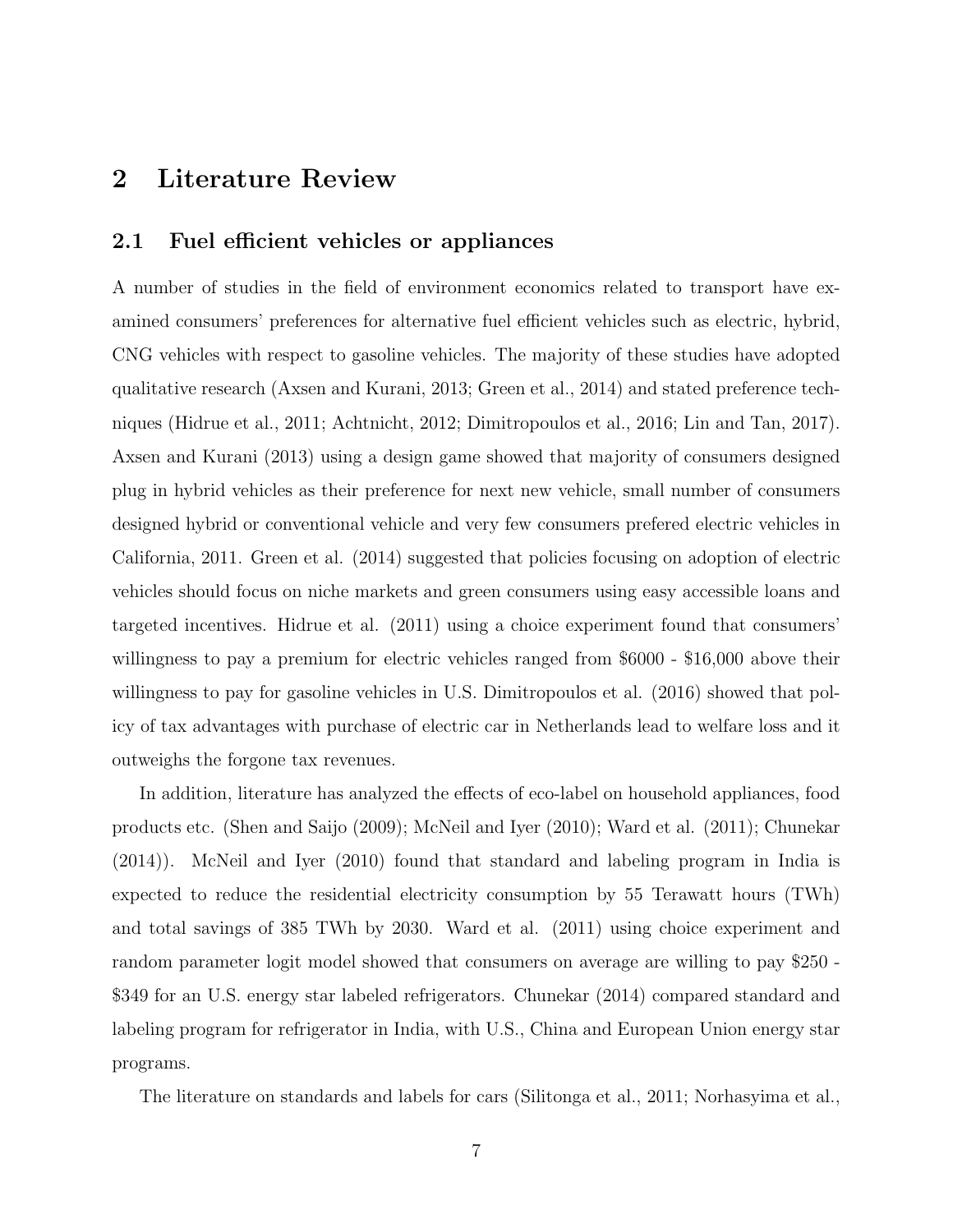## 2 Literature Review

#### 2.1 Fuel efficient vehicles or appliances

A number of studies in the field of environment economics related to transport have examined consumers' preferences for alternative fuel efficient vehicles such as electric, hybrid, CNG vehicles with respect to gasoline vehicles. The majority of these studies have adopted qualitative research (Axsen and Kurani, 2013; Green et al., 2014) and stated preference techniques (Hidrue et al., 2011; Achtnicht, 2012; Dimitropoulos et al., 2016; Lin and Tan, 2017). Axsen and Kurani (2013) using a design game showed that majority of consumers designed plug in hybrid vehicles as their preference for next new vehicle, small number of consumers designed hybrid or conventional vehicle and very few consumers prefered electric vehicles in California, 2011. Green et al. (2014) suggested that policies focusing on adoption of electric vehicles should focus on niche markets and green consumers using easy accessible loans and targeted incentives. Hidrue et al. (2011) using a choice experiment found that consumers' willingness to pay a premium for electric vehicles ranged from \$6000 - \$16,000 above their willingness to pay for gasoline vehicles in U.S. Dimitropoulos et al. (2016) showed that policy of tax advantages with purchase of electric car in Netherlands lead to welfare loss and it outweighs the forgone tax revenues.

In addition, literature has analyzed the effects of eco-label on household appliances, food products etc. (Shen and Saijo (2009); McNeil and Iyer (2010); Ward et al. (2011); Chunekar (2014)). McNeil and Iyer (2010) found that standard and labeling program in India is expected to reduce the residential electricity consumption by 55 Terawatt hours (TWh) and total savings of 385 TWh by 2030. Ward et al. (2011) using choice experiment and random parameter logit model showed that consumers on average are willing to pay \$250 - \$349 for an U.S. energy star labeled refrigerators. Chunekar (2014) compared standard and labeling program for refrigerator in India, with U.S., China and European Union energy star programs.

The literature on standards and labels for cars (Silitonga et al., 2011; Norhasyima et al.,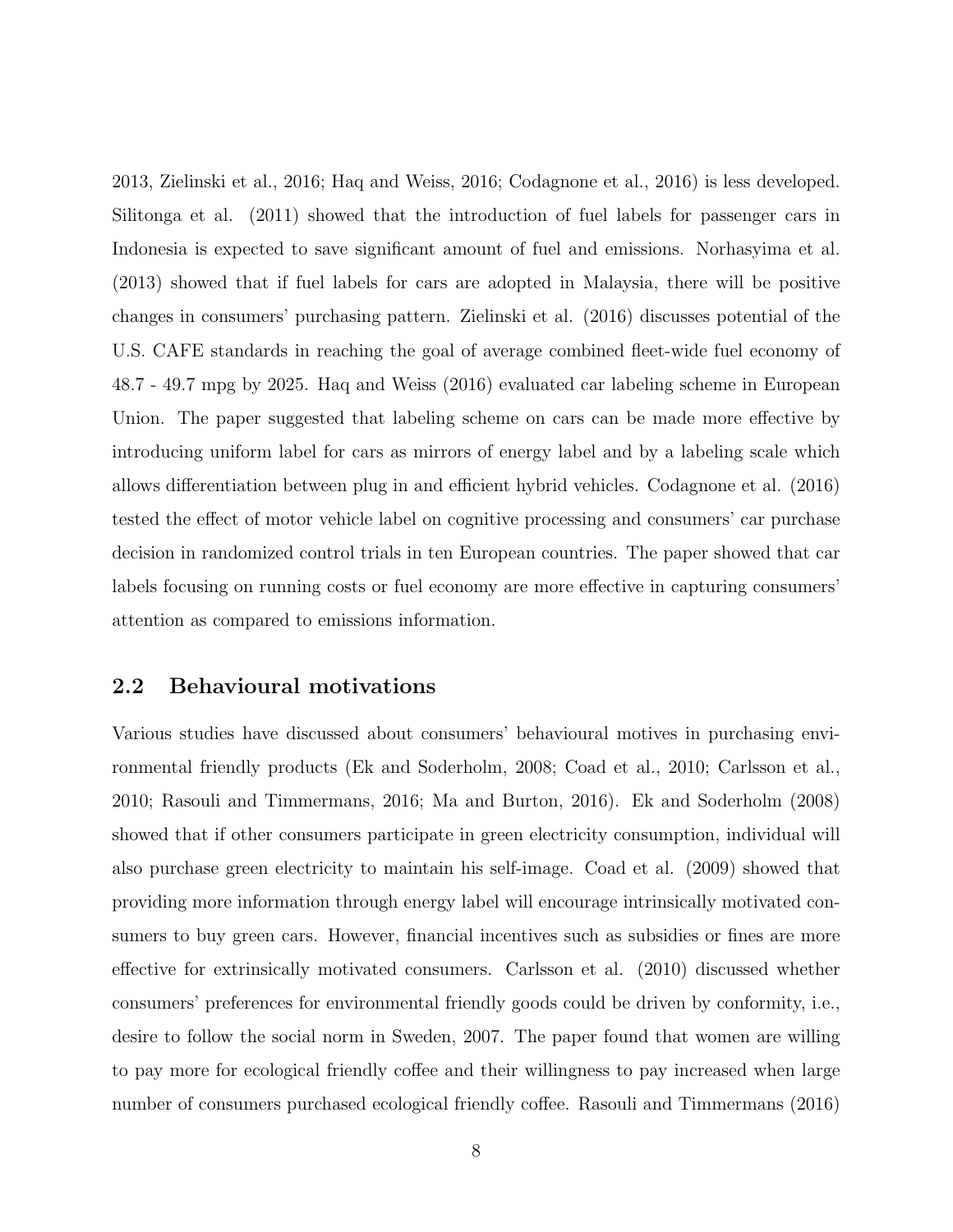2013, Zielinski et al., 2016; Haq and Weiss, 2016; Codagnone et al., 2016) is less developed. Silitonga et al. (2011) showed that the introduction of fuel labels for passenger cars in Indonesia is expected to save significant amount of fuel and emissions. Norhasyima et al. (2013) showed that if fuel labels for cars are adopted in Malaysia, there will be positive changes in consumers' purchasing pattern. Zielinski et al. (2016) discusses potential of the U.S. CAFE standards in reaching the goal of average combined fleet-wide fuel economy of 48.7 - 49.7 mpg by 2025. Haq and Weiss (2016) evaluated car labeling scheme in European Union. The paper suggested that labeling scheme on cars can be made more effective by introducing uniform label for cars as mirrors of energy label and by a labeling scale which allows differentiation between plug in and efficient hybrid vehicles. Codagnone et al. (2016) tested the effect of motor vehicle label on cognitive processing and consumers' car purchase decision in randomized control trials in ten European countries. The paper showed that car labels focusing on running costs or fuel economy are more effective in capturing consumers' attention as compared to emissions information.

#### 2.2 Behavioural motivations

Various studies have discussed about consumers' behavioural motives in purchasing environmental friendly products (Ek and Soderholm, 2008; Coad et al., 2010; Carlsson et al., 2010; Rasouli and Timmermans, 2016; Ma and Burton, 2016). Ek and Soderholm (2008) showed that if other consumers participate in green electricity consumption, individual will also purchase green electricity to maintain his self-image. Coad et al. (2009) showed that providing more information through energy label will encourage intrinsically motivated consumers to buy green cars. However, financial incentives such as subsidies or fines are more effective for extrinsically motivated consumers. Carlsson et al. (2010) discussed whether consumers' preferences for environmental friendly goods could be driven by conformity, i.e., desire to follow the social norm in Sweden, 2007. The paper found that women are willing to pay more for ecological friendly coffee and their willingness to pay increased when large number of consumers purchased ecological friendly coffee. Rasouli and Timmermans (2016)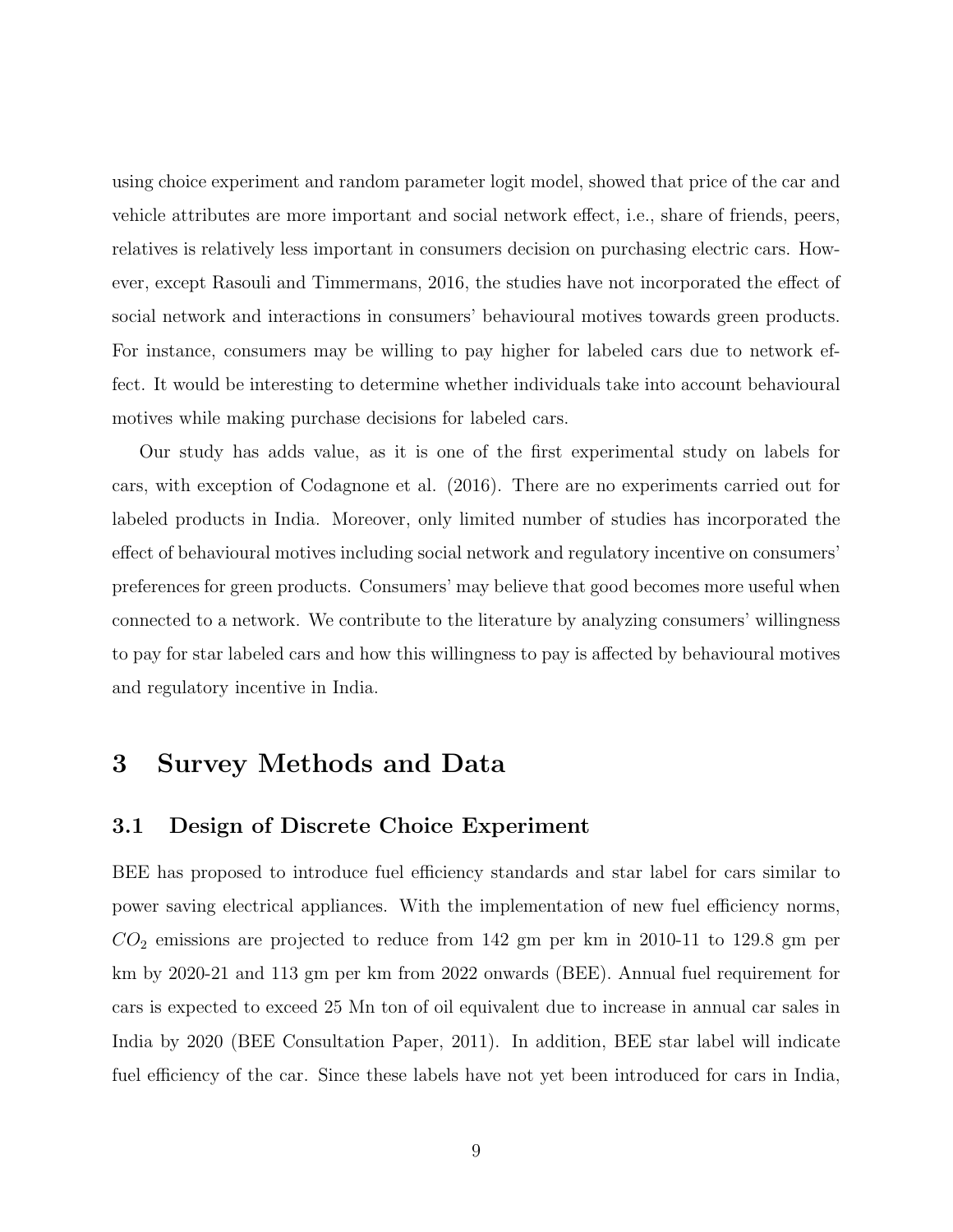using choice experiment and random parameter logit model, showed that price of the car and vehicle attributes are more important and social network effect, i.e., share of friends, peers, relatives is relatively less important in consumers decision on purchasing electric cars. However, except Rasouli and Timmermans, 2016, the studies have not incorporated the effect of social network and interactions in consumers' behavioural motives towards green products. For instance, consumers may be willing to pay higher for labeled cars due to network effect. It would be interesting to determine whether individuals take into account behavioural motives while making purchase decisions for labeled cars.

Our study has adds value, as it is one of the first experimental study on labels for cars, with exception of Codagnone et al. (2016). There are no experiments carried out for labeled products in India. Moreover, only limited number of studies has incorporated the effect of behavioural motives including social network and regulatory incentive on consumers' preferences for green products. Consumers' may believe that good becomes more useful when connected to a network. We contribute to the literature by analyzing consumers' willingness to pay for star labeled cars and how this willingness to pay is affected by behavioural motives and regulatory incentive in India.

## 3 Survey Methods and Data

#### 3.1 Design of Discrete Choice Experiment

BEE has proposed to introduce fuel efficiency standards and star label for cars similar to power saving electrical appliances. With the implementation of new fuel efficiency norms,  $CO<sub>2</sub>$  emissions are projected to reduce from 142 gm per km in 2010-11 to 129.8 gm per km by 2020-21 and 113 gm per km from 2022 onwards (BEE). Annual fuel requirement for cars is expected to exceed 25 Mn ton of oil equivalent due to increase in annual car sales in India by 2020 (BEE Consultation Paper, 2011). In addition, BEE star label will indicate fuel efficiency of the car. Since these labels have not yet been introduced for cars in India,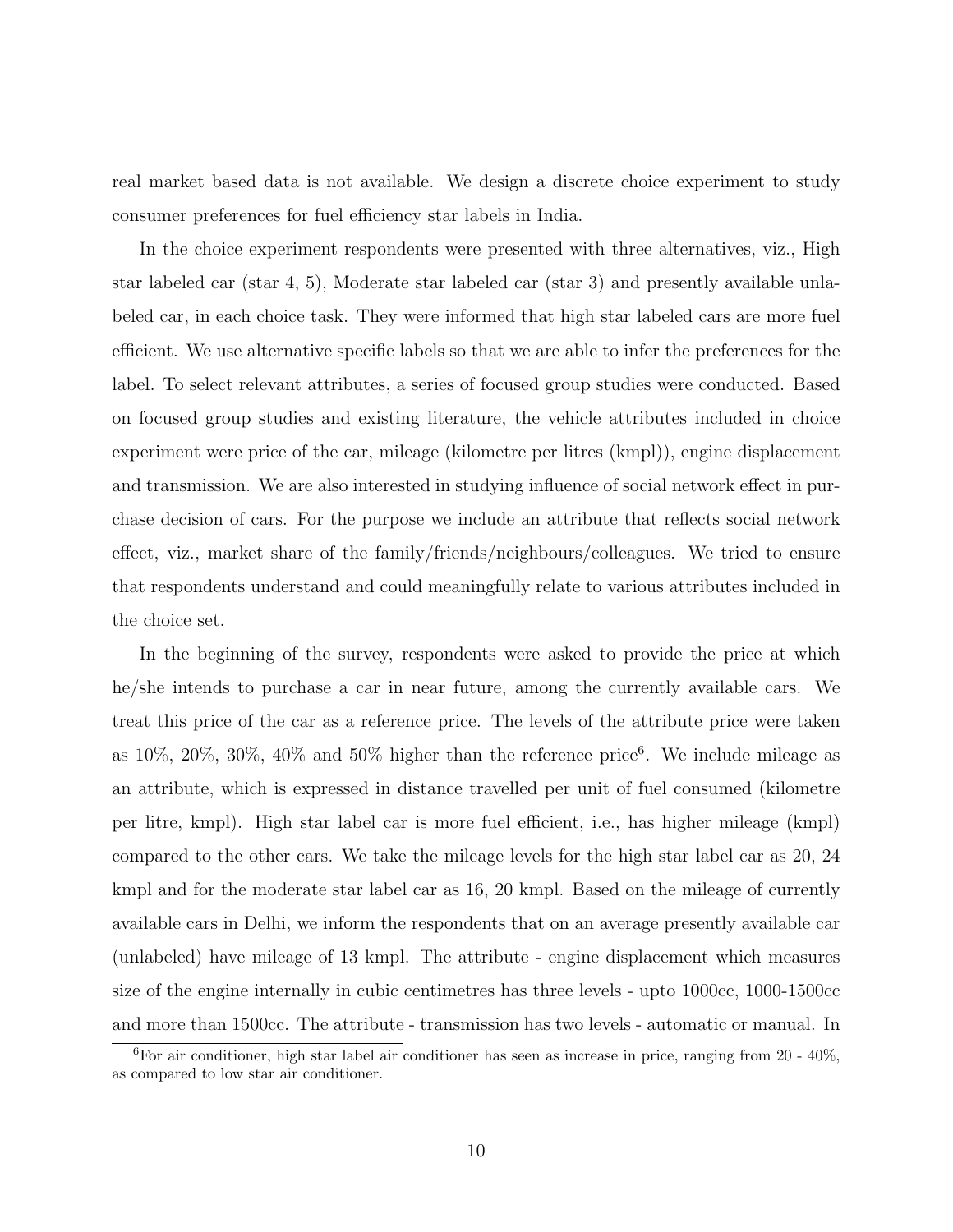real market based data is not available. We design a discrete choice experiment to study consumer preferences for fuel efficiency star labels in India.

In the choice experiment respondents were presented with three alternatives, viz., High star labeled car (star 4, 5), Moderate star labeled car (star 3) and presently available unlabeled car, in each choice task. They were informed that high star labeled cars are more fuel efficient. We use alternative specific labels so that we are able to infer the preferences for the label. To select relevant attributes, a series of focused group studies were conducted. Based on focused group studies and existing literature, the vehicle attributes included in choice experiment were price of the car, mileage (kilometre per litres (kmpl)), engine displacement and transmission. We are also interested in studying influence of social network effect in purchase decision of cars. For the purpose we include an attribute that reflects social network effect, viz., market share of the family/friends/neighbours/colleagues. We tried to ensure that respondents understand and could meaningfully relate to various attributes included in the choice set.

In the beginning of the survey, respondents were asked to provide the price at which he/she intends to purchase a car in near future, among the currently available cars. We treat this price of the car as a reference price. The levels of the attribute price were taken as  $10\%, 20\%, 30\%, 40\%$  and  $50\%$  higher than the reference price<sup>6</sup>. We include mileage as an attribute, which is expressed in distance travelled per unit of fuel consumed (kilometre per litre, kmpl). High star label car is more fuel efficient, i.e., has higher mileage (kmpl) compared to the other cars. We take the mileage levels for the high star label car as 20, 24 kmpl and for the moderate star label car as 16, 20 kmpl. Based on the mileage of currently available cars in Delhi, we inform the respondents that on an average presently available car (unlabeled) have mileage of 13 kmpl. The attribute - engine displacement which measures size of the engine internally in cubic centimetres has three levels - upto 1000cc, 1000-1500cc and more than 1500cc. The attribute - transmission has two levels - automatic or manual. In

 ${}^{6}$ For air conditioner, high star label air conditioner has seen as increase in price, ranging from 20 - 40%, as compared to low star air conditioner.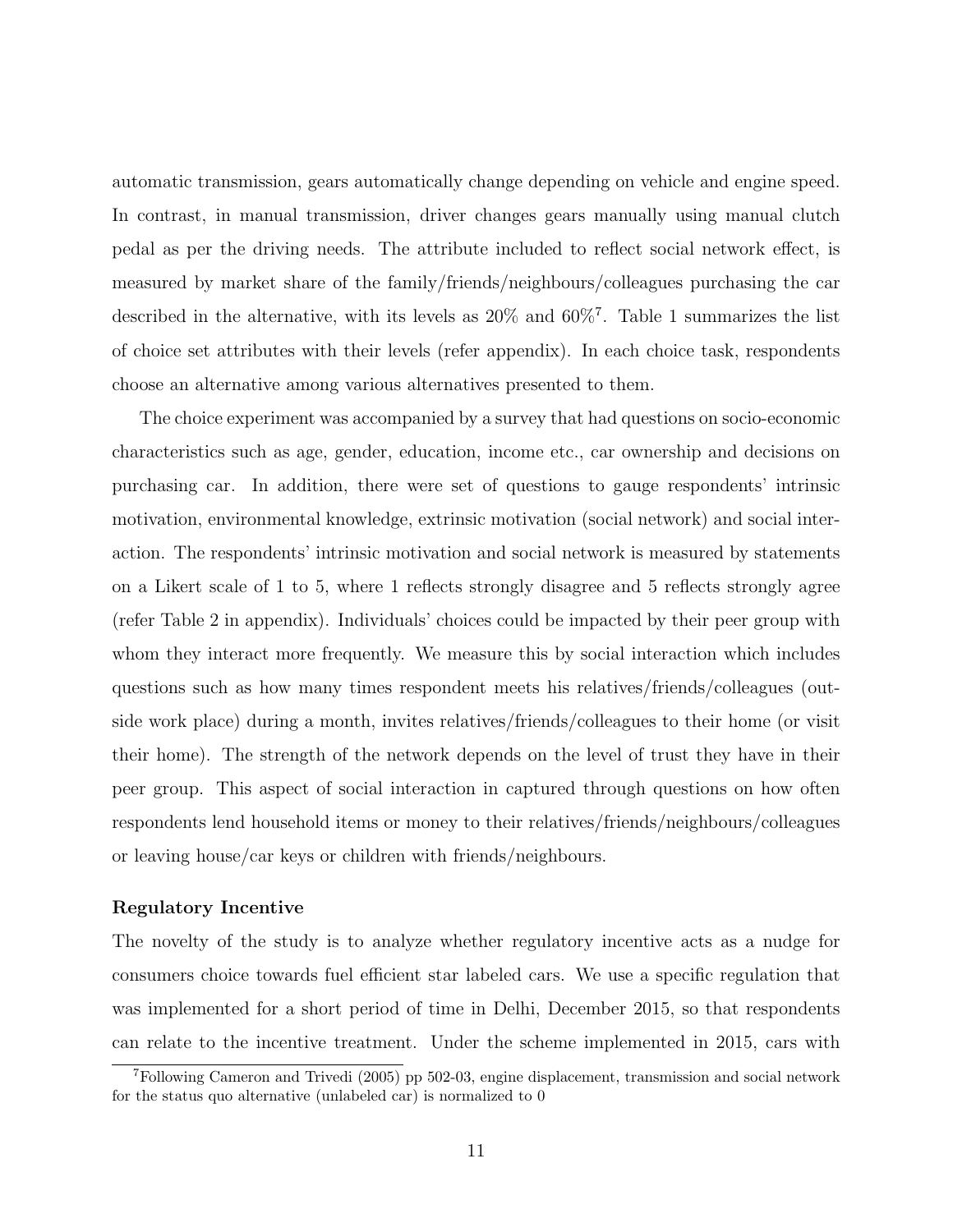automatic transmission, gears automatically change depending on vehicle and engine speed. In contrast, in manual transmission, driver changes gears manually using manual clutch pedal as per the driving needs. The attribute included to reflect social network effect, is measured by market share of the family/friends/neighbours/colleagues purchasing the car described in the alternative, with its levels as 20% and 60%<sup>7</sup> . Table 1 summarizes the list of choice set attributes with their levels (refer appendix). In each choice task, respondents choose an alternative among various alternatives presented to them.

The choice experiment was accompanied by a survey that had questions on socio-economic characteristics such as age, gender, education, income etc., car ownership and decisions on purchasing car. In addition, there were set of questions to gauge respondents' intrinsic motivation, environmental knowledge, extrinsic motivation (social network) and social interaction. The respondents' intrinsic motivation and social network is measured by statements on a Likert scale of 1 to 5, where 1 reflects strongly disagree and 5 reflects strongly agree (refer Table 2 in appendix). Individuals' choices could be impacted by their peer group with whom they interact more frequently. We measure this by social interaction which includes questions such as how many times respondent meets his relatives/friends/colleagues (outside work place) during a month, invites relatives/friends/colleagues to their home (or visit their home). The strength of the network depends on the level of trust they have in their peer group. This aspect of social interaction in captured through questions on how often respondents lend household items or money to their relatives/friends/neighbours/colleagues or leaving house/car keys or children with friends/neighbours.

#### Regulatory Incentive

The novelty of the study is to analyze whether regulatory incentive acts as a nudge for consumers choice towards fuel efficient star labeled cars. We use a specific regulation that was implemented for a short period of time in Delhi, December 2015, so that respondents can relate to the incentive treatment. Under the scheme implemented in 2015, cars with

<sup>7</sup>Following Cameron and Trivedi (2005) pp 502-03, engine displacement, transmission and social network for the status quo alternative (unlabeled car) is normalized to 0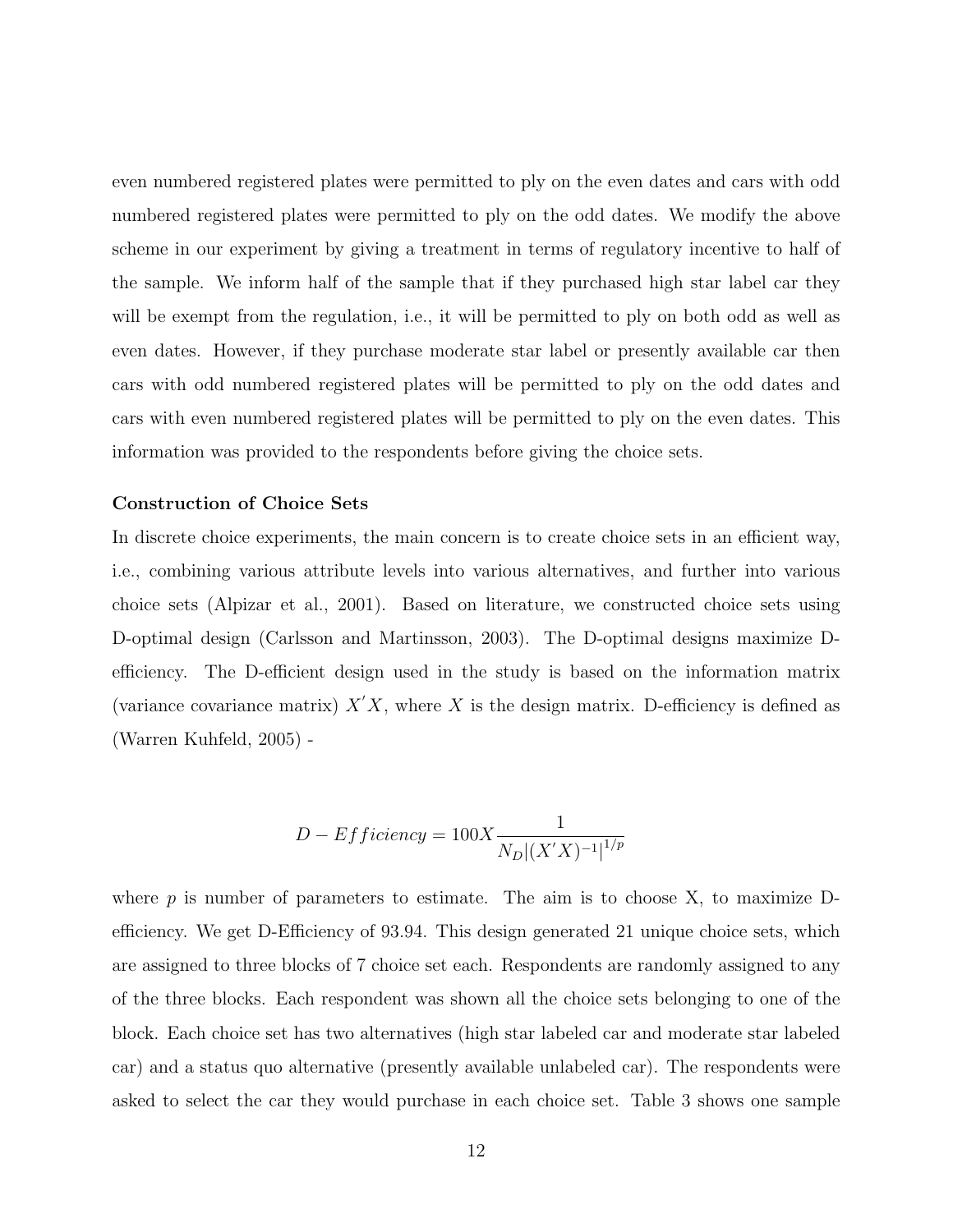even numbered registered plates were permitted to ply on the even dates and cars with odd numbered registered plates were permitted to ply on the odd dates. We modify the above scheme in our experiment by giving a treatment in terms of regulatory incentive to half of the sample. We inform half of the sample that if they purchased high star label car they will be exempt from the regulation, i.e., it will be permitted to ply on both odd as well as even dates. However, if they purchase moderate star label or presently available car then cars with odd numbered registered plates will be permitted to ply on the odd dates and cars with even numbered registered plates will be permitted to ply on the even dates. This information was provided to the respondents before giving the choice sets.

#### Construction of Choice Sets

In discrete choice experiments, the main concern is to create choice sets in an efficient way, i.e., combining various attribute levels into various alternatives, and further into various choice sets (Alpizar et al., 2001). Based on literature, we constructed choice sets using D-optimal design (Carlsson and Martinsson, 2003). The D-optimal designs maximize Defficiency. The D-efficient design used in the study is based on the information matrix (variance covariance matrix)  $X'X$ , where X is the design matrix. D-efficiency is defined as (Warren Kuhfeld, 2005) -

$$
D - Efficiency = 100X \frac{1}{N_D |(X'X)^{-1}|^{1/p}}
$$

where  $p$  is number of parameters to estimate. The aim is to choose  $X$ , to maximize Defficiency. We get D-Efficiency of 93.94. This design generated 21 unique choice sets, which are assigned to three blocks of 7 choice set each. Respondents are randomly assigned to any of the three blocks. Each respondent was shown all the choice sets belonging to one of the block. Each choice set has two alternatives (high star labeled car and moderate star labeled car) and a status quo alternative (presently available unlabeled car). The respondents were asked to select the car they would purchase in each choice set. Table 3 shows one sample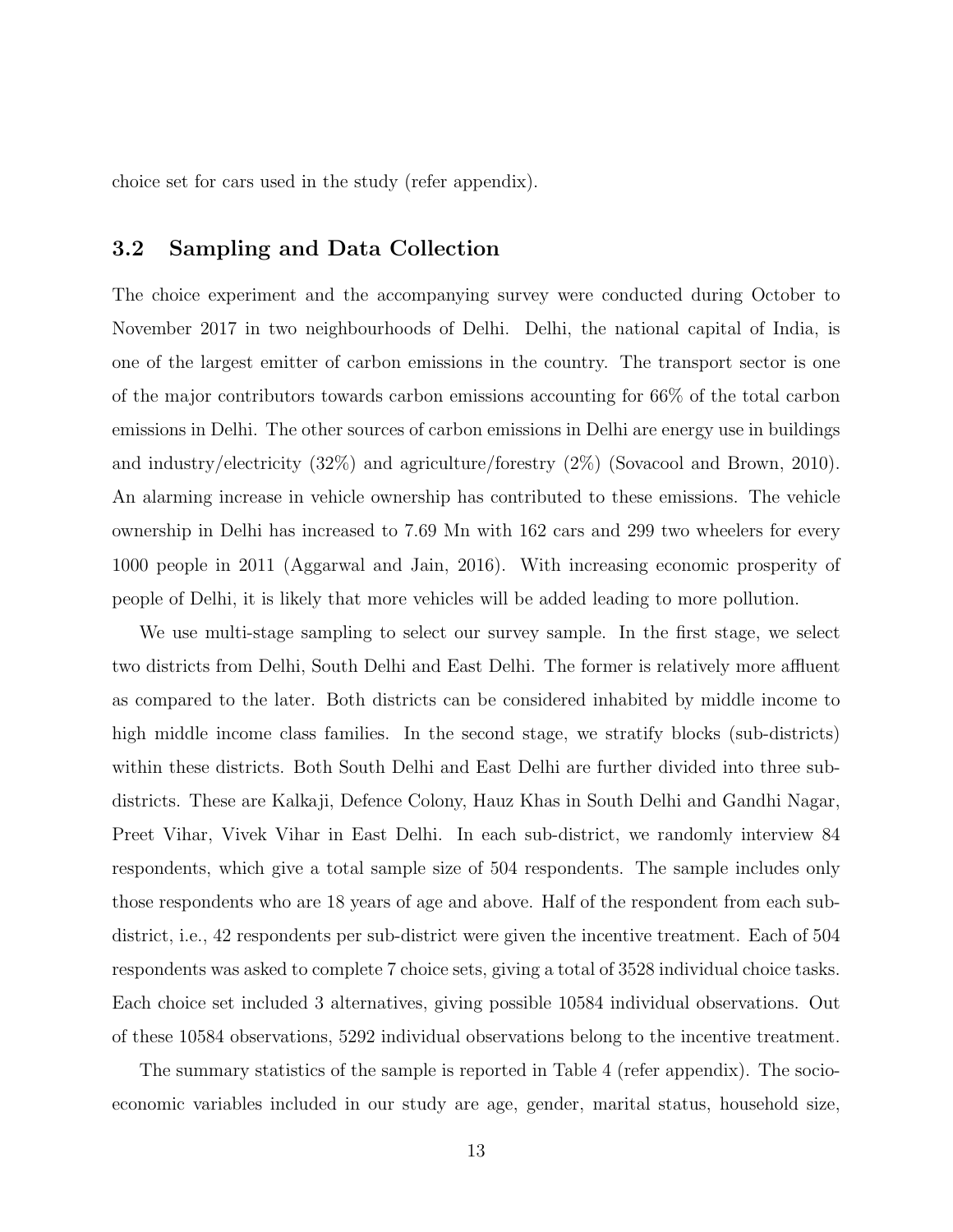choice set for cars used in the study (refer appendix).

#### 3.2 Sampling and Data Collection

The choice experiment and the accompanying survey were conducted during October to November 2017 in two neighbourhoods of Delhi. Delhi, the national capital of India, is one of the largest emitter of carbon emissions in the country. The transport sector is one of the major contributors towards carbon emissions accounting for 66% of the total carbon emissions in Delhi. The other sources of carbon emissions in Delhi are energy use in buildings and industry/electricity (32%) and agriculture/forestry (2%) (Sovacool and Brown, 2010). An alarming increase in vehicle ownership has contributed to these emissions. The vehicle ownership in Delhi has increased to 7.69 Mn with 162 cars and 299 two wheelers for every 1000 people in 2011 (Aggarwal and Jain, 2016). With increasing economic prosperity of people of Delhi, it is likely that more vehicles will be added leading to more pollution.

We use multi-stage sampling to select our survey sample. In the first stage, we select two districts from Delhi, South Delhi and East Delhi. The former is relatively more affluent as compared to the later. Both districts can be considered inhabited by middle income to high middle income class families. In the second stage, we stratify blocks (sub-districts) within these districts. Both South Delhi and East Delhi are further divided into three subdistricts. These are Kalkaji, Defence Colony, Hauz Khas in South Delhi and Gandhi Nagar, Preet Vihar, Vivek Vihar in East Delhi. In each sub-district, we randomly interview 84 respondents, which give a total sample size of 504 respondents. The sample includes only those respondents who are 18 years of age and above. Half of the respondent from each subdistrict, i.e., 42 respondents per sub-district were given the incentive treatment. Each of 504 respondents was asked to complete 7 choice sets, giving a total of 3528 individual choice tasks. Each choice set included 3 alternatives, giving possible 10584 individual observations. Out of these 10584 observations, 5292 individual observations belong to the incentive treatment.

The summary statistics of the sample is reported in Table 4 (refer appendix). The socioeconomic variables included in our study are age, gender, marital status, household size,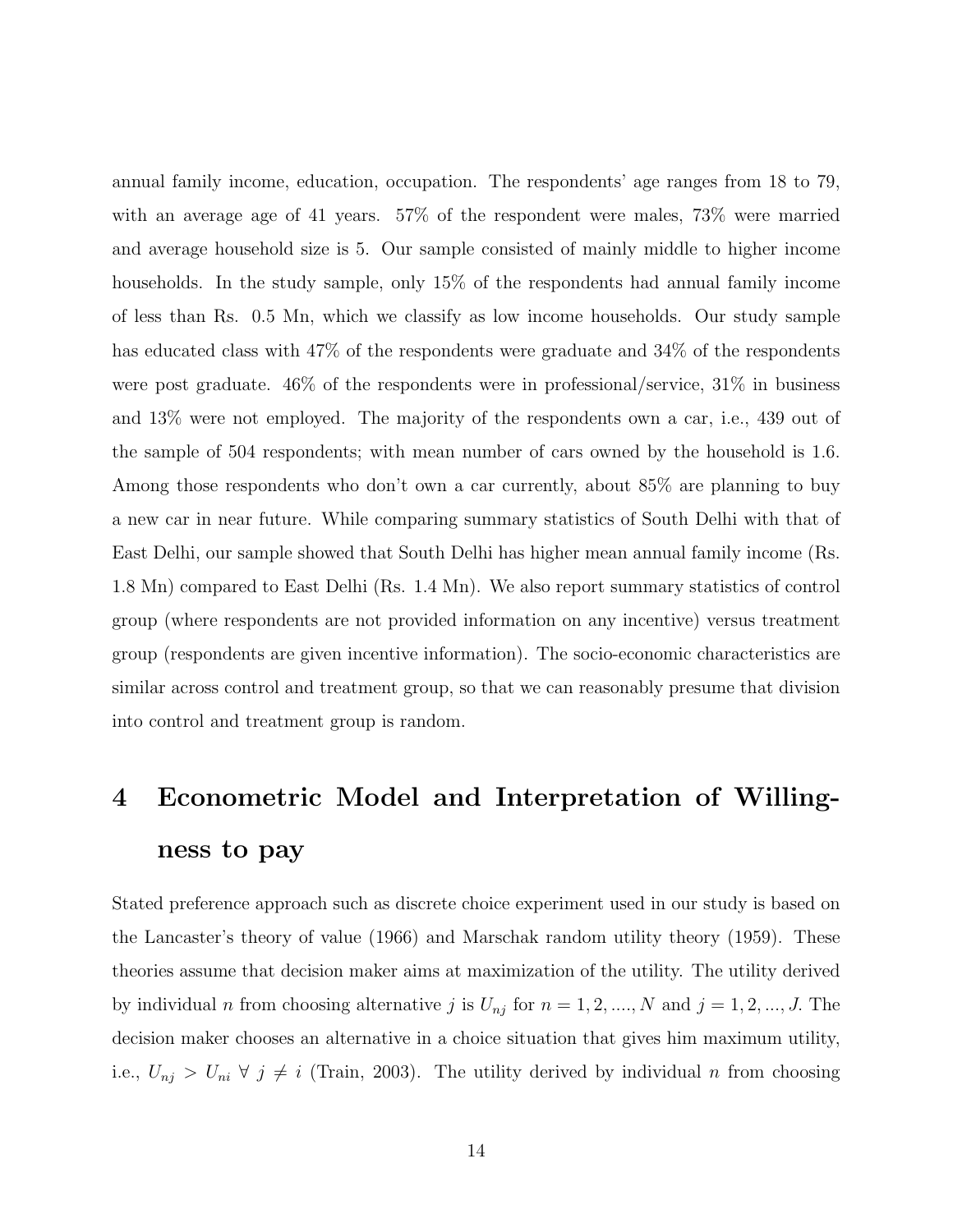annual family income, education, occupation. The respondents' age ranges from 18 to 79, with an average age of 41 years. 57% of the respondent were males, 73% were married and average household size is 5. Our sample consisted of mainly middle to higher income households. In the study sample, only 15% of the respondents had annual family income of less than Rs. 0.5 Mn, which we classify as low income households. Our study sample has educated class with  $47\%$  of the respondents were graduate and  $34\%$  of the respondents were post graduate. 46% of the respondents were in professional/service, 31% in business and 13% were not employed. The majority of the respondents own a car, i.e., 439 out of the sample of 504 respondents; with mean number of cars owned by the household is 1.6. Among those respondents who don't own a car currently, about 85% are planning to buy a new car in near future. While comparing summary statistics of South Delhi with that of East Delhi, our sample showed that South Delhi has higher mean annual family income (Rs. 1.8 Mn) compared to East Delhi (Rs. 1.4 Mn). We also report summary statistics of control group (where respondents are not provided information on any incentive) versus treatment group (respondents are given incentive information). The socio-economic characteristics are similar across control and treatment group, so that we can reasonably presume that division into control and treatment group is random.

# 4 Econometric Model and Interpretation of Willingness to pay

Stated preference approach such as discrete choice experiment used in our study is based on the Lancaster's theory of value (1966) and Marschak random utility theory (1959). These theories assume that decision maker aims at maximization of the utility. The utility derived by individual n from choosing alternative j is  $U_{nj}$  for  $n = 1, 2, ..., N$  and  $j = 1, 2, ..., J$ . The decision maker chooses an alternative in a choice situation that gives him maximum utility, i.e.,  $U_{nj} > U_{ni} \forall j \neq i$  (Train, 2003). The utility derived by individual n from choosing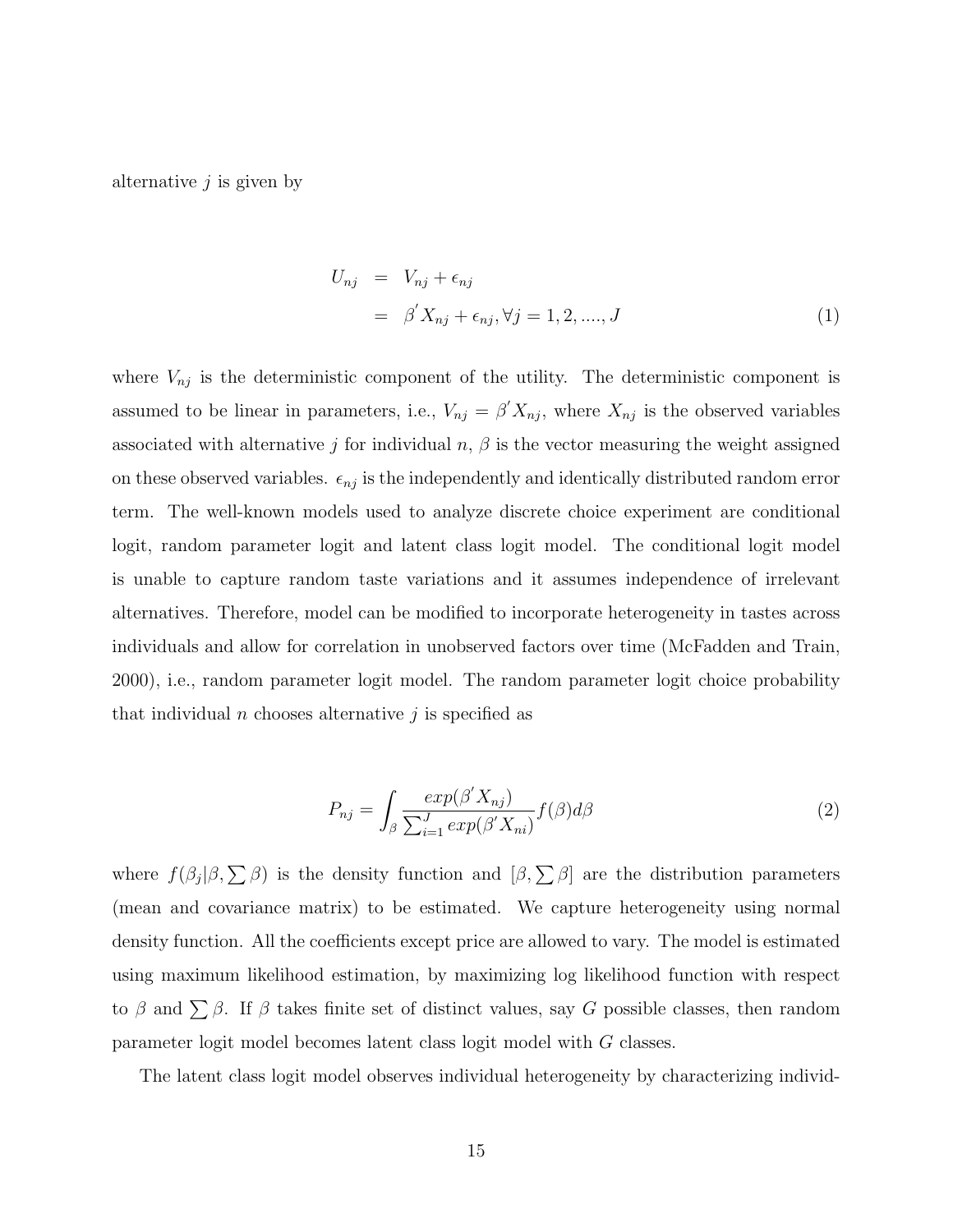alternative  $j$  is given by

$$
U_{nj} = V_{nj} + \epsilon_{nj}
$$
  
=  $\beta' X_{nj} + \epsilon_{nj}, \forall j = 1, 2, ..., J$  (1)

where  $V_{nj}$  is the deterministic component of the utility. The deterministic component is assumed to be linear in parameters, i.e.,  $V_{nj} = \beta' X_{nj}$ , where  $X_{nj}$  is the observed variables associated with alternative j for individual  $n, \beta$  is the vector measuring the weight assigned on these observed variables.  $\epsilon_{nj}$  is the independently and identically distributed random error term. The well-known models used to analyze discrete choice experiment are conditional logit, random parameter logit and latent class logit model. The conditional logit model is unable to capture random taste variations and it assumes independence of irrelevant alternatives. Therefore, model can be modified to incorporate heterogeneity in tastes across individuals and allow for correlation in unobserved factors over time (McFadden and Train, 2000), i.e., random parameter logit model. The random parameter logit choice probability that individual *n* chooses alternative *j* is specified as

$$
P_{nj} = \int_{\beta} \frac{\exp(\beta' X_{nj})}{\sum_{i=1}^{J} \exp(\beta' X_{ni})} f(\beta) d\beta \tag{2}
$$

where  $f(\beta_j|\beta,\sum \beta)$  is the density function and  $[\beta,\sum \beta]$  are the distribution parameters (mean and covariance matrix) to be estimated. We capture heterogeneity using normal density function. All the coefficients except price are allowed to vary. The model is estimated using maximum likelihood estimation, by maximizing log likelihood function with respect to  $\beta$  and  $\sum \beta$ . If  $\beta$  takes finite set of distinct values, say G possible classes, then random parameter logit model becomes latent class logit model with G classes.

The latent class logit model observes individual heterogeneity by characterizing individ-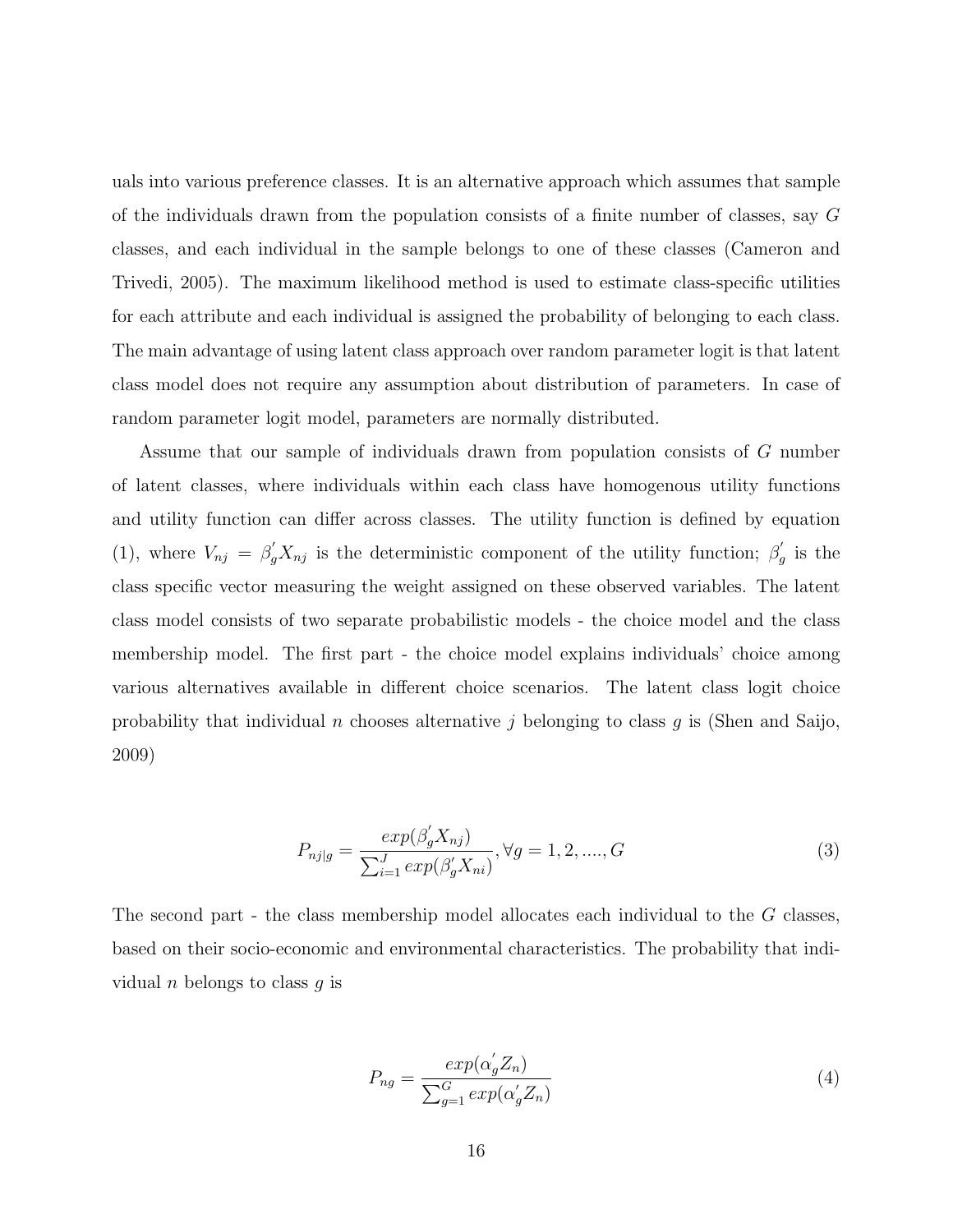uals into various preference classes. It is an alternative approach which assumes that sample of the individuals drawn from the population consists of a finite number of classes, say G classes, and each individual in the sample belongs to one of these classes (Cameron and Trivedi, 2005). The maximum likelihood method is used to estimate class-specific utilities for each attribute and each individual is assigned the probability of belonging to each class. The main advantage of using latent class approach over random parameter logit is that latent class model does not require any assumption about distribution of parameters. In case of random parameter logit model, parameters are normally distributed.

Assume that our sample of individuals drawn from population consists of G number of latent classes, where individuals within each class have homogenous utility functions and utility function can differ across classes. The utility function is defined by equation (1), where  $V_{nj} = \beta'_g X_{nj}$  is the deterministic component of the utility function;  $\beta'_g$  $_{g}^{\prime}$  is the class specific vector measuring the weight assigned on these observed variables. The latent class model consists of two separate probabilistic models - the choice model and the class membership model. The first part - the choice model explains individuals' choice among various alternatives available in different choice scenarios. The latent class logit choice probability that individual n chooses alternative j belonging to class q is (Shen and Saijo, 2009)

$$
P_{nj|g} = \frac{exp(\beta_g' X_{nj})}{\sum_{i=1}^J exp(\beta_g' X_{ni})}, \forall g = 1, 2, ..., G
$$
\n(3)

The second part - the class membership model allocates each individual to the G classes, based on their socio-economic and environmental characteristics. The probability that individual *n* belongs to class  $q$  is

$$
P_{ng} = \frac{exp(\alpha_g' Z_n)}{\sum_{g=1}^G exp(\alpha_g' Z_n)}
$$
(4)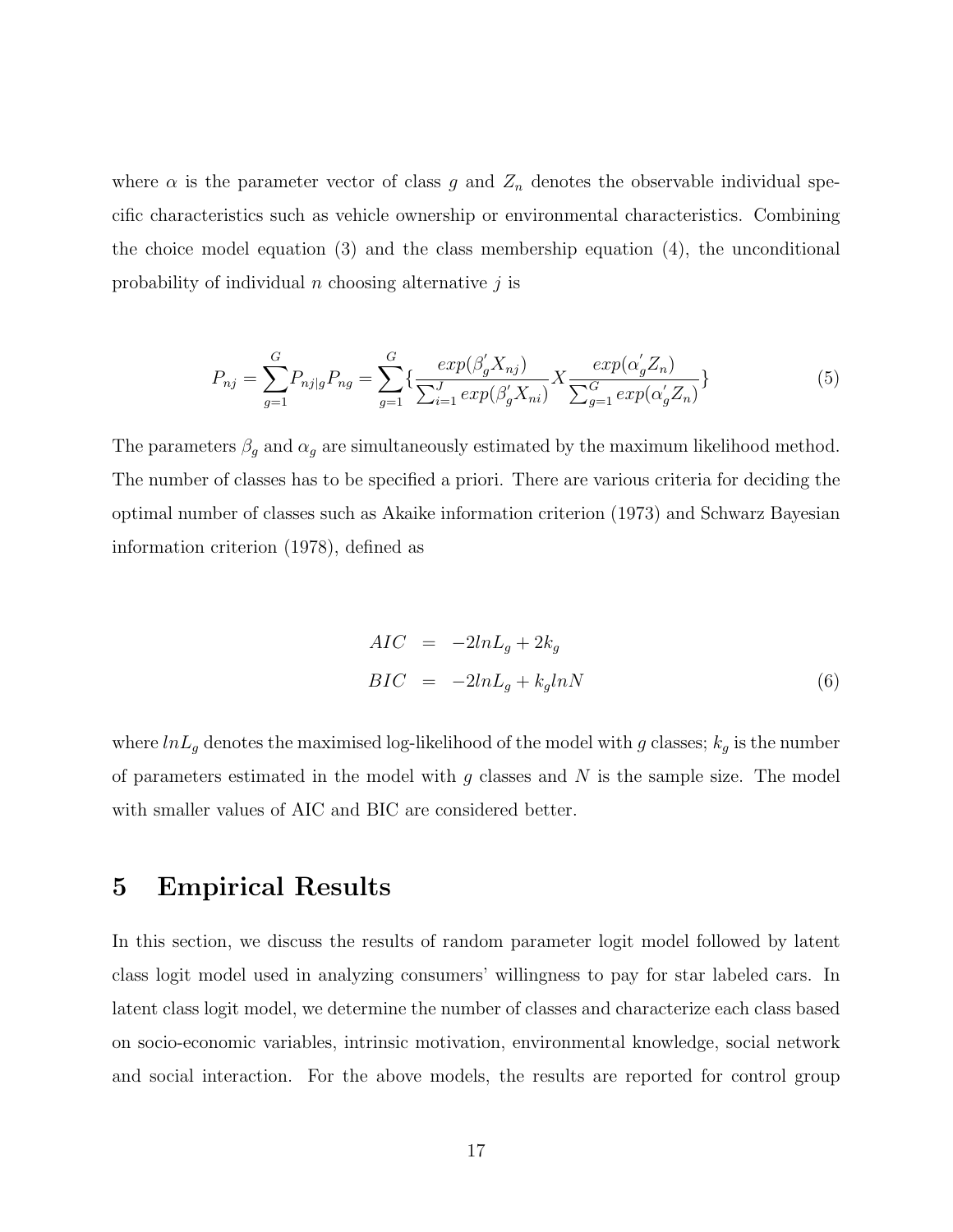where  $\alpha$  is the parameter vector of class g and  $Z_n$  denotes the observable individual specific characteristics such as vehicle ownership or environmental characteristics. Combining the choice model equation (3) and the class membership equation (4), the unconditional probability of individual  $n$  choosing alternative  $j$  is

$$
P_{nj} = \sum_{g=1}^{G} P_{nj|g} P_{ng} = \sum_{g=1}^{G} \{ \frac{exp(\beta_g' X_{nj})}{\sum_{i=1}^{J} exp(\beta_g' X_{ni})} X \frac{exp(\alpha_g' Z_n)}{\sum_{g=1}^{G} exp(\alpha_g' Z_n)} \}
$$
(5)

The parameters  $\beta_g$  and  $\alpha_g$  are simultaneously estimated by the maximum likelihood method. The number of classes has to be specified a priori. There are various criteria for deciding the optimal number of classes such as Akaike information criterion (1973) and Schwarz Bayesian information criterion (1978), defined as

$$
AIC = -2lnL_g + 2k_g
$$
  
\n
$$
BIC = -2lnL_g + k_g lnN
$$
\n(6)

where  $ln L_g$  denotes the maximised log-likelihood of the model with g classes;  $k_g$  is the number of parameters estimated in the model with  $g$  classes and  $N$  is the sample size. The model with smaller values of AIC and BIC are considered better.

### 5 Empirical Results

In this section, we discuss the results of random parameter logit model followed by latent class logit model used in analyzing consumers' willingness to pay for star labeled cars. In latent class logit model, we determine the number of classes and characterize each class based on socio-economic variables, intrinsic motivation, environmental knowledge, social network and social interaction. For the above models, the results are reported for control group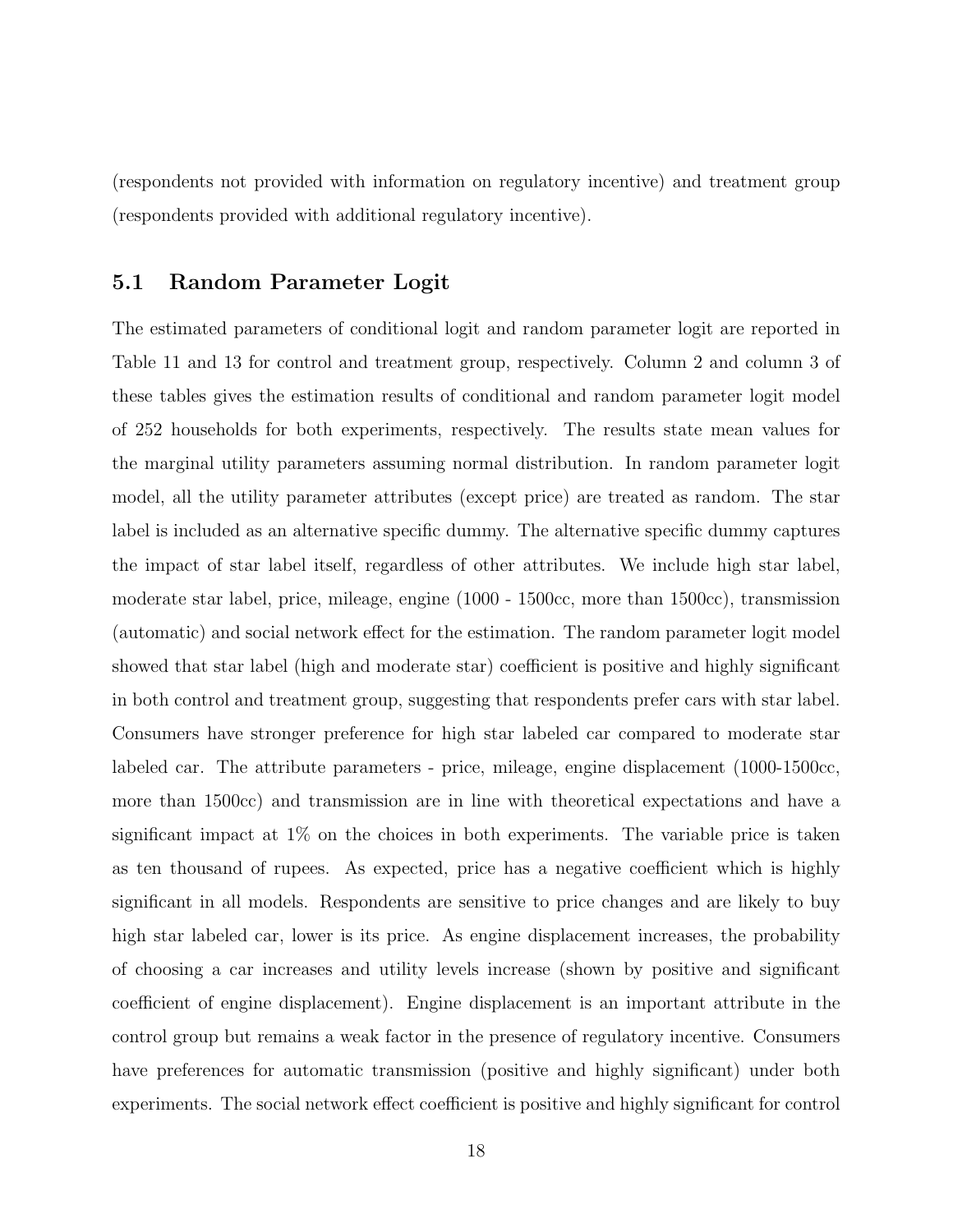(respondents not provided with information on regulatory incentive) and treatment group (respondents provided with additional regulatory incentive).

#### 5.1 Random Parameter Logit

The estimated parameters of conditional logit and random parameter logit are reported in Table 11 and 13 for control and treatment group, respectively. Column 2 and column 3 of these tables gives the estimation results of conditional and random parameter logit model of 252 households for both experiments, respectively. The results state mean values for the marginal utility parameters assuming normal distribution. In random parameter logit model, all the utility parameter attributes (except price) are treated as random. The star label is included as an alternative specific dummy. The alternative specific dummy captures the impact of star label itself, regardless of other attributes. We include high star label, moderate star label, price, mileage, engine (1000 - 1500cc, more than 1500cc), transmission (automatic) and social network effect for the estimation. The random parameter logit model showed that star label (high and moderate star) coefficient is positive and highly significant in both control and treatment group, suggesting that respondents prefer cars with star label. Consumers have stronger preference for high star labeled car compared to moderate star labeled car. The attribute parameters - price, mileage, engine displacement (1000-1500cc, more than 1500cc) and transmission are in line with theoretical expectations and have a significant impact at  $1\%$  on the choices in both experiments. The variable price is taken as ten thousand of rupees. As expected, price has a negative coefficient which is highly significant in all models. Respondents are sensitive to price changes and are likely to buy high star labeled car, lower is its price. As engine displacement increases, the probability of choosing a car increases and utility levels increase (shown by positive and significant coefficient of engine displacement). Engine displacement is an important attribute in the control group but remains a weak factor in the presence of regulatory incentive. Consumers have preferences for automatic transmission (positive and highly significant) under both experiments. The social network effect coefficient is positive and highly significant for control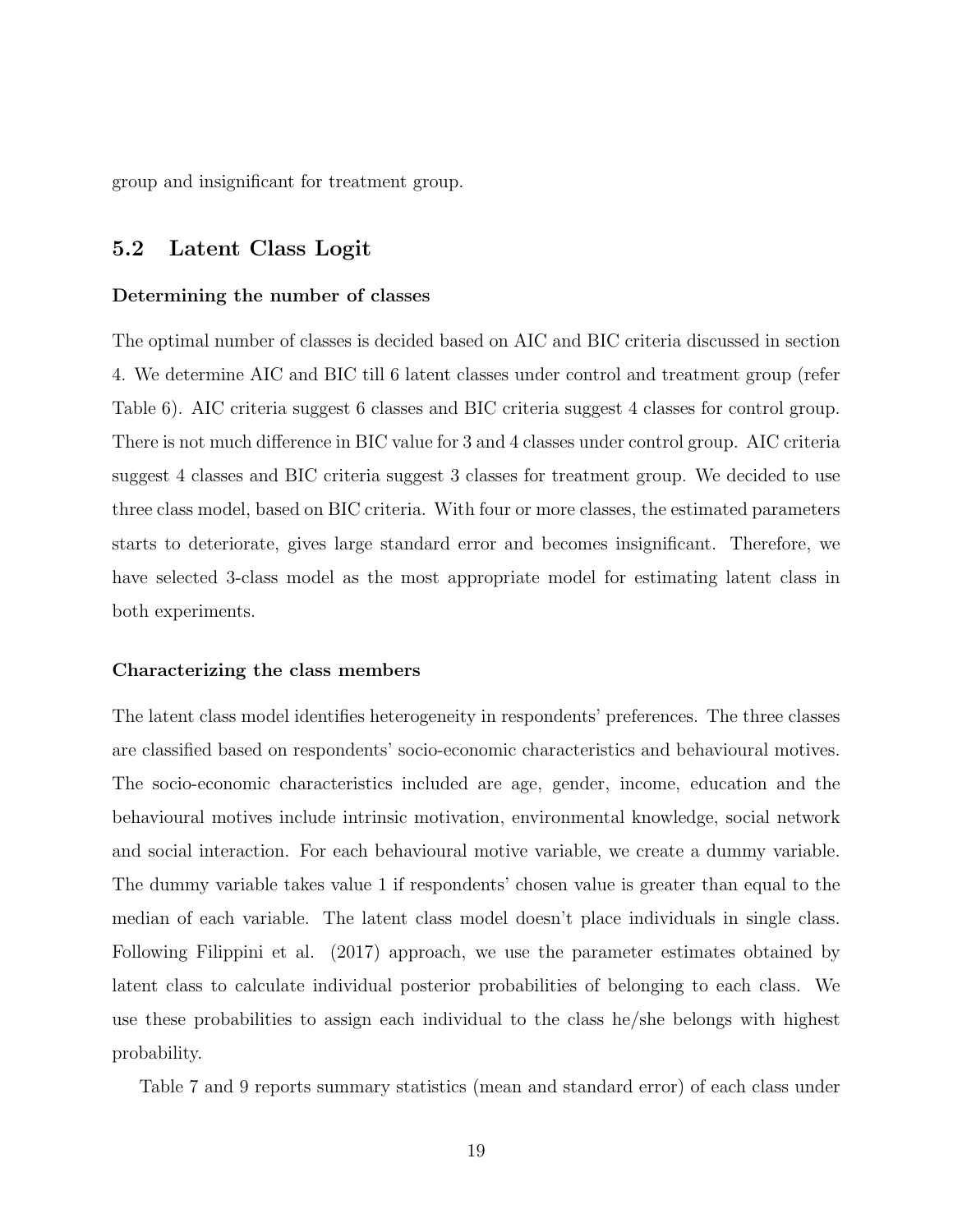group and insignificant for treatment group.

#### 5.2 Latent Class Logit

#### Determining the number of classes

The optimal number of classes is decided based on AIC and BIC criteria discussed in section 4. We determine AIC and BIC till 6 latent classes under control and treatment group (refer Table 6). AIC criteria suggest 6 classes and BIC criteria suggest 4 classes for control group. There is not much difference in BIC value for 3 and 4 classes under control group. AIC criteria suggest 4 classes and BIC criteria suggest 3 classes for treatment group. We decided to use three class model, based on BIC criteria. With four or more classes, the estimated parameters starts to deteriorate, gives large standard error and becomes insignificant. Therefore, we have selected 3-class model as the most appropriate model for estimating latent class in both experiments.

#### Characterizing the class members

The latent class model identifies heterogeneity in respondents' preferences. The three classes are classified based on respondents' socio-economic characteristics and behavioural motives. The socio-economic characteristics included are age, gender, income, education and the behavioural motives include intrinsic motivation, environmental knowledge, social network and social interaction. For each behavioural motive variable, we create a dummy variable. The dummy variable takes value 1 if respondents' chosen value is greater than equal to the median of each variable. The latent class model doesn't place individuals in single class. Following Filippini et al. (2017) approach, we use the parameter estimates obtained by latent class to calculate individual posterior probabilities of belonging to each class. We use these probabilities to assign each individual to the class he/she belongs with highest probability.

Table 7 and 9 reports summary statistics (mean and standard error) of each class under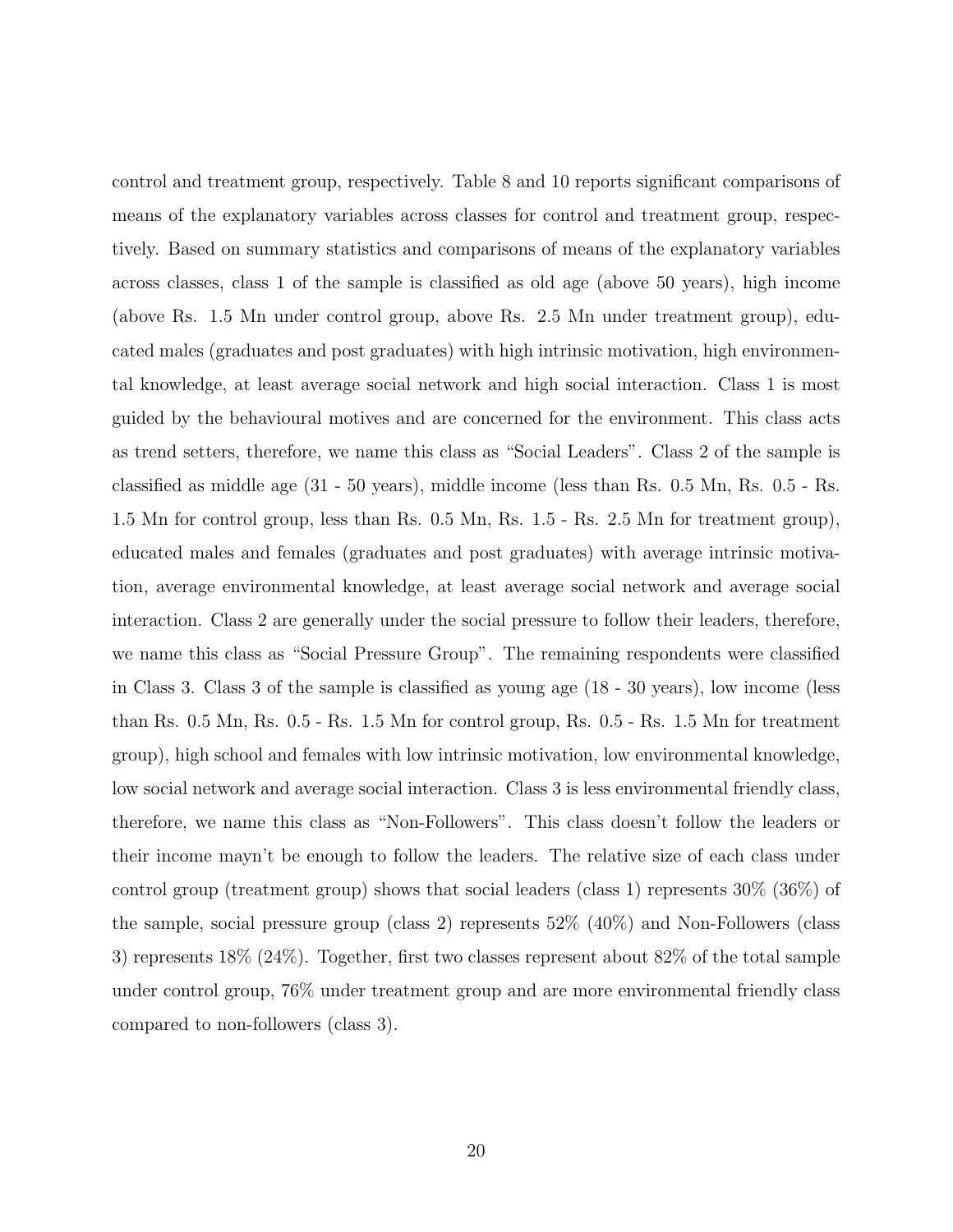control and treatment group, respectively. Table 8 and 10 reports significant comparisons of means of the explanatory variables across classes for control and treatment group, respectively. Based on summary statistics and comparisons of means of the explanatory variables across classes, class 1 of the sample is classified as old age (above 50 years), high income (above Rs. 1.5 Mn under control group, above Rs. 2.5 Mn under treatment group), educated males (graduates and post graduates) with high intrinsic motivation, high environmental knowledge, at least average social network and high social interaction. Class 1 is most guided by the behavioural motives and are concerned for the environment. This class acts as trend setters, therefore, we name this class as "Social Leaders". Class 2 of the sample is classified as middle age (31 - 50 years), middle income (less than Rs. 0.5 Mn, Rs. 0.5 - Rs. 1.5 Mn for control group, less than Rs. 0.5 Mn, Rs. 1.5 - Rs. 2.5 Mn for treatment group), educated males and females (graduates and post graduates) with average intrinsic motivation, average environmental knowledge, at least average social network and average social interaction. Class 2 are generally under the social pressure to follow their leaders, therefore, we name this class as "Social Pressure Group". The remaining respondents were classified in Class 3. Class 3 of the sample is classified as young age (18 - 30 years), low income (less than Rs. 0.5 Mn, Rs. 0.5 - Rs. 1.5 Mn for control group, Rs. 0.5 - Rs. 1.5 Mn for treatment group), high school and females with low intrinsic motivation, low environmental knowledge, low social network and average social interaction. Class 3 is less environmental friendly class, therefore, we name this class as "Non-Followers". This class doesn't follow the leaders or their income mayn't be enough to follow the leaders. The relative size of each class under control group (treatment group) shows that social leaders (class 1) represents 30% (36%) of the sample, social pressure group (class 2) represents 52% (40%) and Non-Followers (class 3) represents 18% (24%). Together, first two classes represent about 82% of the total sample under control group, 76% under treatment group and are more environmental friendly class compared to non-followers (class 3).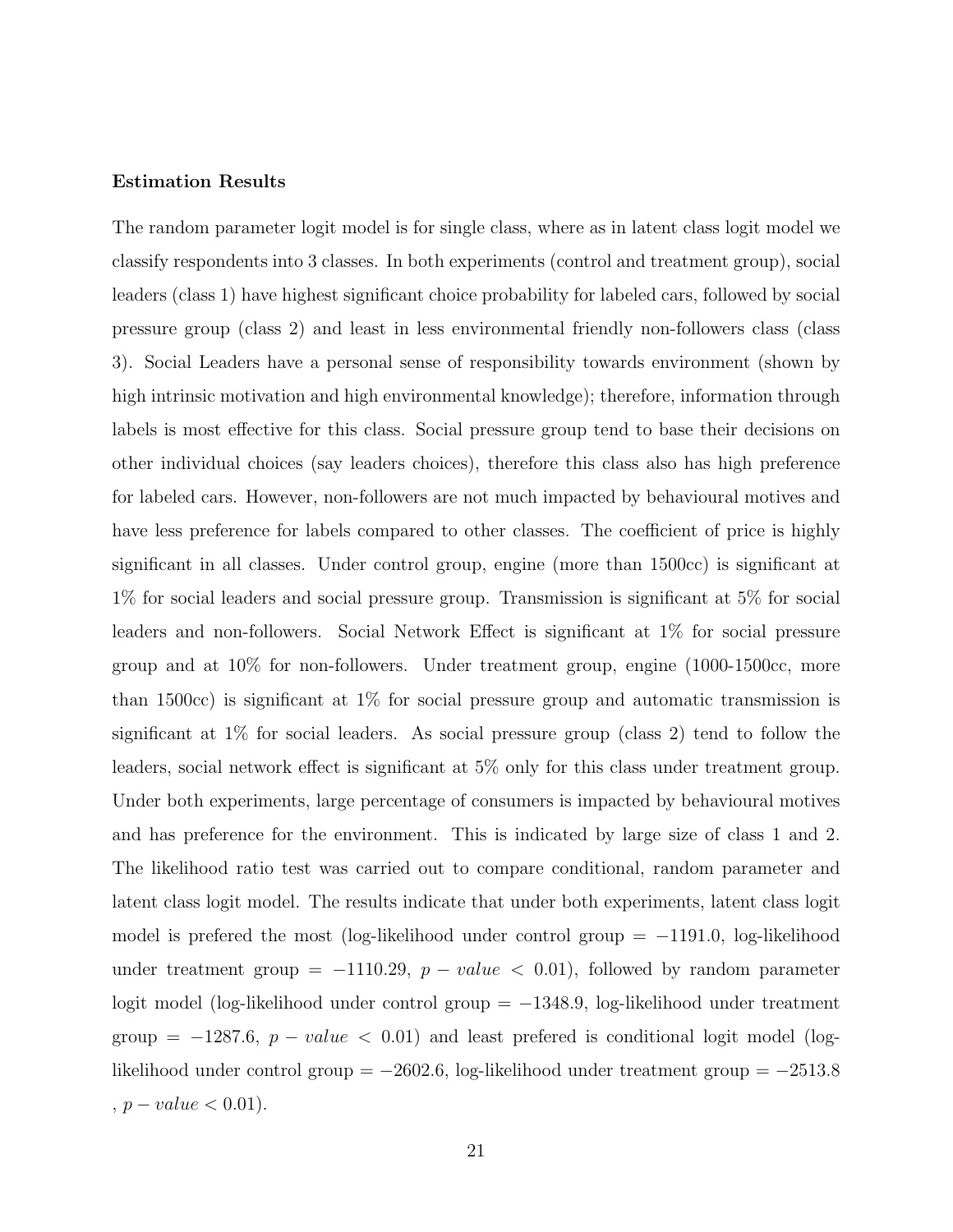#### Estimation Results

The random parameter logit model is for single class, where as in latent class logit model we classify respondents into 3 classes. In both experiments (control and treatment group), social leaders (class 1) have highest significant choice probability for labeled cars, followed by social pressure group (class 2) and least in less environmental friendly non-followers class (class 3). Social Leaders have a personal sense of responsibility towards environment (shown by high intrinsic motivation and high environmental knowledge); therefore, information through labels is most effective for this class. Social pressure group tend to base their decisions on other individual choices (say leaders choices), therefore this class also has high preference for labeled cars. However, non-followers are not much impacted by behavioural motives and have less preference for labels compared to other classes. The coefficient of price is highly significant in all classes. Under control group, engine (more than 1500cc) is significant at 1% for social leaders and social pressure group. Transmission is significant at 5% for social leaders and non-followers. Social Network Effect is significant at 1% for social pressure group and at 10% for non-followers. Under treatment group, engine (1000-1500cc, more than 1500cc) is significant at  $1\%$  for social pressure group and automatic transmission is significant at 1% for social leaders. As social pressure group (class 2) tend to follow the leaders, social network effect is significant at 5% only for this class under treatment group. Under both experiments, large percentage of consumers is impacted by behavioural motives and has preference for the environment. This is indicated by large size of class 1 and 2. The likelihood ratio test was carried out to compare conditional, random parameter and latent class logit model. The results indicate that under both experiments, latent class logit model is prefered the most (log-likelihood under control group  $=$  -1191.0, log-likelihood under treatment group = −1110.29,  $p - value < 0.01$ ), followed by random parameter logit model (log-likelihood under control group = −1348.9, log-likelihood under treatment group =  $-1287.6$ ,  $p - value < 0.01$ ) and least prefered is conditional logit model (loglikelihood under control group = −2602.6, log-likelihood under treatment group = −2513.8  $, p-value < 0.01$ ).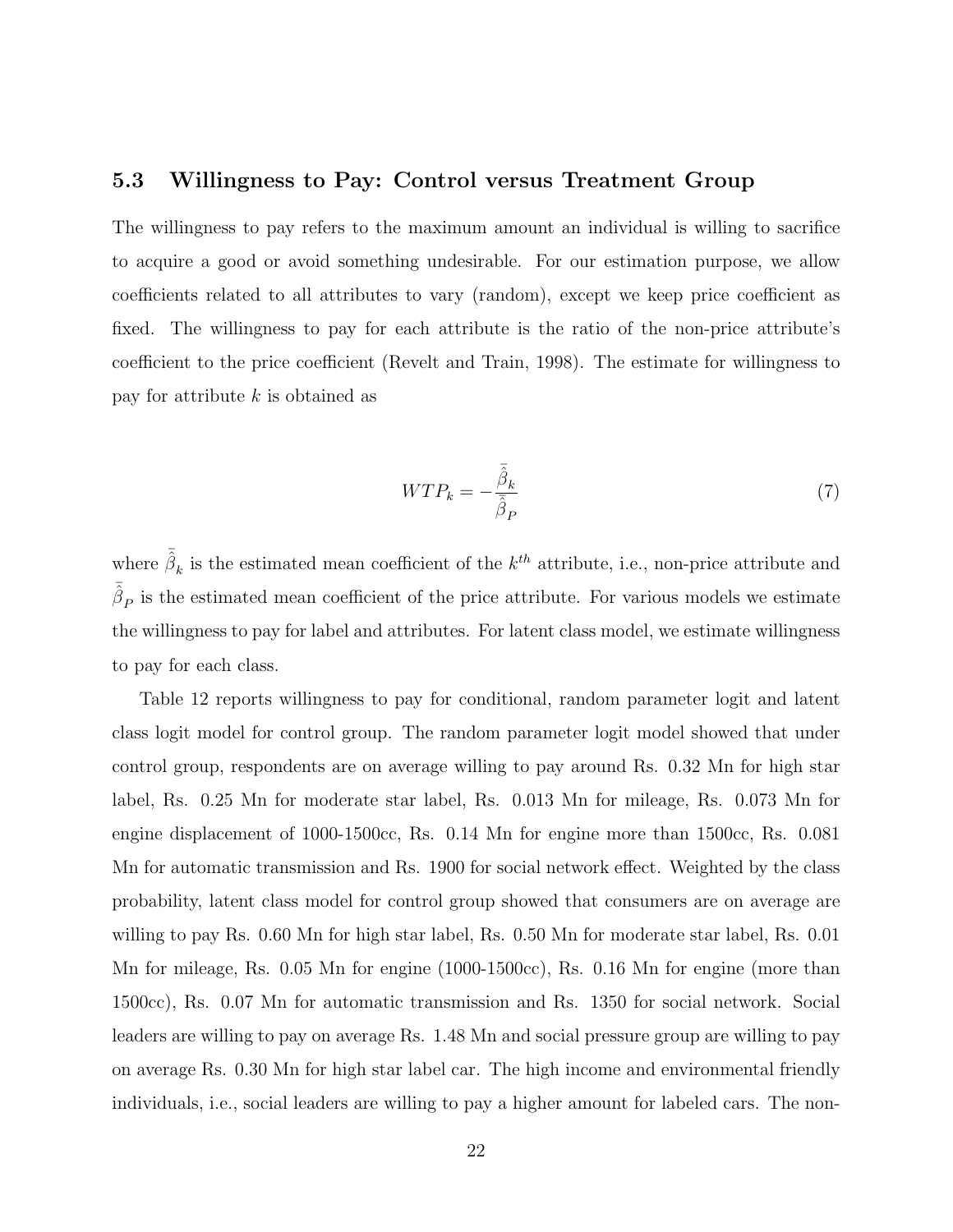#### 5.3 Willingness to Pay: Control versus Treatment Group

The willingness to pay refers to the maximum amount an individual is willing to sacrifice to acquire a good or avoid something undesirable. For our estimation purpose, we allow coefficients related to all attributes to vary (random), except we keep price coefficient as fixed. The willingness to pay for each attribute is the ratio of the non-price attribute's coefficient to the price coefficient (Revelt and Train, 1998). The estimate for willingness to pay for attribute  $k$  is obtained as

$$
WTP_k = -\frac{\bar{\hat{\beta}}_k}{\bar{\hat{\beta}}_P} \tag{7}
$$

where  $\bar{\hat{\beta}}_k$  is the estimated mean coefficient of the  $k^{th}$  attribute, i.e., non-price attribute and  $\bar{\hat{\beta}}_P$  is the estimated mean coefficient of the price attribute. For various models we estimate the willingness to pay for label and attributes. For latent class model, we estimate willingness to pay for each class.

Table 12 reports willingness to pay for conditional, random parameter logit and latent class logit model for control group. The random parameter logit model showed that under control group, respondents are on average willing to pay around Rs. 0.32 Mn for high star label, Rs. 0.25 Mn for moderate star label, Rs. 0.013 Mn for mileage, Rs. 0.073 Mn for engine displacement of 1000-1500cc, Rs. 0.14 Mn for engine more than 1500cc, Rs. 0.081 Mn for automatic transmission and Rs. 1900 for social network effect. Weighted by the class probability, latent class model for control group showed that consumers are on average are willing to pay Rs. 0.60 Mn for high star label, Rs. 0.50 Mn for moderate star label, Rs. 0.01 Mn for mileage, Rs. 0.05 Mn for engine (1000-1500cc), Rs. 0.16 Mn for engine (more than 1500cc), Rs. 0.07 Mn for automatic transmission and Rs. 1350 for social network. Social leaders are willing to pay on average Rs. 1.48 Mn and social pressure group are willing to pay on average Rs. 0.30 Mn for high star label car. The high income and environmental friendly individuals, i.e., social leaders are willing to pay a higher amount for labeled cars. The non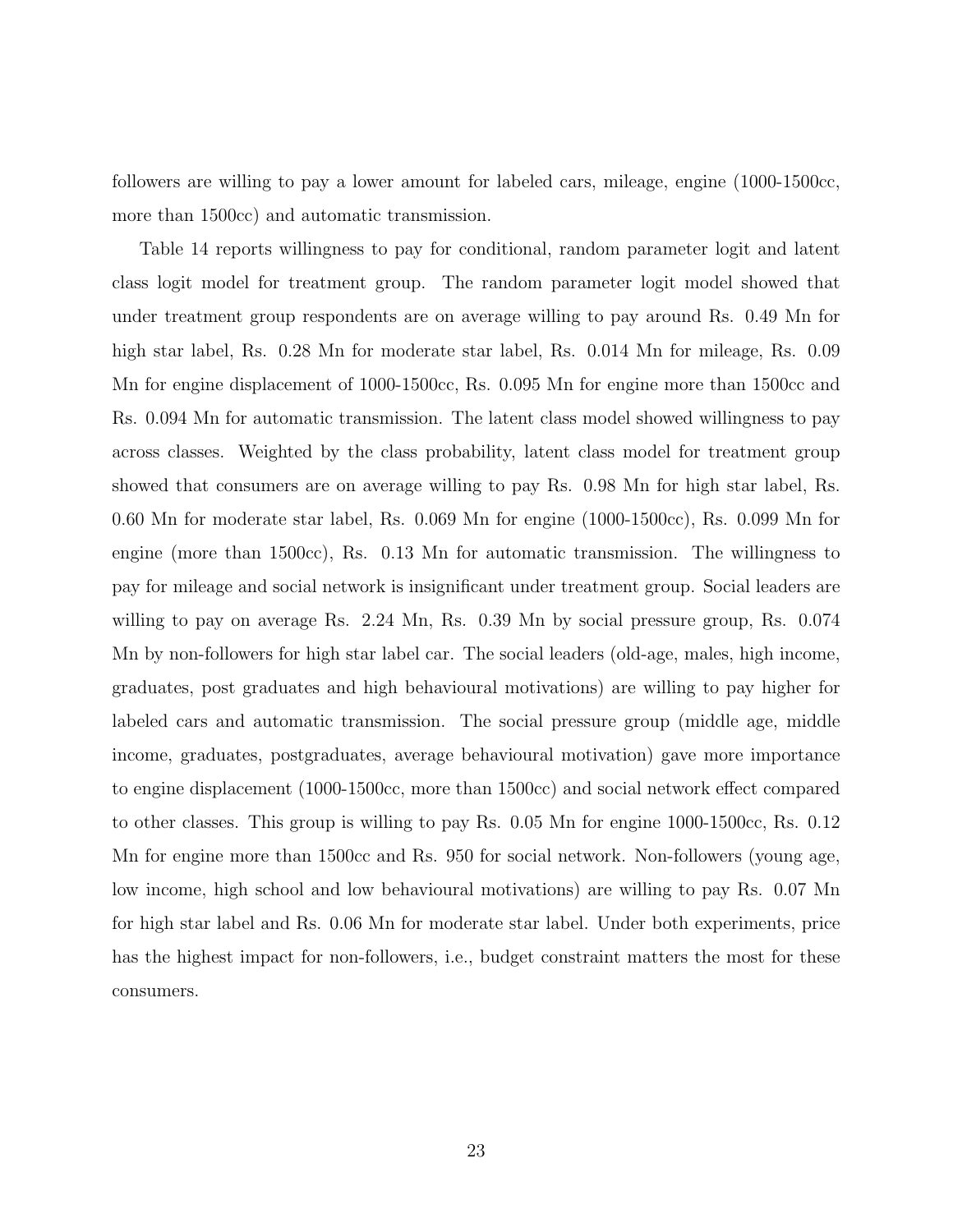followers are willing to pay a lower amount for labeled cars, mileage, engine (1000-1500cc, more than 1500cc) and automatic transmission.

Table 14 reports willingness to pay for conditional, random parameter logit and latent class logit model for treatment group. The random parameter logit model showed that under treatment group respondents are on average willing to pay around Rs. 0.49 Mn for high star label, Rs. 0.28 Mn for moderate star label, Rs. 0.014 Mn for mileage, Rs. 0.09 Mn for engine displacement of 1000-1500cc, Rs. 0.095 Mn for engine more than 1500cc and Rs. 0.094 Mn for automatic transmission. The latent class model showed willingness to pay across classes. Weighted by the class probability, latent class model for treatment group showed that consumers are on average willing to pay Rs. 0.98 Mn for high star label, Rs. 0.60 Mn for moderate star label, Rs. 0.069 Mn for engine (1000-1500cc), Rs. 0.099 Mn for engine (more than 1500cc), Rs. 0.13 Mn for automatic transmission. The willingness to pay for mileage and social network is insignificant under treatment group. Social leaders are willing to pay on average Rs. 2.24 Mn, Rs. 0.39 Mn by social pressure group, Rs. 0.074 Mn by non-followers for high star label car. The social leaders (old-age, males, high income, graduates, post graduates and high behavioural motivations) are willing to pay higher for labeled cars and automatic transmission. The social pressure group (middle age, middle income, graduates, postgraduates, average behavioural motivation) gave more importance to engine displacement (1000-1500cc, more than 1500cc) and social network effect compared to other classes. This group is willing to pay Rs. 0.05 Mn for engine 1000-1500cc, Rs. 0.12 Mn for engine more than 1500cc and Rs. 950 for social network. Non-followers (young age, low income, high school and low behavioural motivations) are willing to pay Rs. 0.07 Mn for high star label and Rs. 0.06 Mn for moderate star label. Under both experiments, price has the highest impact for non-followers, i.e., budget constraint matters the most for these consumers.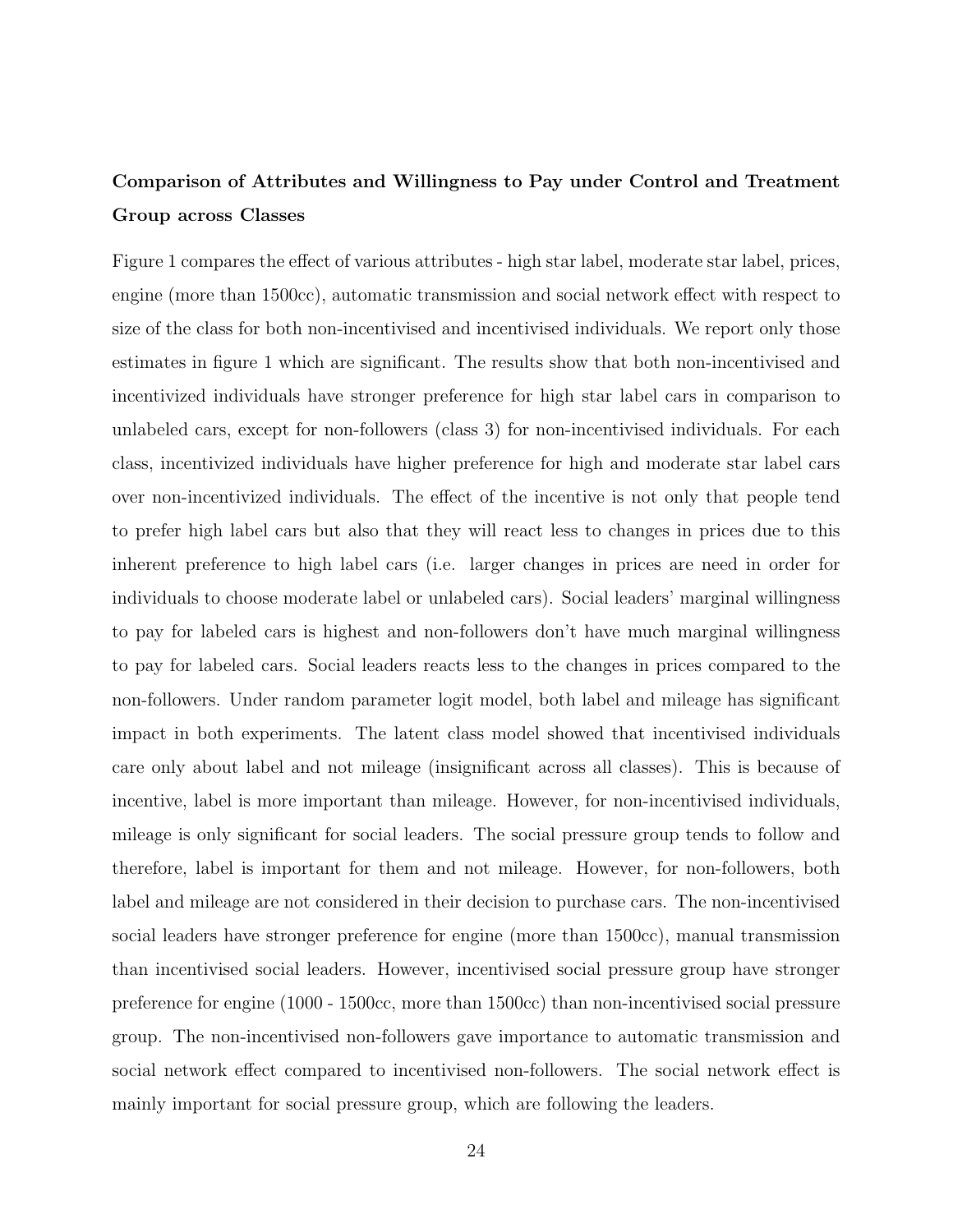## Comparison of Attributes and Willingness to Pay under Control and Treatment Group across Classes

Figure 1 compares the effect of various attributes - high star label, moderate star label, prices, engine (more than 1500cc), automatic transmission and social network effect with respect to size of the class for both non-incentivised and incentivised individuals. We report only those estimates in figure 1 which are significant. The results show that both non-incentivised and incentivized individuals have stronger preference for high star label cars in comparison to unlabeled cars, except for non-followers (class 3) for non-incentivised individuals. For each class, incentivized individuals have higher preference for high and moderate star label cars over non-incentivized individuals. The effect of the incentive is not only that people tend to prefer high label cars but also that they will react less to changes in prices due to this inherent preference to high label cars (i.e. larger changes in prices are need in order for individuals to choose moderate label or unlabeled cars). Social leaders' marginal willingness to pay for labeled cars is highest and non-followers don't have much marginal willingness to pay for labeled cars. Social leaders reacts less to the changes in prices compared to the non-followers. Under random parameter logit model, both label and mileage has significant impact in both experiments. The latent class model showed that incentivised individuals care only about label and not mileage (insignificant across all classes). This is because of incentive, label is more important than mileage. However, for non-incentivised individuals, mileage is only significant for social leaders. The social pressure group tends to follow and therefore, label is important for them and not mileage. However, for non-followers, both label and mileage are not considered in their decision to purchase cars. The non-incentivised social leaders have stronger preference for engine (more than 1500cc), manual transmission than incentivised social leaders. However, incentivised social pressure group have stronger preference for engine (1000 - 1500cc, more than 1500cc) than non-incentivised social pressure group. The non-incentivised non-followers gave importance to automatic transmission and social network effect compared to incentivised non-followers. The social network effect is mainly important for social pressure group, which are following the leaders.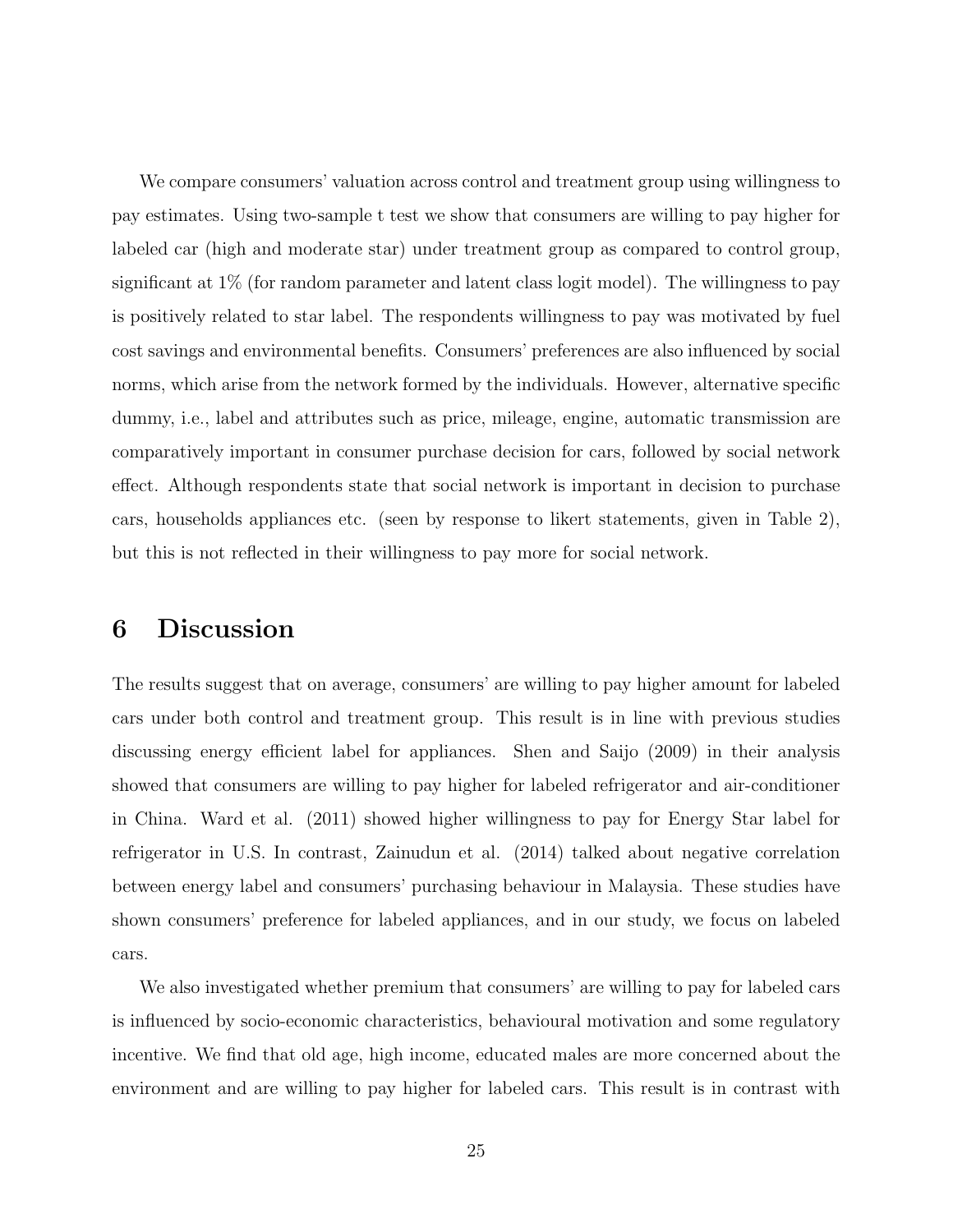We compare consumers' valuation across control and treatment group using willingness to pay estimates. Using two-sample t test we show that consumers are willing to pay higher for labeled car (high and moderate star) under treatment group as compared to control group, significant at 1% (for random parameter and latent class logit model). The willingness to pay is positively related to star label. The respondents willingness to pay was motivated by fuel cost savings and environmental benefits. Consumers' preferences are also influenced by social norms, which arise from the network formed by the individuals. However, alternative specific dummy, i.e., label and attributes such as price, mileage, engine, automatic transmission are comparatively important in consumer purchase decision for cars, followed by social network effect. Although respondents state that social network is important in decision to purchase cars, households appliances etc. (seen by response to likert statements, given in Table 2), but this is not reflected in their willingness to pay more for social network.

## 6 Discussion

The results suggest that on average, consumers' are willing to pay higher amount for labeled cars under both control and treatment group. This result is in line with previous studies discussing energy efficient label for appliances. Shen and Saijo (2009) in their analysis showed that consumers are willing to pay higher for labeled refrigerator and air-conditioner in China. Ward et al. (2011) showed higher willingness to pay for Energy Star label for refrigerator in U.S. In contrast, Zainudun et al. (2014) talked about negative correlation between energy label and consumers' purchasing behaviour in Malaysia. These studies have shown consumers' preference for labeled appliances, and in our study, we focus on labeled cars.

We also investigated whether premium that consumers' are willing to pay for labeled cars is influenced by socio-economic characteristics, behavioural motivation and some regulatory incentive. We find that old age, high income, educated males are more concerned about the environment and are willing to pay higher for labeled cars. This result is in contrast with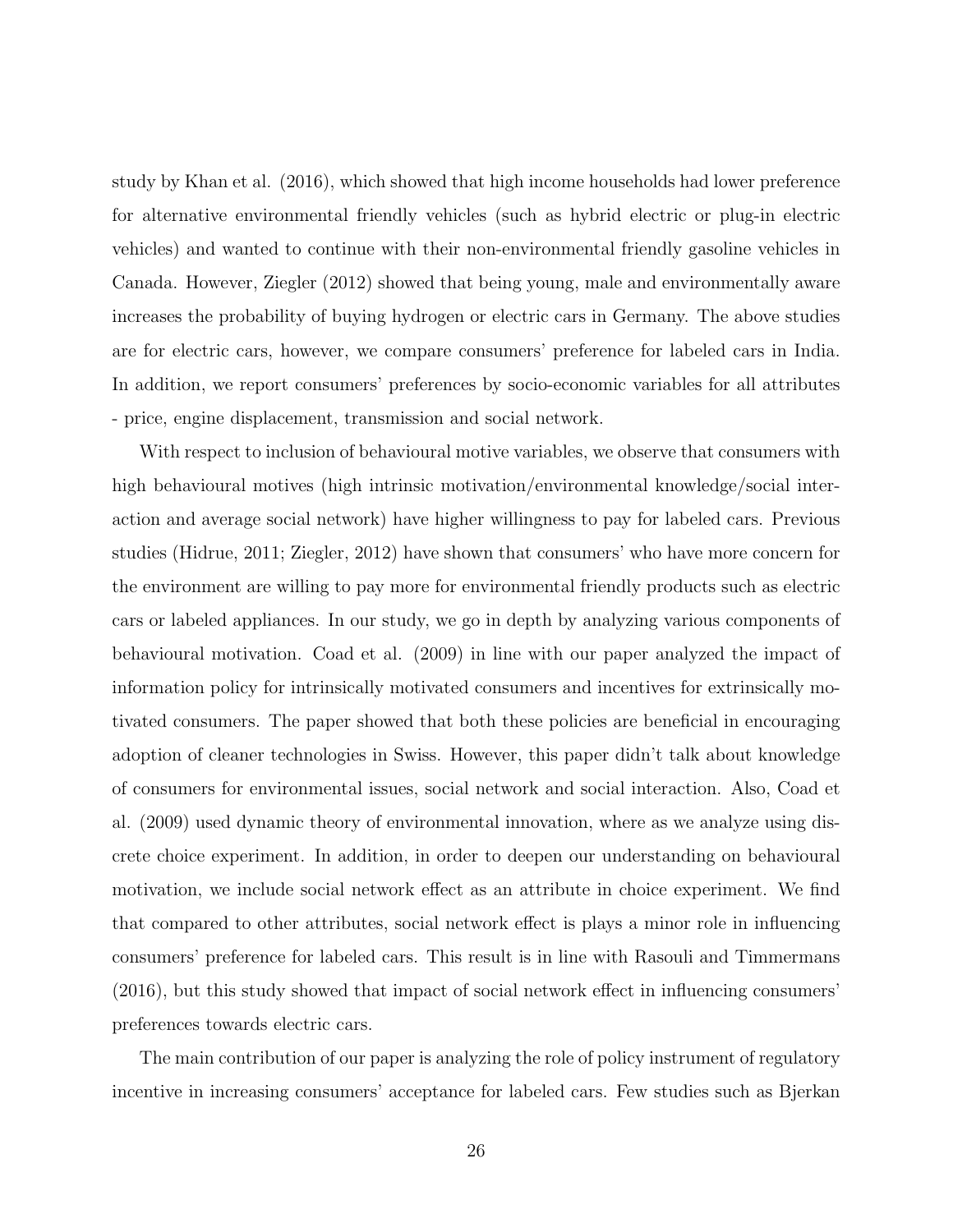study by Khan et al. (2016), which showed that high income households had lower preference for alternative environmental friendly vehicles (such as hybrid electric or plug-in electric vehicles) and wanted to continue with their non-environmental friendly gasoline vehicles in Canada. However, Ziegler (2012) showed that being young, male and environmentally aware increases the probability of buying hydrogen or electric cars in Germany. The above studies are for electric cars, however, we compare consumers' preference for labeled cars in India. In addition, we report consumers' preferences by socio-economic variables for all attributes - price, engine displacement, transmission and social network.

With respect to inclusion of behavioural motive variables, we observe that consumers with high behavioural motives (high intrinsic motivation/environmental knowledge/social interaction and average social network) have higher willingness to pay for labeled cars. Previous studies (Hidrue, 2011; Ziegler, 2012) have shown that consumers' who have more concern for the environment are willing to pay more for environmental friendly products such as electric cars or labeled appliances. In our study, we go in depth by analyzing various components of behavioural motivation. Coad et al. (2009) in line with our paper analyzed the impact of information policy for intrinsically motivated consumers and incentives for extrinsically motivated consumers. The paper showed that both these policies are beneficial in encouraging adoption of cleaner technologies in Swiss. However, this paper didn't talk about knowledge of consumers for environmental issues, social network and social interaction. Also, Coad et al. (2009) used dynamic theory of environmental innovation, where as we analyze using discrete choice experiment. In addition, in order to deepen our understanding on behavioural motivation, we include social network effect as an attribute in choice experiment. We find that compared to other attributes, social network effect is plays a minor role in influencing consumers' preference for labeled cars. This result is in line with Rasouli and Timmermans (2016), but this study showed that impact of social network effect in influencing consumers' preferences towards electric cars.

The main contribution of our paper is analyzing the role of policy instrument of regulatory incentive in increasing consumers' acceptance for labeled cars. Few studies such as Bjerkan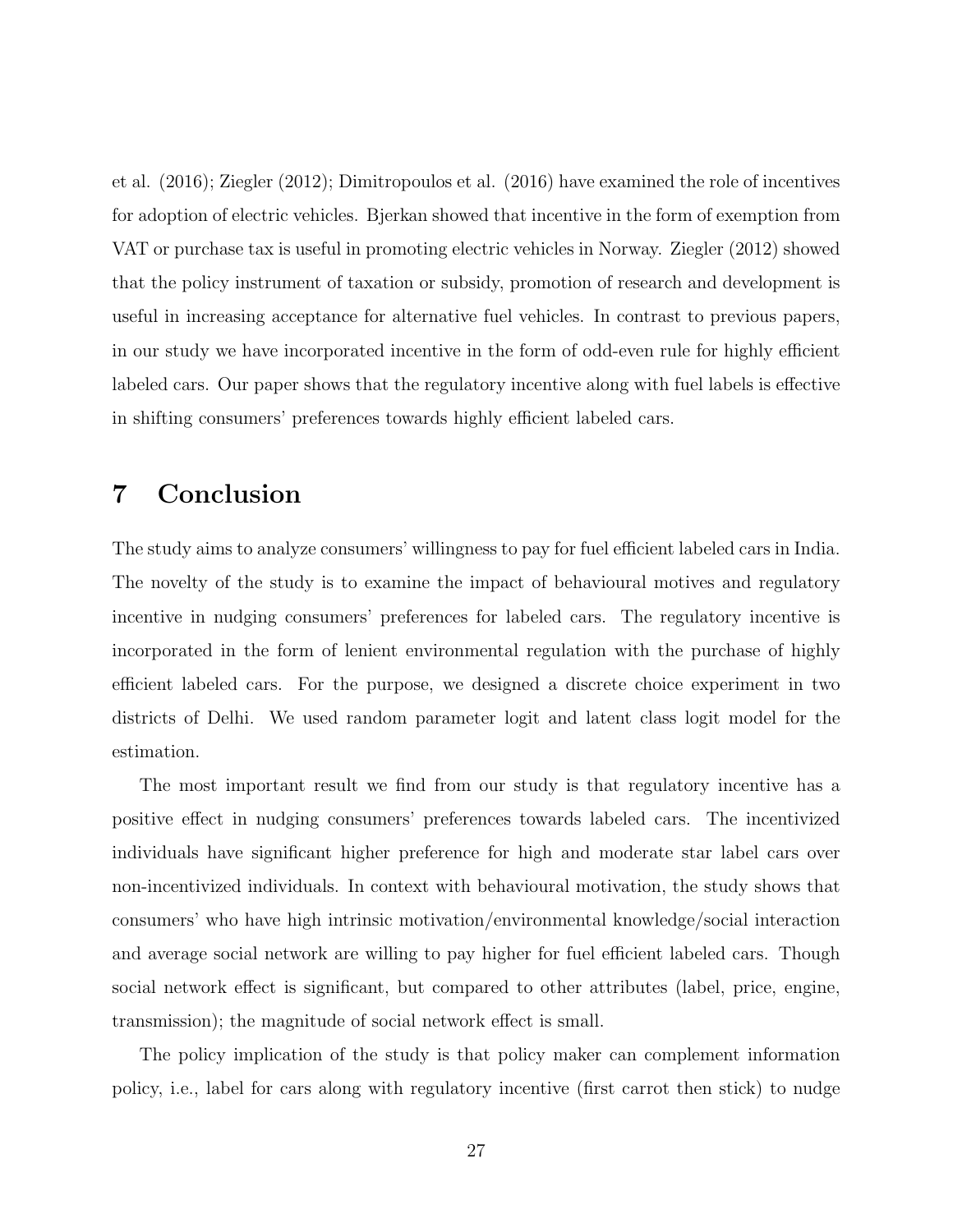et al. (2016); Ziegler (2012); Dimitropoulos et al. (2016) have examined the role of incentives for adoption of electric vehicles. Bjerkan showed that incentive in the form of exemption from VAT or purchase tax is useful in promoting electric vehicles in Norway. Ziegler (2012) showed that the policy instrument of taxation or subsidy, promotion of research and development is useful in increasing acceptance for alternative fuel vehicles. In contrast to previous papers, in our study we have incorporated incentive in the form of odd-even rule for highly efficient labeled cars. Our paper shows that the regulatory incentive along with fuel labels is effective in shifting consumers' preferences towards highly efficient labeled cars.

## 7 Conclusion

The study aims to analyze consumers' willingness to pay for fuel efficient labeled cars in India. The novelty of the study is to examine the impact of behavioural motives and regulatory incentive in nudging consumers' preferences for labeled cars. The regulatory incentive is incorporated in the form of lenient environmental regulation with the purchase of highly efficient labeled cars. For the purpose, we designed a discrete choice experiment in two districts of Delhi. We used random parameter logit and latent class logit model for the estimation.

The most important result we find from our study is that regulatory incentive has a positive effect in nudging consumers' preferences towards labeled cars. The incentivized individuals have significant higher preference for high and moderate star label cars over non-incentivized individuals. In context with behavioural motivation, the study shows that consumers' who have high intrinsic motivation/environmental knowledge/social interaction and average social network are willing to pay higher for fuel efficient labeled cars. Though social network effect is significant, but compared to other attributes (label, price, engine, transmission); the magnitude of social network effect is small.

The policy implication of the study is that policy maker can complement information policy, i.e., label for cars along with regulatory incentive (first carrot then stick) to nudge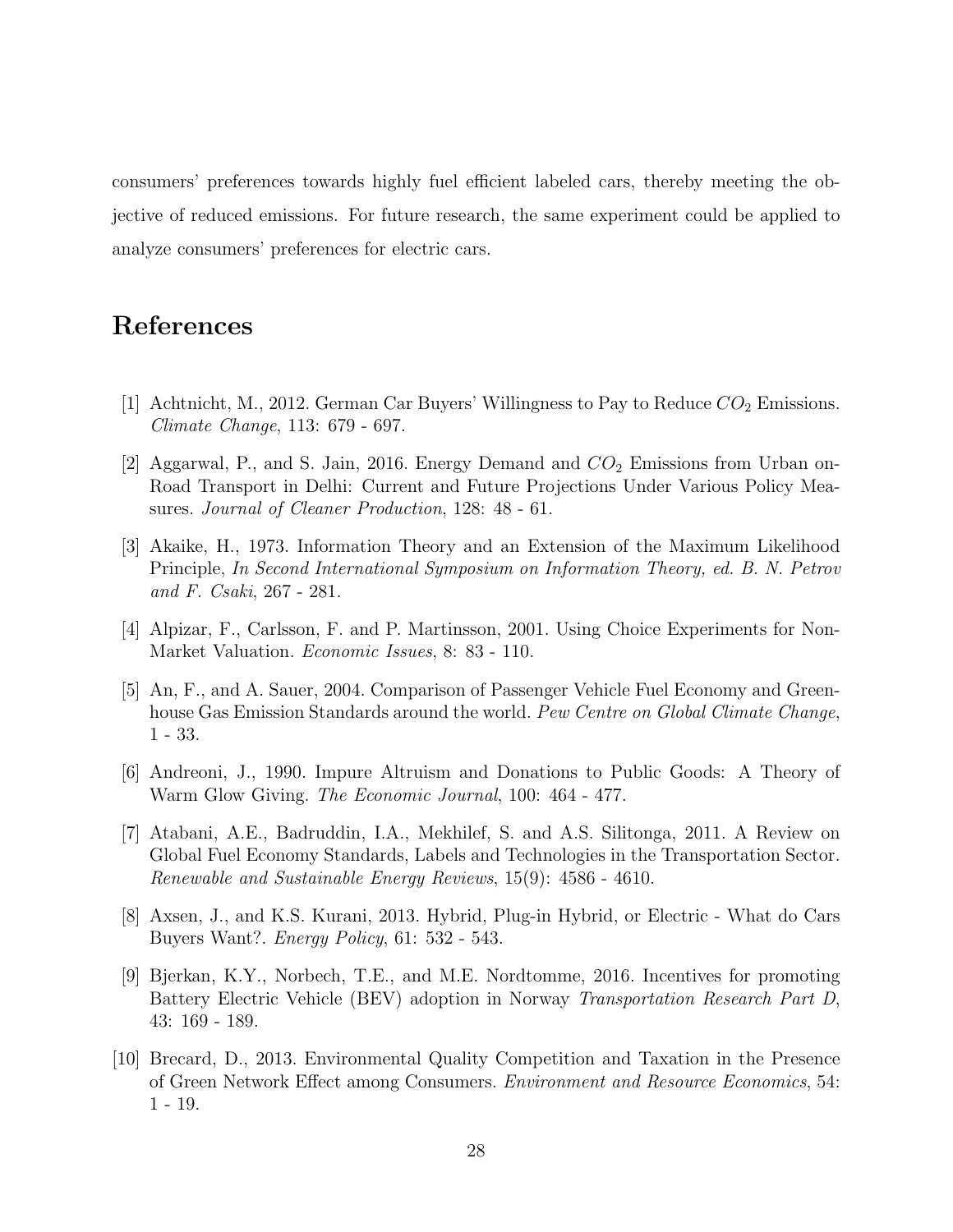consumers' preferences towards highly fuel efficient labeled cars, thereby meeting the objective of reduced emissions. For future research, the same experiment could be applied to analyze consumers' preferences for electric cars.

## References

- [1] Achtnicht, M., 2012. German Car Buyers' Willingness to Pay to Reduce  $CO_2$  Emissions. Climate Change, 113: 679 - 697.
- [2] Aggarwal, P., and S. Jain, 2016. Energy Demand and  $CO<sub>2</sub>$  Emissions from Urban on-Road Transport in Delhi: Current and Future Projections Under Various Policy Measures. Journal of Cleaner Production, 128: 48 - 61.
- [3] Akaike, H., 1973. Information Theory and an Extension of the Maximum Likelihood Principle, In Second International Symposium on Information Theory, ed. B. N. Petrov and F. Csaki, 267 - 281.
- [4] Alpizar, F., Carlsson, F. and P. Martinsson, 2001. Using Choice Experiments for Non-Market Valuation. Economic Issues, 8: 83 - 110.
- [5] An, F., and A. Sauer, 2004. Comparison of Passenger Vehicle Fuel Economy and Greenhouse Gas Emission Standards around the world. Pew Centre on Global Climate Change, 1 - 33.
- [6] Andreoni, J., 1990. Impure Altruism and Donations to Public Goods: A Theory of Warm Glow Giving. The Economic Journal, 100: 464 - 477.
- [7] Atabani, A.E., Badruddin, I.A., Mekhilef, S. and A.S. Silitonga, 2011. A Review on Global Fuel Economy Standards, Labels and Technologies in the Transportation Sector. Renewable and Sustainable Energy Reviews, 15(9): 4586 - 4610.
- [8] Axsen, J., and K.S. Kurani, 2013. Hybrid, Plug-in Hybrid, or Electric What do Cars Buyers Want?. Energy Policy, 61: 532 - 543.
- [9] Bjerkan, K.Y., Norbech, T.E., and M.E. Nordtomme, 2016. Incentives for promoting Battery Electric Vehicle (BEV) adoption in Norway Transportation Research Part D, 43: 169 - 189.
- [10] Brecard, D., 2013. Environmental Quality Competition and Taxation in the Presence of Green Network Effect among Consumers. Environment and Resource Economics, 54: 1 - 19.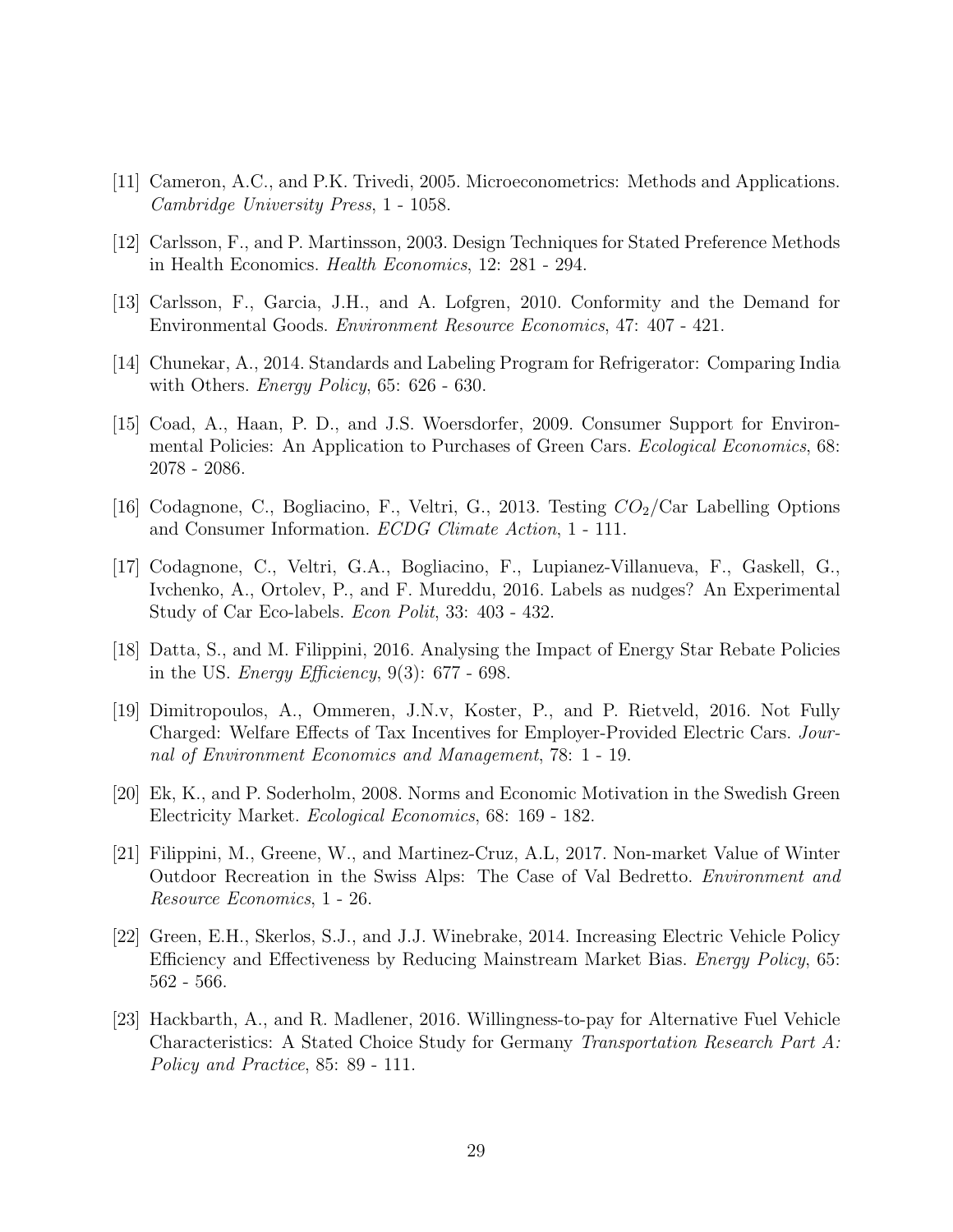- [11] Cameron, A.C., and P.K. Trivedi, 2005. Microeconometrics: Methods and Applications. Cambridge University Press, 1 - 1058.
- [12] Carlsson, F., and P. Martinsson, 2003. Design Techniques for Stated Preference Methods in Health Economics. Health Economics, 12: 281 - 294.
- [13] Carlsson, F., Garcia, J.H., and A. Lofgren, 2010. Conformity and the Demand for Environmental Goods. Environment Resource Economics, 47: 407 - 421.
- [14] Chunekar, A., 2014. Standards and Labeling Program for Refrigerator: Comparing India with Others. *Energy Policy*, 65: 626 - 630.
- [15] Coad, A., Haan, P. D., and J.S. Woersdorfer, 2009. Consumer Support for Environmental Policies: An Application to Purchases of Green Cars. Ecological Economics, 68: 2078 - 2086.
- [16] Codagnone, C., Bogliacino, F., Veltri, G., 2013. Testing  $CO_2/Car$  Labelling Options and Consumer Information. ECDG Climate Action, 1 - 111.
- [17] Codagnone, C., Veltri, G.A., Bogliacino, F., Lupianez-Villanueva, F., Gaskell, G., Ivchenko, A., Ortolev, P., and F. Mureddu, 2016. Labels as nudges? An Experimental Study of Car Eco-labels. Econ Polit, 33: 403 - 432.
- [18] Datta, S., and M. Filippini, 2016. Analysing the Impact of Energy Star Rebate Policies in the US. *Energy Efficiency*,  $9(3)$ : 677 - 698.
- [19] Dimitropoulos, A., Ommeren, J.N.v, Koster, P., and P. Rietveld, 2016. Not Fully Charged: Welfare Effects of Tax Incentives for Employer-Provided Electric Cars. Journal of Environment Economics and Management, 78: 1 - 19.
- [20] Ek, K., and P. Soderholm, 2008. Norms and Economic Motivation in the Swedish Green Electricity Market. Ecological Economics, 68: 169 - 182.
- [21] Filippini, M., Greene, W., and Martinez-Cruz, A.L, 2017. Non-market Value of Winter Outdoor Recreation in the Swiss Alps: The Case of Val Bedretto. Environment and Resource Economics, 1 - 26.
- [22] Green, E.H., Skerlos, S.J., and J.J. Winebrake, 2014. Increasing Electric Vehicle Policy Efficiency and Effectiveness by Reducing Mainstream Market Bias. Energy Policy, 65: 562 - 566.
- [23] Hackbarth, A., and R. Madlener, 2016. Willingness-to-pay for Alternative Fuel Vehicle Characteristics: A Stated Choice Study for Germany Transportation Research Part A: Policy and Practice, 85: 89 - 111.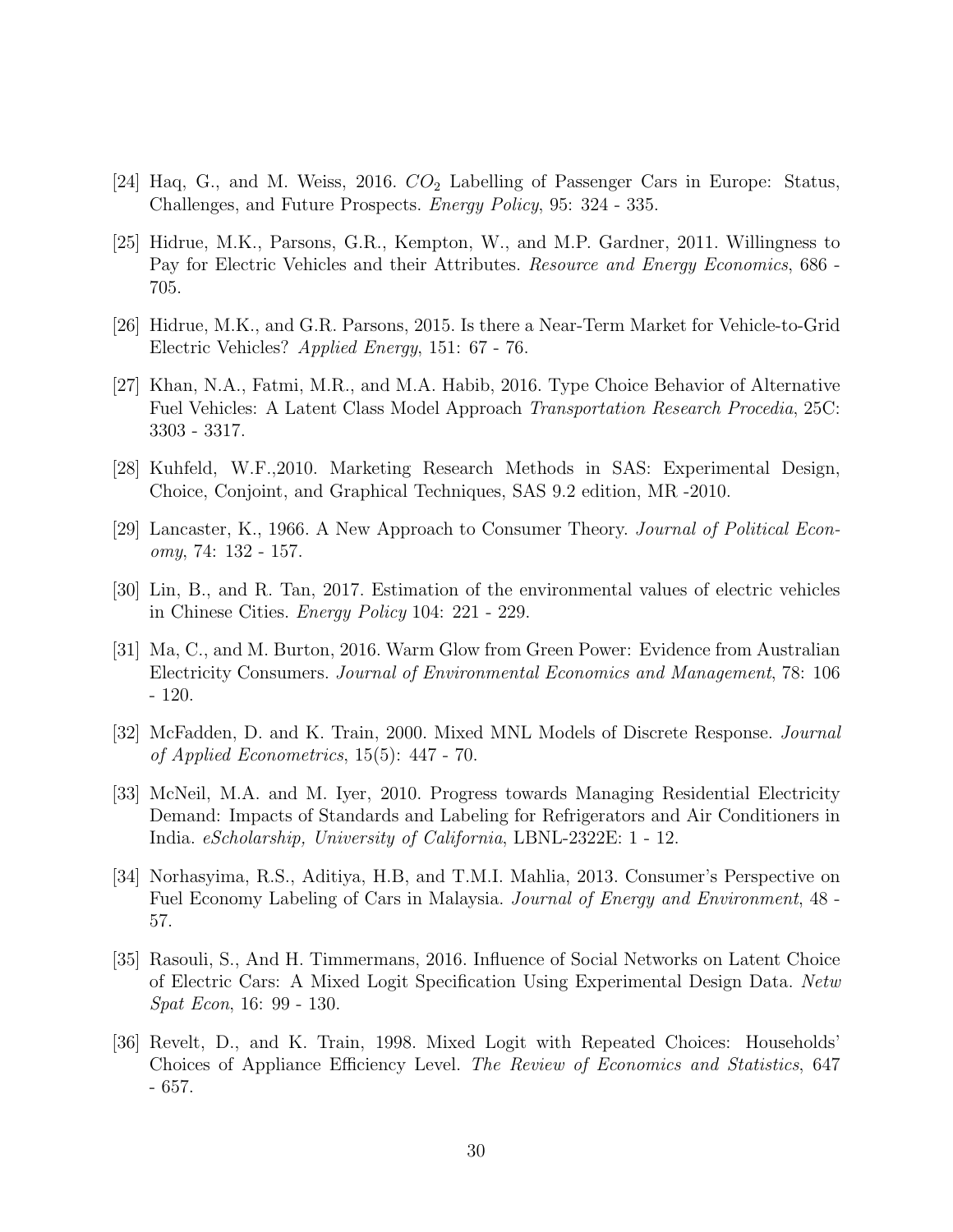- [24] Haq, G., and M. Weiss, 2016.  $CO<sub>2</sub>$  Labelling of Passenger Cars in Europe: Status, Challenges, and Future Prospects. Energy Policy, 95: 324 - 335.
- [25] Hidrue, M.K., Parsons, G.R., Kempton, W., and M.P. Gardner, 2011. Willingness to Pay for Electric Vehicles and their Attributes. *Resource and Energy Economics*, 686 -705.
- [26] Hidrue, M.K., and G.R. Parsons, 2015. Is there a Near-Term Market for Vehicle-to-Grid Electric Vehicles? Applied Energy, 151: 67 - 76.
- [27] Khan, N.A., Fatmi, M.R., and M.A. Habib, 2016. Type Choice Behavior of Alternative Fuel Vehicles: A Latent Class Model Approach Transportation Research Procedia, 25C: 3303 - 3317.
- [28] Kuhfeld, W.F.,2010. Marketing Research Methods in SAS: Experimental Design, Choice, Conjoint, and Graphical Techniques, SAS 9.2 edition, MR -2010.
- [29] Lancaster, K., 1966. A New Approach to Consumer Theory. Journal of Political Economy, 74: 132 - 157.
- [30] Lin, B., and R. Tan, 2017. Estimation of the environmental values of electric vehicles in Chinese Cities. Energy Policy 104: 221 - 229.
- [31] Ma, C., and M. Burton, 2016. Warm Glow from Green Power: Evidence from Australian Electricity Consumers. Journal of Environmental Economics and Management, 78: 106 - 120.
- [32] McFadden, D. and K. Train, 2000. Mixed MNL Models of Discrete Response. Journal of Applied Econometrics, 15(5): 447 - 70.
- [33] McNeil, M.A. and M. Iyer, 2010. Progress towards Managing Residential Electricity Demand: Impacts of Standards and Labeling for Refrigerators and Air Conditioners in India. eScholarship, University of California, LBNL-2322E: 1 - 12.
- [34] Norhasyima, R.S., Aditiya, H.B, and T.M.I. Mahlia, 2013. Consumer's Perspective on Fuel Economy Labeling of Cars in Malaysia. Journal of Energy and Environment, 48 - 57.
- [35] Rasouli, S., And H. Timmermans, 2016. Influence of Social Networks on Latent Choice of Electric Cars: A Mixed Logit Specification Using Experimental Design Data. Netw Spat Econ, 16: 99 - 130.
- [36] Revelt, D., and K. Train, 1998. Mixed Logit with Repeated Choices: Households' Choices of Appliance Efficiency Level. The Review of Economics and Statistics, 647 - 657.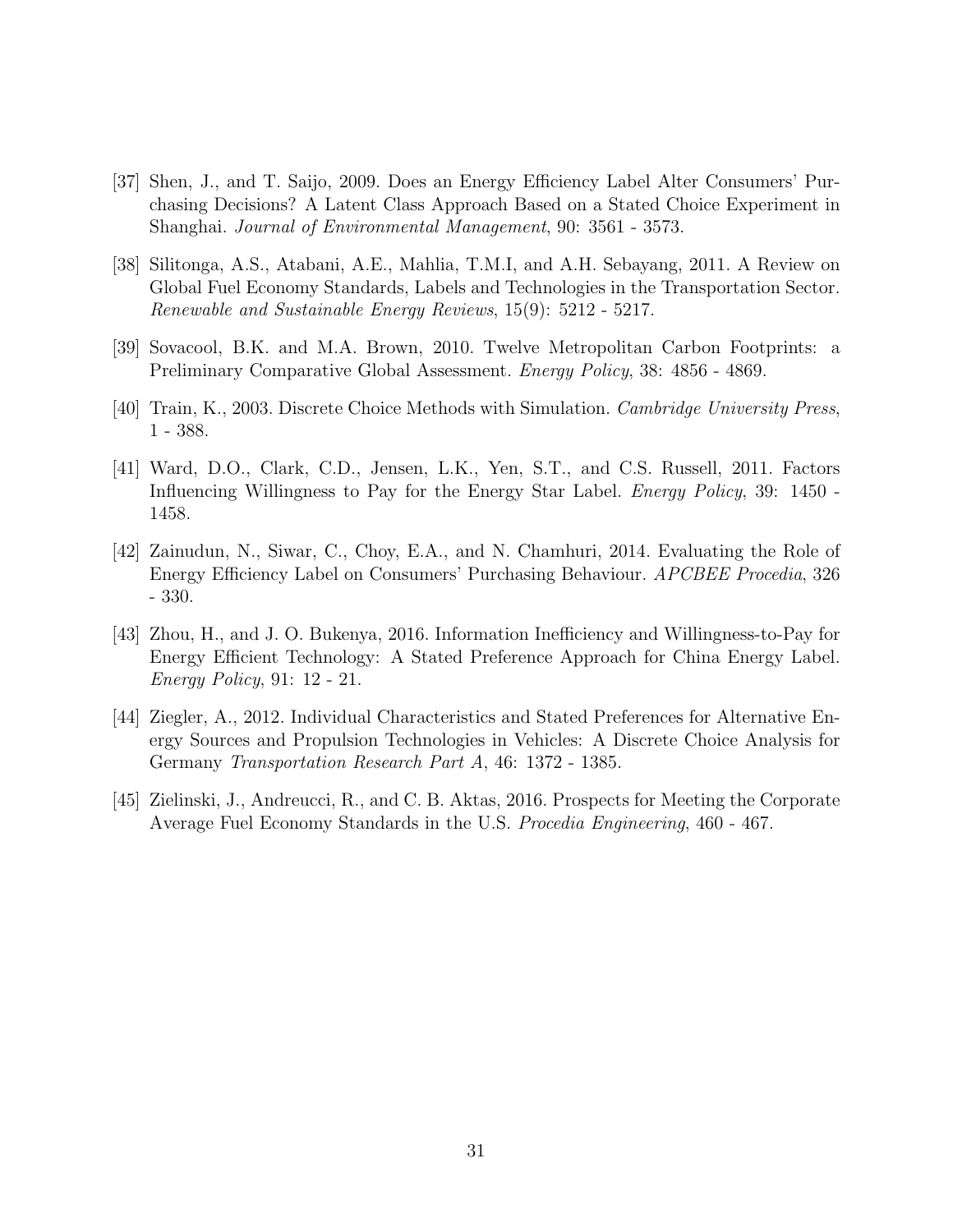- [37] Shen, J., and T. Saijo, 2009. Does an Energy Efficiency Label Alter Consumers' Purchasing Decisions? A Latent Class Approach Based on a Stated Choice Experiment in Shanghai. Journal of Environmental Management, 90: 3561 - 3573.
- [38] Silitonga, A.S., Atabani, A.E., Mahlia, T.M.I, and A.H. Sebayang, 2011. A Review on Global Fuel Economy Standards, Labels and Technologies in the Transportation Sector. Renewable and Sustainable Energy Reviews, 15(9): 5212 - 5217.
- [39] Sovacool, B.K. and M.A. Brown, 2010. Twelve Metropolitan Carbon Footprints: a Preliminary Comparative Global Assessment. Energy Policy, 38: 4856 - 4869.
- [40] Train, K., 2003. Discrete Choice Methods with Simulation. Cambridge University Press, 1 - 388.
- [41] Ward, D.O., Clark, C.D., Jensen, L.K., Yen, S.T., and C.S. Russell, 2011. Factors Influencing Willingness to Pay for the Energy Star Label. *Energy Policy*, 39: 1450 -1458.
- [42] Zainudun, N., Siwar, C., Choy, E.A., and N. Chamhuri, 2014. Evaluating the Role of Energy Efficiency Label on Consumers' Purchasing Behaviour. APCBEE Procedia, 326 - 330.
- [43] Zhou, H., and J. O. Bukenya, 2016. Information Inefficiency and Willingness-to-Pay for Energy Efficient Technology: A Stated Preference Approach for China Energy Label. Energy Policy, 91: 12 - 21.
- [44] Ziegler, A., 2012. Individual Characteristics and Stated Preferences for Alternative Energy Sources and Propulsion Technologies in Vehicles: A Discrete Choice Analysis for Germany Transportation Research Part A, 46: 1372 - 1385.
- [45] Zielinski, J., Andreucci, R., and C. B. Aktas, 2016. Prospects for Meeting the Corporate Average Fuel Economy Standards in the U.S. Procedia Engineering, 460 - 467.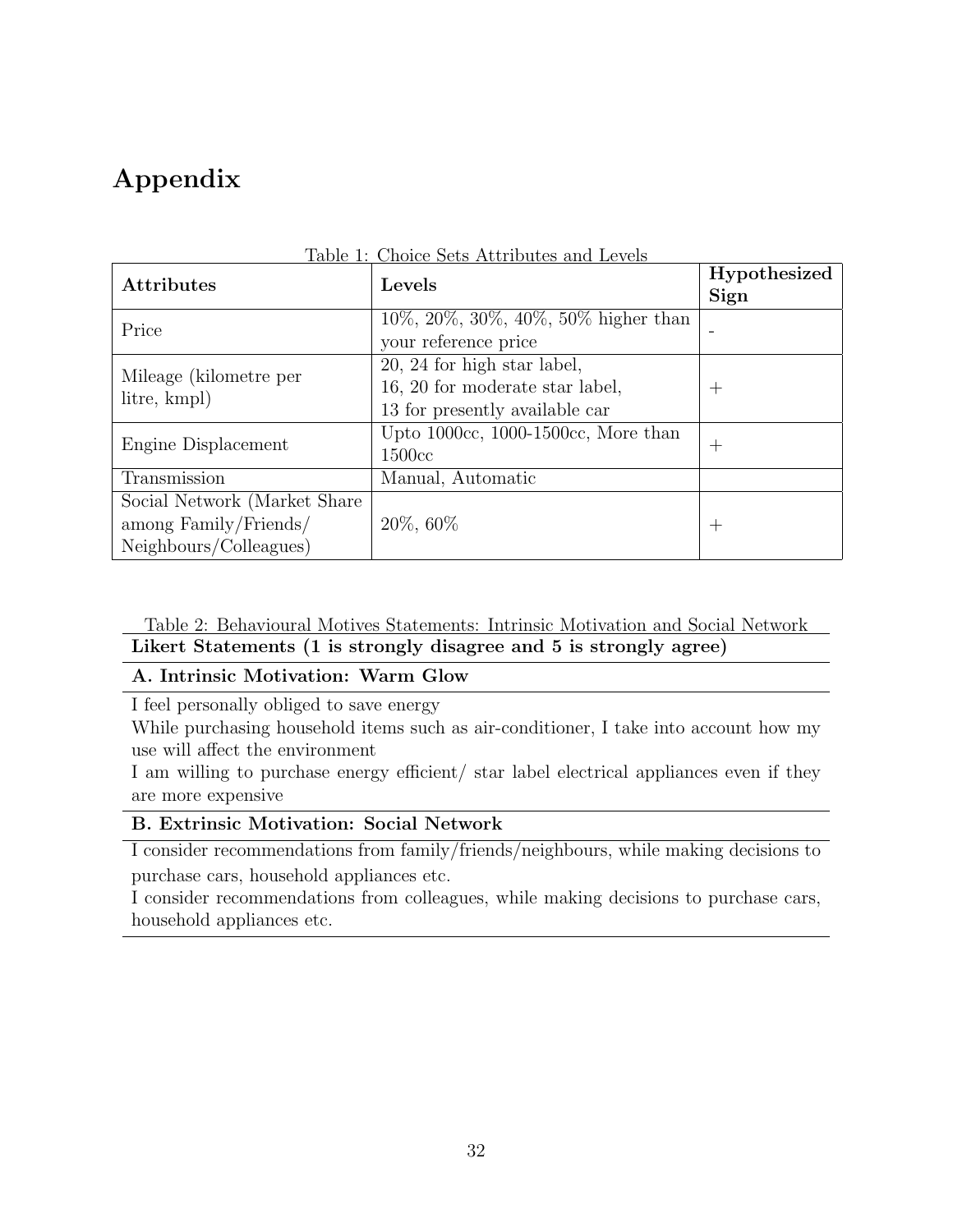## Appendix

| <b>Attributes</b>                      | Table 1: Choice Sets Attributes and Levels<br>Levels | Hypothesized    |
|----------------------------------------|------------------------------------------------------|-----------------|
|                                        |                                                      | Sign            |
| Price                                  | $10\%, 20\%, 30\%, 40\%, 50\%$ higher than           | $\qquad \qquad$ |
|                                        | your reference price                                 |                 |
| Mileage (kilometre per<br>litre, kmpl) | 20, 24 for high star label,                          |                 |
|                                        | 16, 20 for moderate star label,                      | $\pm$           |
|                                        | 13 for presently available car                       |                 |
| Engine Displacement                    | Upto $1000cc$ , $1000-1500cc$ , More than            |                 |
|                                        | 1500 <sub>cc</sub>                                   | $^+$            |
| Transmission                           | Manual, Automatic                                    |                 |
| Social Network (Market Share)          |                                                      |                 |
| $\frac{1}{2}$ among Family/Friends/    | $20\%$ , 60%                                         | $\pm$           |
| Neighbours/Colleagues)                 |                                                      |                 |

Table 1: Choice Sets Attributes and Levels

Table 2: Behavioural Motives Statements: Intrinsic Motivation and Social Network Likert Statements (1 is strongly disagree and 5 is strongly agree)

#### A. Intrinsic Motivation: Warm Glow

I feel personally obliged to save energy

While purchasing household items such as air-conditioner, I take into account how my use will affect the environment

I am willing to purchase energy efficient/ star label electrical appliances even if they are more expensive

#### B. Extrinsic Motivation: Social Network

I consider recommendations from family/friends/neighbours, while making decisions to purchase cars, household appliances etc.

I consider recommendations from colleagues, while making decisions to purchase cars, household appliances etc.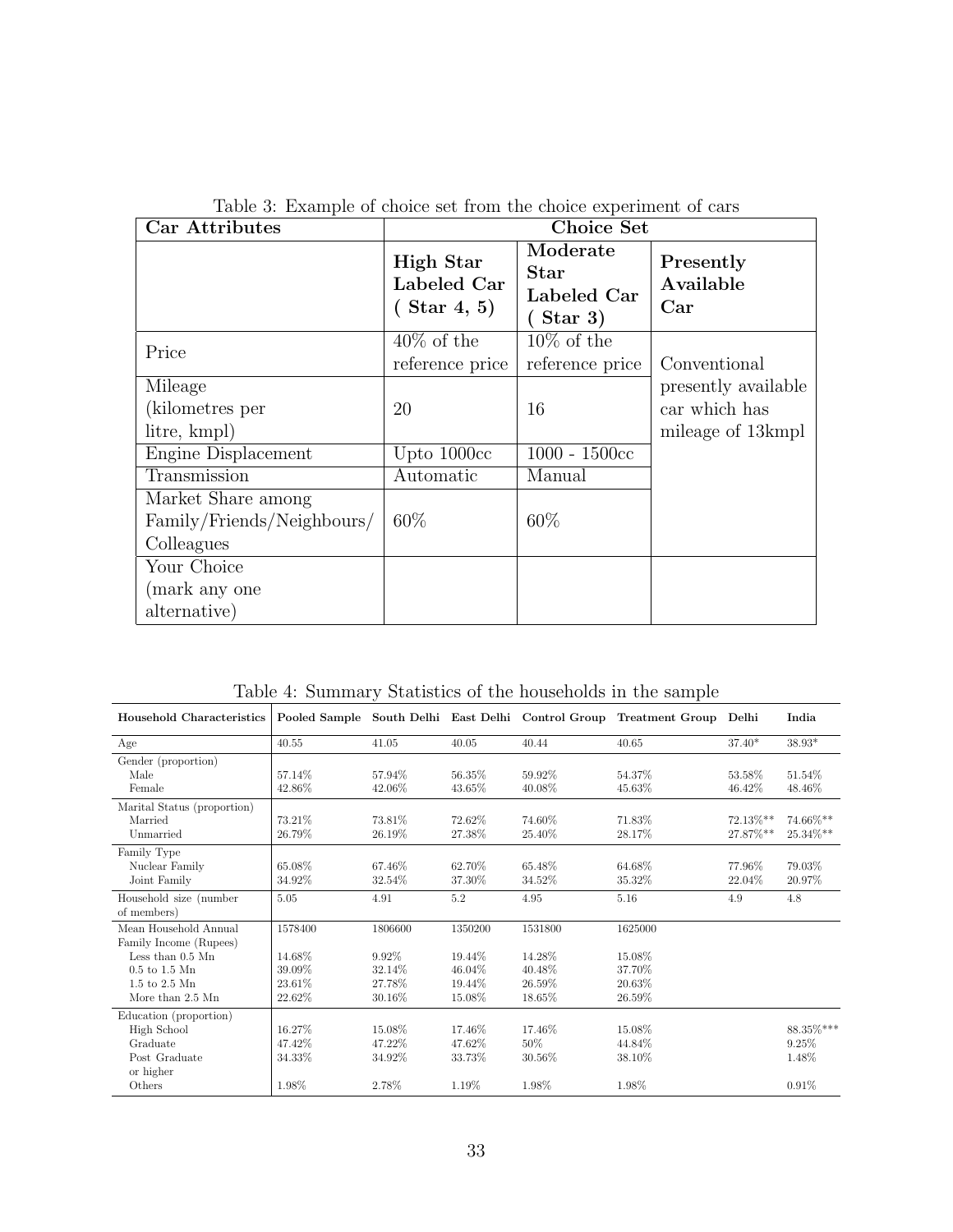| Car Attributes                                                 |                                            | <b>Choice Set</b>                                   |                               |
|----------------------------------------------------------------|--------------------------------------------|-----------------------------------------------------|-------------------------------|
|                                                                | High Star<br>Labeled Car<br>$($ Star 4, 5) | Moderate<br><b>Star</b><br>Labeled Car<br>Star $3)$ | Presently<br>Available<br>Car |
| Price                                                          | $40\%$ of the<br>reference price           | $10\%$ of the<br>reference price                    | Conventional                  |
| Mileage                                                        |                                            |                                                     | presently available           |
| (kilometres per                                                | 20                                         | 16                                                  | car which has                 |
| litre, kmpl)                                                   |                                            |                                                     | mileage of 13 kmpl            |
| Engine Displacement                                            | Upto 1000cc                                | $1000 - 1500c$                                      |                               |
| Transmission                                                   | Automatic                                  | Manual                                              |                               |
| Market Share among<br>Family/Friends/Neighbours/<br>Colleagues | $60\%$                                     | 60%                                                 |                               |
| Your Choice                                                    |                                            |                                                     |                               |
| (mark any one                                                  |                                            |                                                     |                               |
| alternative)                                                   |                                            |                                                     |                               |

Table 3: Example of choice set from the choice experiment of cars

Table 4: Summary Statistics of the households in the sample

| Household Characteristics   |         |         |         |         | Pooled Sample South Delhi East Delhi Control Group Treatment Group Delhi |          | India       |
|-----------------------------|---------|---------|---------|---------|--------------------------------------------------------------------------|----------|-------------|
| Age                         | 40.55   | 41.05   | 40.05   | 40.44   | 40.65                                                                    | $37.40*$ | $38.93*$    |
| Gender (proportion)         |         |         |         |         |                                                                          |          |             |
| Male                        | 57.14%  | 57.94%  | 56.35%  | 59.92%  | 54.37%                                                                   | 53.58%   | 51.54%      |
| Female                      | 42.86%  | 42.06%  | 43.65%  | 40.08%  | 45.63%                                                                   | 46.42\%  | 48.46%      |
| Marital Status (proportion) |         |         |         |         |                                                                          |          |             |
| Married                     | 73.21%  | 73.81%  | 72.62%  | 74.60%  | 71.83%                                                                   | 72.13%** | 74.66%**    |
| Unmarried                   | 26.79%  | 26.19%  | 27.38%  | 25.40%  | 28.17%                                                                   | 27.87%** | $25.34\%**$ |
| Family Type                 |         |         |         |         |                                                                          |          |             |
| Nuclear Family              | 65.08%  | 67.46%  | 62.70%  | 65.48%  | 64.68%                                                                   | 77.96%   | 79.03%      |
| Joint Family                | 34.92%  | 32.54%  | 37.30%  | 34.52%  | 35.32%                                                                   | 22.04\%  | 20.97%      |
| Household size (number)     | 5.05    | 4.91    | 5.2     | 4.95    | 5.16                                                                     | 4.9      | 4.8         |
| of members)                 |         |         |         |         |                                                                          |          |             |
| Mean Household Annual       | 1578400 | 1806600 | 1350200 | 1531800 | 1625000                                                                  |          |             |
| Family Income (Rupees)      |         |         |         |         |                                                                          |          |             |
| Less than 0.5 Mn            | 14.68%  | 9.92%   | 19.44%  | 14.28%  | 15.08%                                                                   |          |             |
| $0.5$ to $1.5$ Mn           | 39.09%  | 32.14%  | 46.04%  | 40.48%  | 37.70%                                                                   |          |             |
| 1.5 to 2.5 Mn               | 23.61%  | 27.78%  | 19.44%  | 26.59%  | 20.63%                                                                   |          |             |
| More than 2.5 Mn            | 22.62%  | 30.16%  | 15.08%  | 18.65%  | 26.59%                                                                   |          |             |
| Education (proportion)      |         |         |         |         |                                                                          |          |             |
| High School                 | 16.27%  | 15.08%  | 17.46%  | 17.46%  | 15.08%                                                                   |          | 88.35%***   |
| Graduate                    | 47.42%  | 47.22%  | 47.62%  | $50\%$  | 44.84%                                                                   |          | 9.25%       |
| Post Graduate               | 34.33%  | 34.92%  | 33.73%  | 30.56%  | 38.10%                                                                   |          | 1.48%       |
| or higher                   |         |         |         |         |                                                                          |          |             |
| Others                      | 1.98%   | 2.78%   | 1.19%   | 1.98%   | 1.98%                                                                    |          | 0.91%       |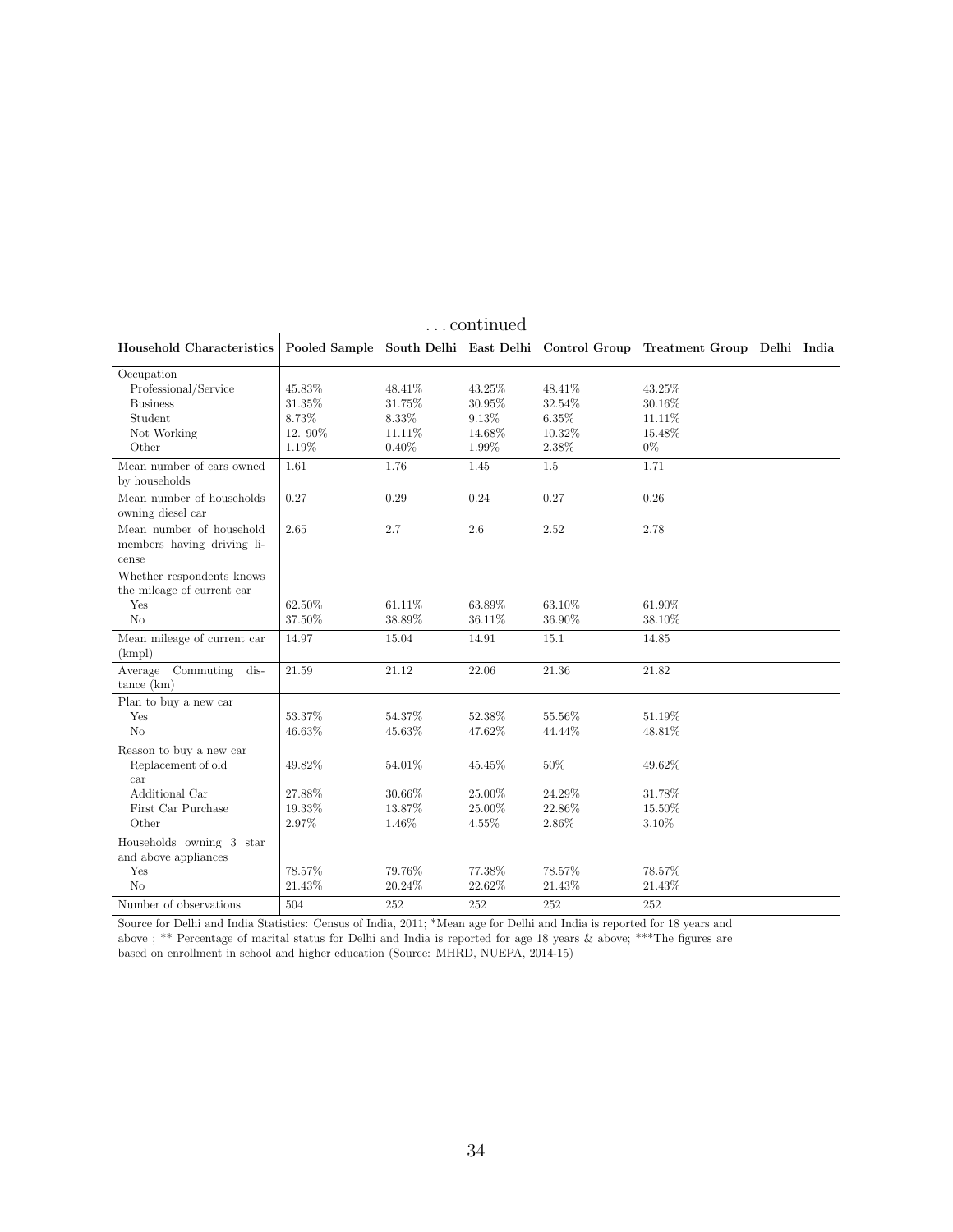|                                                                                          |                                              |                                              | continued                                    |                                              |                                                                                |  |
|------------------------------------------------------------------------------------------|----------------------------------------------|----------------------------------------------|----------------------------------------------|----------------------------------------------|--------------------------------------------------------------------------------|--|
| Household Characteristics                                                                |                                              |                                              |                                              |                                              | Pooled Sample South Delhi East Delhi Control Group Treatment Group Delhi India |  |
| Occupation<br>Professional/Service<br><b>Business</b><br>Student<br>Not Working<br>Other | 45.83%<br>31.35%<br>8.73%<br>12.90%<br>1.19% | 48.41%<br>31.75%<br>8.33%<br>11.11%<br>0.40% | 43.25%<br>30.95%<br>9.13%<br>14.68%<br>1.99% | 48.41%<br>32.54%<br>6.35%<br>10.32%<br>2.38% | 43.25%<br>30.16%<br>11.11%<br>15.48%<br>$0\%$                                  |  |
| Mean number of cars owned<br>by households                                               | 1.61                                         | 1.76                                         | 1.45                                         | 1.5                                          | 1.71                                                                           |  |
| Mean number of households<br>owning diesel car                                           | 0.27                                         | 0.29                                         | 0.24                                         | 0.27                                         | 0.26                                                                           |  |
| Mean number of household<br>members having driving li-<br>cense                          | 2.65                                         | 2.7                                          | 2.6                                          | 2.52                                         | 2.78                                                                           |  |
| Whether respondents knows<br>the mileage of current car<br>Yes<br>N <sub>o</sub>         | 62.50%<br>37.50%                             | 61.11%<br>38.89%                             | 63.89%<br>36.11%                             | 63.10%<br>36.90%                             | 61.90%<br>38.10%                                                               |  |
| Mean mileage of current car<br>(kmpl)                                                    | 14.97                                        | 15.04                                        | 14.91                                        | 15.1                                         | 14.85                                                                          |  |
| Commuting<br>Average<br>dis-<br>tance (km)                                               | 21.59                                        | 21.12                                        | 22.06                                        | 21.36                                        | 21.82                                                                          |  |
| $\overline{\mathrm{Plan}}$ to buy a new car<br>Yes<br>N <sub>o</sub>                     | 53.37%<br>46.63%                             | 54.37%<br>45.63%                             | 52.38%<br>47.62%                             | 55.56%<br>44.44%                             | 51.19%<br>48.81%                                                               |  |
| Reason to buy a new car<br>Replacement of old<br>car                                     | 49.82%                                       | 54.01%                                       | 45.45%                                       | 50%                                          | 49.62%                                                                         |  |
| Additional Car<br>First Car Purchase<br>Other                                            | 27.88%<br>19.33%<br>2.97%                    | 30.66%<br>13.87%<br>1.46%                    | 25.00%<br>25.00%<br>4.55%                    | 24.29%<br>22.86%<br>2.86%                    | 31.78%<br>15.50%<br>3.10%                                                      |  |
| Households owning 3 star<br>and above appliances<br>Yes<br>No                            | 78.57%<br>21.43%                             | 79.76%<br>20.24%                             | 77.38%<br>22.62%                             | 78.57%<br>21.43%                             | 78.57%<br>21.43%                                                               |  |
| Number of observations                                                                   | 504                                          | 252                                          | 252                                          | 252                                          | 252                                                                            |  |

Source for Delhi and India Statistics: Census of India, 2011; \*Mean age for Delhi and India is reported for 18 years and above ; \*\* Percentage of marital status for Delhi and India is reported for age 18 years & above; \*\*\*The figures are based on enrollment in school and higher education (Source: MHRD, NUEPA, 2014-15)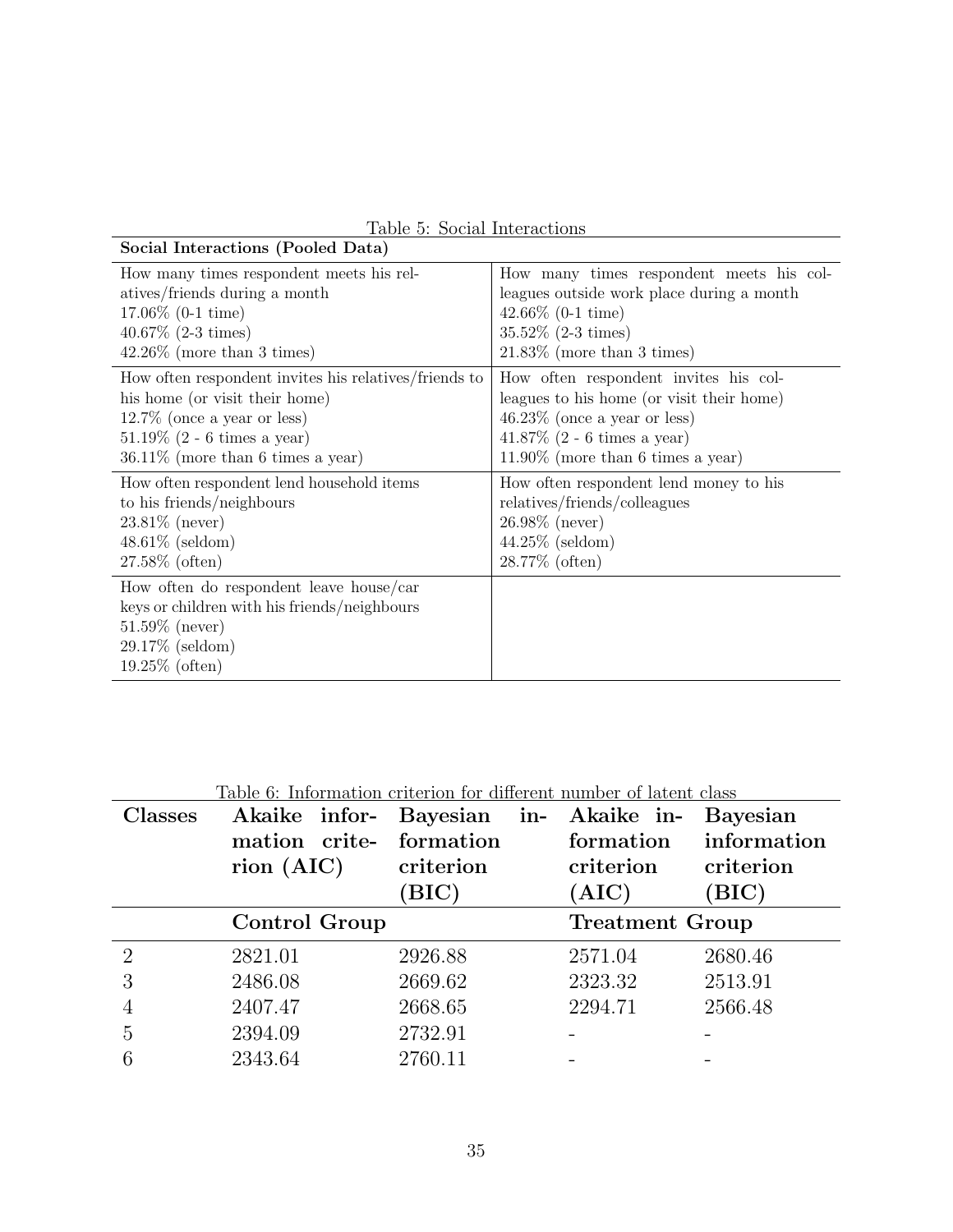| Social Interactions (Pooled Data)                                                                                                                       |                                           |
|---------------------------------------------------------------------------------------------------------------------------------------------------------|-------------------------------------------|
| How many times respondent meets his rel-                                                                                                                | How many times respondent meets his col-  |
| atives/friends during a month                                                                                                                           | leagues outside work place during a month |
| $17.06\%$ (0-1 time)                                                                                                                                    | $42.66\%$ (0-1 time)                      |
| $40.67\%$ (2-3 times)                                                                                                                                   | $35.52\%$ (2-3 times)                     |
| $42.26\%$ (more than 3 times)                                                                                                                           | $21.83\%$ (more than 3 times)             |
| How often respondent invites his relatives/friends to                                                                                                   | How often respondent invites his col-     |
| his home (or visit their home)                                                                                                                          | leagues to his home (or visit their home) |
| $12.7\%$ (once a year or less)                                                                                                                          | $46.23\%$ (once a year or less)           |
| $51.19\%$ (2 - 6 times a year)                                                                                                                          | 41.87\% $(2 - 6 \times a \times b)$       |
| $36.11\%$ (more than 6 times a year)                                                                                                                    | $11.90\%$ (more than 6 times a year)      |
| How often respondent lend household items                                                                                                               | How often respondent lend money to his    |
| to his friends/neighbours                                                                                                                               | relatives/friends/colleagues              |
| $23.81\%$ (never)                                                                                                                                       | $26.98\%$ (never)                         |
| $48.61\%$ (seldom)                                                                                                                                      | $44.25\%$ (seldom)                        |
| $27.58\%$ (often)                                                                                                                                       | 28.77% (often)                            |
| How often do respondent leave house/car<br>keys or children with his friends/neighbours<br>$51.59\%$ (never)<br>$29.17\%$ (seldom)<br>$19.25\%$ (often) |                                           |

Table 5: Social Interactions

|                | Table 6: Information criterion for different number of latent class |              |                        |                 |
|----------------|---------------------------------------------------------------------|--------------|------------------------|-----------------|
| <b>Classes</b> | Akaike infor-                                                       | Bayesian in- | Akaike in-             | <b>Bayesian</b> |
|                | mation crite-                                                       | formation    | formation              | information     |
|                | $\text{rion}(\text{AIC})$                                           | criterion    | criterion              | criterion       |
|                |                                                                     | (BIC)        | $\rm{(AIC)}$           | (BIC)           |
|                | <b>Control Group</b>                                                |              | <b>Treatment Group</b> |                 |
| $\overline{2}$ | 2821.01                                                             | 2926.88      | 2571.04                | 2680.46         |
| 3              | 2486.08                                                             | 2669.62      | 2323.32                | 2513.91         |
| 4              | 2407.47                                                             | 2668.65      | 2294.71                | 2566.48         |
| 5              | 2394.09                                                             | 2732.91      |                        |                 |
|                |                                                                     |              |                        |                 |

Table 6: Information criterion for different number of latent class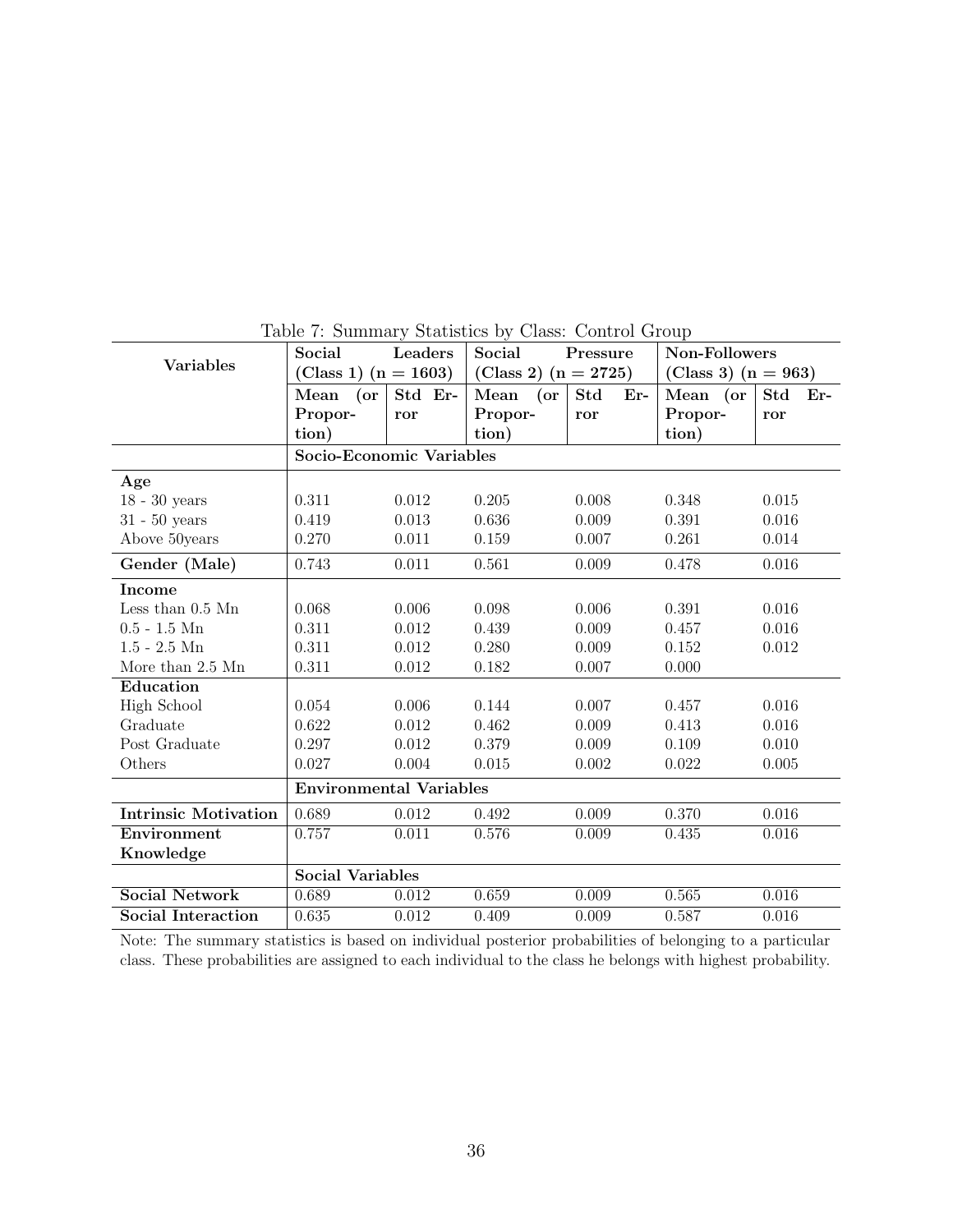|                             | Social                         | Leaders | Social                 | Pressure            | Non-Followers         |                     |
|-----------------------------|--------------------------------|---------|------------------------|---------------------|-----------------------|---------------------|
| <b>Variables</b>            | (Class 1) $(n = 1603)$         |         | (Class 2) $(n = 2725)$ |                     | (Class 3) $(n = 963)$ |                     |
|                             | Mean<br>$($ or                 | Std Er- | Mean<br>$($ or         | <b>Std</b><br>$Er-$ | Mean (or              | <b>Std</b><br>$Er-$ |
|                             | Propor-                        | ror     | Propor-                | ror                 | Propor-               | ror                 |
|                             | tion)                          |         | tion)                  |                     | tion)                 |                     |
|                             | Socio-Economic Variables       |         |                        |                     |                       |                     |
| Age                         |                                |         |                        |                     |                       |                     |
| $18 - 30$ years             | 0.311                          | 0.012   | 0.205                  | 0.008               | 0.348                 | 0.015               |
| $31 - 50$ years             | 0.419                          | 0.013   | 0.636                  | 0.009               | 0.391                 | 0.016               |
| Above 50years               | 0.270                          | 0.011   | 0.159                  | 0.007               | 0.261                 | 0.014               |
| Gender (Male)               | 0.743                          | 0.011   | 0.561                  | 0.009               | 0.478                 | 0.016               |
| Income                      |                                |         |                        |                     |                       |                     |
| Less than $0.5$ Mn          | 0.068                          | 0.006   | 0.098                  | 0.006               | 0.391                 | 0.016               |
| $0.5 - 1.5$ Mn              | 0.311                          | 0.012   | 0.439                  | 0.009               | 0.457                 | 0.016               |
| $1.5 - 2.5$ Mn              | 0.311                          | 0.012   | 0.280                  | 0.009               | 0.152                 | 0.012               |
| More than 2.5 Mn            | 0.311                          | 0.012   | 0.182                  | 0.007               | 0.000                 |                     |
| Education                   |                                |         |                        |                     |                       |                     |
| High School                 | 0.054                          | 0.006   | 0.144                  | 0.007               | 0.457                 | 0.016               |
| Graduate                    | 0.622                          | 0.012   | 0.462                  | 0.009               | 0.413                 | 0.016               |
| Post Graduate               | 0.297                          | 0.012   | 0.379                  | 0.009               | 0.109                 | 0.010               |
| Others                      | 0.027                          | 0.004   | 0.015                  | 0.002               | 0.022                 | 0.005               |
|                             | <b>Environmental Variables</b> |         |                        |                     |                       |                     |
| <b>Intrinsic Motivation</b> | 0.689                          | 0.012   | 0.492                  | 0.009               | 0.370                 | 0.016               |
| Environment                 | 0.757                          | 0.011   | 0.576                  | 0.009               | 0.435                 | 0.016               |
| Knowledge                   |                                |         |                        |                     |                       |                     |
|                             | <b>Social Variables</b>        |         |                        |                     |                       |                     |
| <b>Social Network</b>       | 0.689                          | 0.012   | 0.659                  | 0.009               | 0.565                 | 0.016               |
| <b>Social Interaction</b>   | 0.635                          | 0.012   | 0.409                  | 0.009               | 0.587                 | 0.016               |

Table 7: Summary Statistics by Class: Control Group

Note: The summary statistics is based on individual posterior probabilities of belonging to a particular class. These probabilities are assigned to each individual to the class he belongs with highest probability.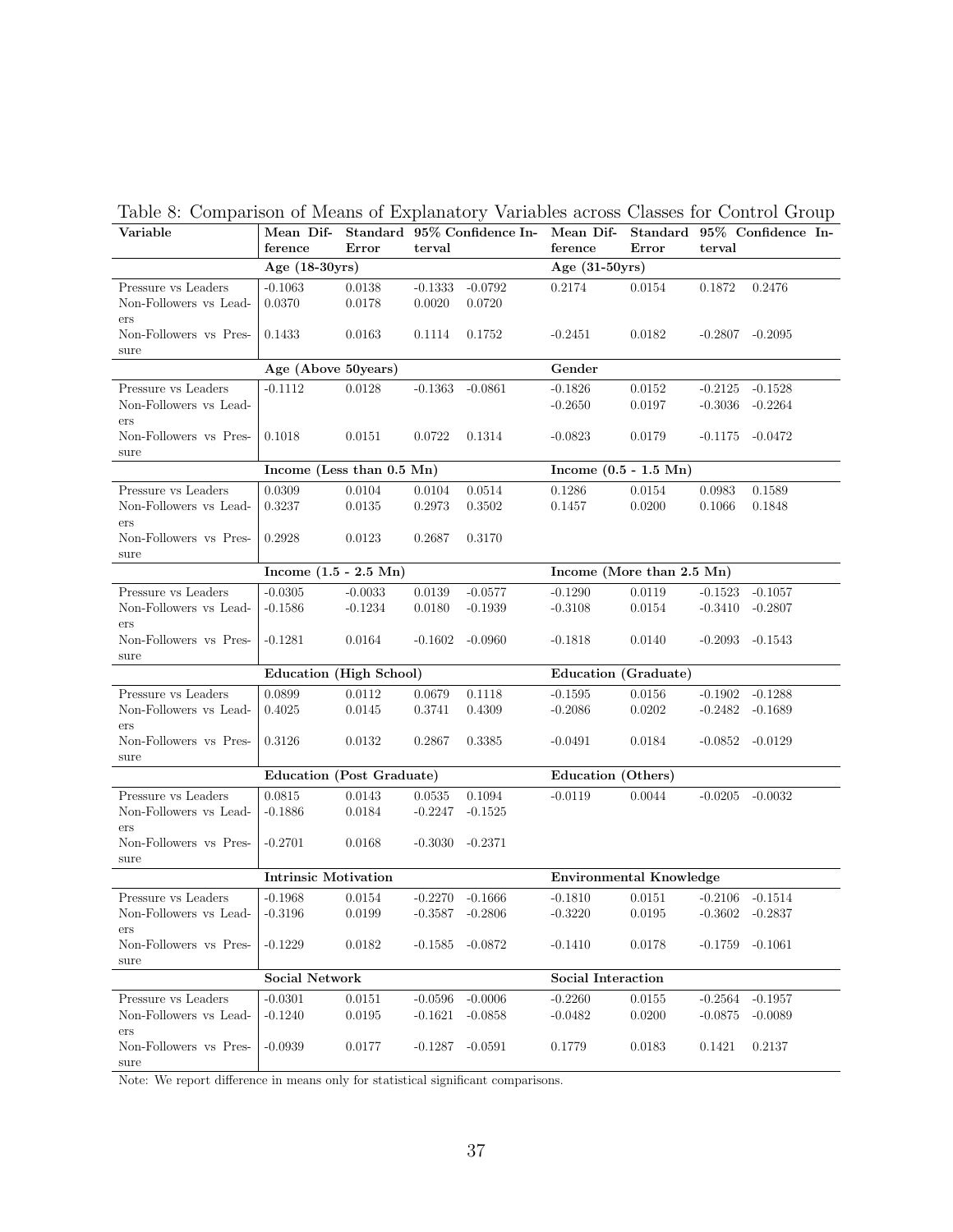| caste of Comparison of Incans of Explanatory Variables across Classes for Control Croup<br>Variable |                                 |            |                    |                     |                                        |        |                    | Mean Dif- Standard 95% Confidence In- Mean Dif- Standard 95% Confidence In- |
|-----------------------------------------------------------------------------------------------------|---------------------------------|------------|--------------------|---------------------|----------------------------------------|--------|--------------------|-----------------------------------------------------------------------------|
|                                                                                                     | ference<br>Age $(18-30yrs)$     | Error      | terval             |                     | ference<br>Age $(31-50yrs)$            | Error  | terval             |                                                                             |
|                                                                                                     | $-0.1063$                       | 0.0138     | $-0.1333$          |                     |                                        | 0.0154 |                    | 0.2476                                                                      |
| Pressure vs Leaders<br>Non-Followers vs Lead-                                                       | 0.0370                          | 0.0178     | 0.0020             | $-0.0792$<br>0.0720 | 0.2174                                 |        | 0.1872             |                                                                             |
| ers                                                                                                 |                                 |            |                    |                     |                                        |        |                    |                                                                             |
| Non-Followers vs Pres-                                                                              | 0.1433                          | 0.0163     | 0.1114             | 0.1752              | $-0.2451$                              | 0.0182 |                    | $-0.2807 -0.2095$                                                           |
| sure                                                                                                |                                 |            |                    |                     |                                        |        |                    |                                                                             |
| Age (Above 50 years)                                                                                |                                 |            |                    |                     | Gender                                 |        |                    |                                                                             |
| Pressure vs Leaders                                                                                 | $-0.1112$                       | 0.0128     | $-0.1363 - 0.0861$ |                     | $-0.1826$                              | 0.0152 |                    | $-0.2125 - 0.1528$                                                          |
| Non-Followers vs Lead-                                                                              |                                 |            |                    |                     | $-0.2650$                              | 0.0197 |                    | $-0.3036 - 0.2264$                                                          |
| ers                                                                                                 |                                 |            |                    |                     |                                        |        |                    |                                                                             |
| Non-Followers vs Pres-                                                                              | 0.1018                          | 0.0151     | 0.0722             | 0.1314              | $-0.0823$                              | 0.0179 |                    | $-0.1175 - 0.0472$                                                          |
| sure                                                                                                |                                 |            |                    |                     |                                        |        |                    |                                                                             |
|                                                                                                     | Income (Less than 0.5 Mn)       |            |                    |                     | Income $(0.5 - 1.5 \text{ Mn})$        |        |                    |                                                                             |
| Pressure vs Leaders                                                                                 | 0.0309                          | 0.0104     | 0.0104             | 0.0514              | 0.1286                                 | 0.0154 | 0.0983             | 0.1589                                                                      |
| Non-Followers vs Lead-<br>ers                                                                       | 0.3237                          | $0.0135\,$ | 0.2973             | 0.3502              | 0.1457                                 | 0.0200 | 0.1066             | 0.1848                                                                      |
| Non-Followers vs Pres-                                                                              | 0.2928                          | 0.0123     | 0.2687             | 0.3170              |                                        |        |                    |                                                                             |
| sure                                                                                                |                                 |            |                    |                     |                                        |        |                    |                                                                             |
|                                                                                                     | Income $(1.5 - 2.5 \text{ Mn})$ |            |                    |                     | Income (More than 2.5 Mn)              |        |                    |                                                                             |
| Pressure vs Leaders                                                                                 | $-0.0305$                       | $-0.0033$  | 0.0139             | $-0.0577$           | $-0.1290$                              | 0.0119 | $-0.1523$          | $-0.1057$                                                                   |
| Non-Followers vs Lead-                                                                              | $-0.1586$                       | $-0.1234$  | 0.0180             | $-0.1939$           | $-0.3108$                              | 0.0154 | $-0.3410 - 0.2807$ |                                                                             |
| ers<br>Non-Followers vs Pres-                                                                       | $-0.1281$                       | 0.0164     |                    | $-0.1602 - 0.0960$  | $-0.1818$                              | 0.0140 |                    | $-0.2093 - 0.1543$                                                          |
| sure                                                                                                |                                 |            |                    |                     |                                        |        |                    |                                                                             |
|                                                                                                     | Education (High School)         |            |                    |                     | Education (Graduate)                   |        |                    |                                                                             |
| Pressure vs Leaders                                                                                 | 0.0899                          | 0.0112     | 0.0679             | 0.1118              | $-0.1595$                              | 0.0156 |                    | $-0.1902 -0.1288$                                                           |
| Non-Followers vs Lead-                                                                              | 0.4025                          | 0.0145     | 0.3741             | 0.4309              | $-0.2086$                              | 0.0202 |                    | $-0.2482 - 0.1689$                                                          |
| ers                                                                                                 |                                 |            |                    |                     |                                        |        |                    |                                                                             |
| Non-Followers vs Pres-<br>sure                                                                      | 0.3126                          | 0.0132     | 0.2867             | 0.3385              | $-0.0491$                              | 0.0184 |                    | $-0.0852 -0.0129$                                                           |
|                                                                                                     | Education (Post Graduate)       |            |                    |                     | Education (Others)                     |        |                    |                                                                             |
| Pressure vs Leaders                                                                                 | 0.0815                          | 0.0143     | 0.0535             | 0.1094              | $-0.0119$                              | 0.0044 | $-0.0205 - 0.0032$ |                                                                             |
| Non-Followers vs Lead-                                                                              | $-0.1886$                       | 0.0184     | $-0.2247$          | $-0.1525$           |                                        |        |                    |                                                                             |
| ers                                                                                                 |                                 |            |                    |                     |                                        |        |                    |                                                                             |
| Non-Followers vs Pres-                                                                              | $-0.2701$                       | 0.0168     | $-0.3030 -0.2371$  |                     |                                        |        |                    |                                                                             |
| sure                                                                                                |                                 |            |                    |                     |                                        |        |                    |                                                                             |
|                                                                                                     | <b>Intrinsic Motivation</b>     |            |                    |                     | <b>Environmental Knowledge</b>         |        |                    |                                                                             |
| Pressure vs Leaders                                                                                 | $-0.1968$                       | 0.0154     | $-0.2270 -0.1666$  |                     | $-0.1810$                              | 0.0151 | $-0.2106 - 0.1514$ |                                                                             |
| Non-Followers vs Lead-                                                                              | $-0.3196$                       | 0.0199     | $-0.3587 -0.2806$  |                     | $-0.3220$ $0.0195$ $-0.3602$ $-0.2837$ |        |                    |                                                                             |
| ers<br>Non-Followers vs Pres-                                                                       | $-0.1229$                       | 0.0182     | $-0.1585$          | $-0.0872$           | $-0.1410$                              | 0.0178 | $-0.1759$          | $-0.1061$                                                                   |
| sure                                                                                                |                                 |            |                    |                     |                                        |        |                    |                                                                             |
|                                                                                                     | <b>Social Network</b>           |            |                    |                     | Social Interaction                     |        |                    |                                                                             |
| Pressure vs Leaders                                                                                 | $-0.0301$                       | 0.0151     | $-0.0596$          | $-0.0006$           | $-0.2260$                              | 0.0155 | $-0.2564$          | $-0.1957$                                                                   |
| Non-Followers vs Lead-                                                                              | $-0.1240$                       | 0.0195     | $-0.1621$          | $-0.0858$           | $-0.0482$                              | 0.0200 | $-0.0875$          | $-0.0089$                                                                   |
| ers                                                                                                 |                                 |            |                    |                     |                                        |        |                    |                                                                             |
| Non-Followers vs Pres-                                                                              | $-0.0939$                       | 0.0177     | $-0.1287 - 0.0591$ |                     | 0.1779                                 | 0.0183 | 0.1421             | 0.2137                                                                      |
| sure                                                                                                |                                 |            |                    |                     |                                        |        |                    |                                                                             |

Table 8: Comparison of Means of Explanatory Variables across Classes for Control Group

Note: We report difference in means only for statistical significant comparisons.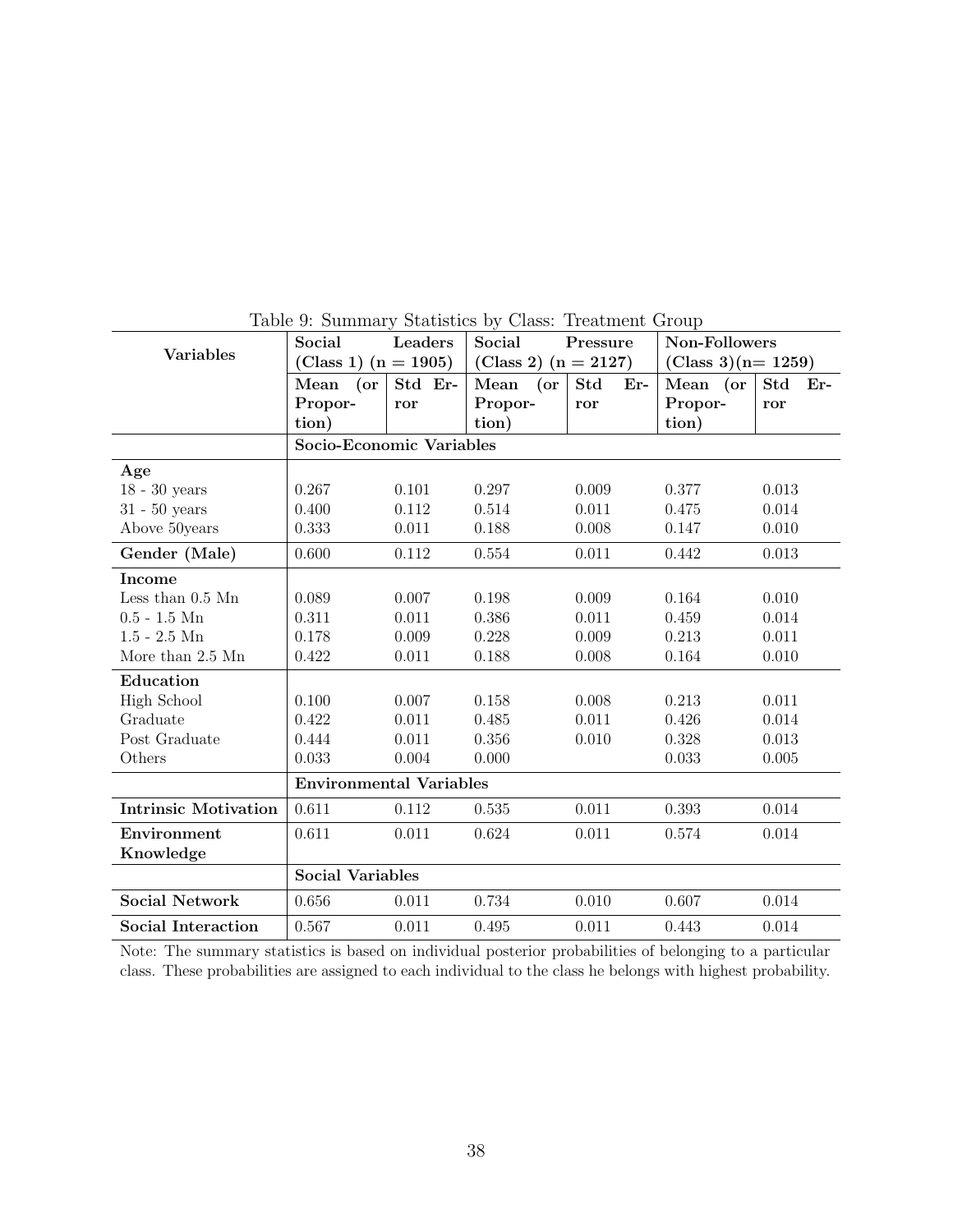| <b>Variables</b>            | Social<br>(Class 1) $(n = 1905)$ | Leaders | Social<br>(Class 2) $(n = 2127)$ | Pressure          | Non-Followers<br>(Class 3)( $n=1259$ ) |              |
|-----------------------------|----------------------------------|---------|----------------------------------|-------------------|----------------------------------------|--------------|
|                             | Mean<br>$($ or                   | Std Er- | Mean<br>$($ or                   | <b>Std</b><br>Er- | Mean (or                               | Std<br>$Er-$ |
|                             | Propor-                          | ror     | Propor-                          | ror               | Propor-                                | ror          |
|                             | tion)                            |         | tion)                            |                   | tion)                                  |              |
|                             | Socio-Economic Variables         |         |                                  |                   |                                        |              |
| Age                         |                                  |         |                                  |                   |                                        |              |
| $18$ - $30$ years           | 0.267                            | 0.101   | 0.297                            | 0.009             | 0.377                                  | 0.013        |
| $31 - 50$ years             | 0.400                            | 0.112   | 0.514                            | 0.011             | 0.475                                  | 0.014        |
| Above 50years               | 0.333                            | 0.011   | 0.188                            | 0.008             | 0.147                                  | 0.010        |
| Gender (Male)               | 0.600                            | 0.112   | 0.554                            | 0.011             | 0.442                                  | 0.013        |
| Income                      |                                  |         |                                  |                   |                                        |              |
| Less than $0.5$ Mn          | 0.089                            | 0.007   | 0.198                            | 0.009             | 0.164                                  | 0.010        |
| $0.5 - 1.5$ Mn              | 0.311                            | 0.011   | 0.386                            | 0.011             | 0.459                                  | 0.014        |
| $1.5 - 2.5$ Mn              | 0.178                            | 0.009   | 0.228                            | 0.009             | 0.213                                  | 0.011        |
| More than 2.5 Mn            | 0.422                            | 0.011   | 0.188                            | 0.008             | 0.164                                  | 0.010        |
| Education                   |                                  |         |                                  |                   |                                        |              |
| <b>High School</b>          | 0.100                            | 0.007   | 0.158                            | 0.008             | 0.213                                  | 0.011        |
| Graduate                    | 0.422                            | 0.011   | 0.485                            | 0.011             | 0.426                                  | 0.014        |
| Post Graduate               | 0.444                            | 0.011   | 0.356                            | 0.010             | 0.328                                  | 0.013        |
| Others                      | 0.033                            | 0.004   | 0.000                            |                   | 0.033                                  | 0.005        |
|                             | <b>Environmental Variables</b>   |         |                                  |                   |                                        |              |
| <b>Intrinsic Motivation</b> | 0.611                            | 0.112   | 0.535                            | 0.011             | 0.393                                  | 0.014        |
| Environment                 | 0.611                            | 0.011   | 0.624                            | 0.011             | 0.574                                  | 0.014        |
| Knowledge                   |                                  |         |                                  |                   |                                        |              |
|                             | <b>Social Variables</b>          |         |                                  |                   |                                        |              |
| <b>Social Network</b>       | 0.656                            | 0.011   | 0.734                            | 0.010             | 0.607                                  | 0.014        |
| <b>Social Interaction</b>   | 0.567                            | 0.011   | 0.495                            | 0.011             | 0.443                                  | 0.014        |

Table 9: Summary Statistics by Class: Treatment Group

Note: The summary statistics is based on individual posterior probabilities of belonging to a particular class. These probabilities are assigned to each individual to the class he belongs with highest probability.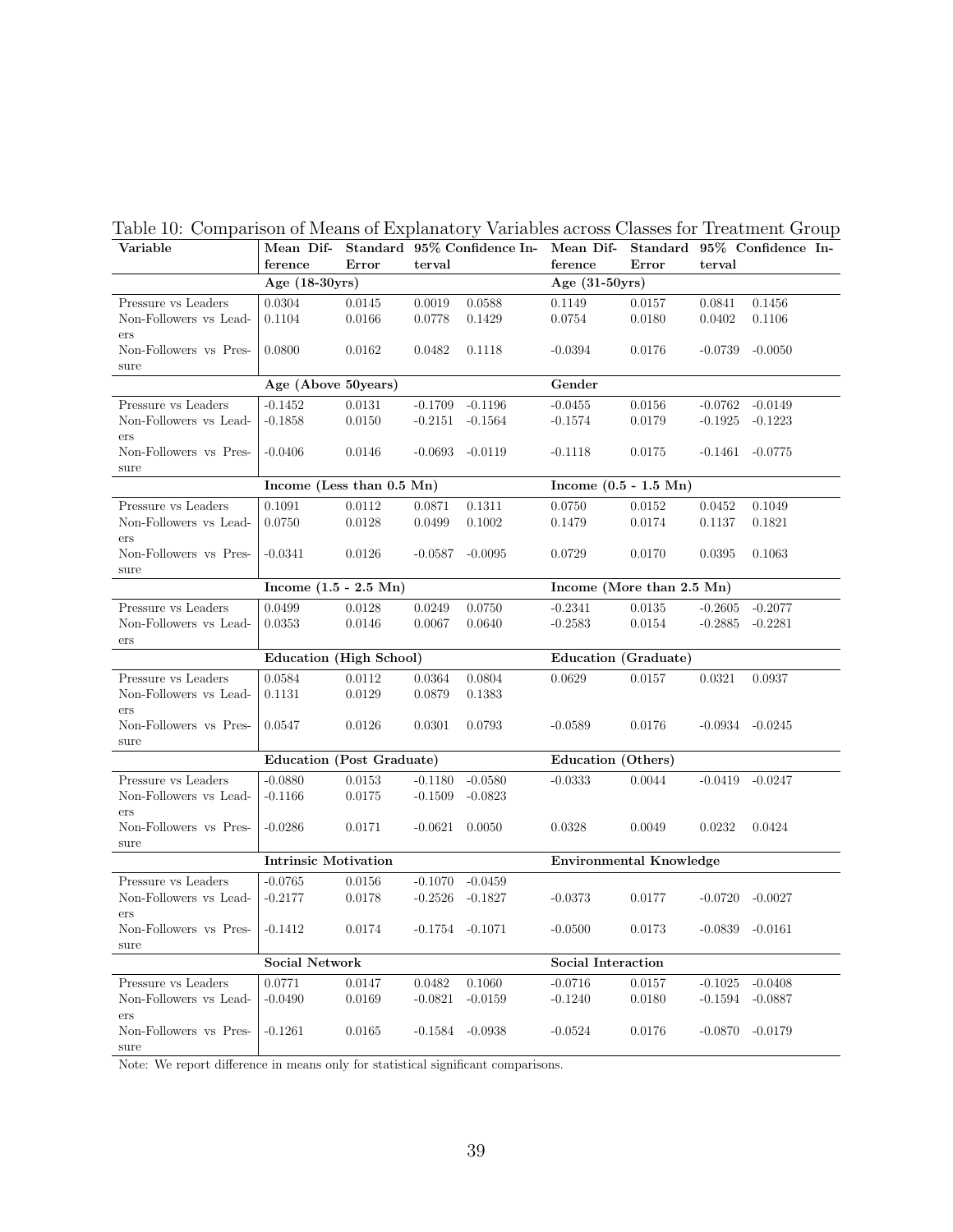| Variable                        | Mean Dif-<br>ference        | Error            | terval                 | Standard 95% Confidence In- Mean Dif- | ference                         | Standard 95% Confidence In-<br>Error | terval             |                     |  |
|---------------------------------|-----------------------------|------------------|------------------------|---------------------------------------|---------------------------------|--------------------------------------|--------------------|---------------------|--|
|                                 | Age $(18-30yrs)$            |                  |                        |                                       | Age $(31-50yrs)$                |                                      |                    |                     |  |
| Pressure vs Leaders             | 0.0304                      | 0.0145           | 0.0019                 | 0.0588                                | 0.1149                          | 0.0157                               | 0.0841             | 0.1456              |  |
| Non-Followers vs Lead-          | 0.1104                      | 0.0166           | 0.0778                 | 0.1429                                | 0.0754                          | 0.0180                               | $0.0402\,$         | 0.1106              |  |
| ers                             |                             |                  |                        |                                       |                                 |                                      |                    |                     |  |
| Non-Followers vs Pres-          | 0.0800                      | 0.0162           | 0.0482                 | 0.1118                                | $-0.0394$                       | 0.0176                               | $-0.0739$          | $-0.0050$           |  |
| sure                            |                             |                  |                        |                                       |                                 |                                      |                    |                     |  |
|                                 | Age (Above 50years)         |                  |                        |                                       | Gender                          |                                      |                    |                     |  |
| Pressure vs Leaders             | $-0.1452$                   | 0.0131           | $-0.1709$              | $-0.1196$                             | $-0.0455$                       | 0.0156                               | $-0.0762 - 0.0149$ |                     |  |
| Non-Followers vs Lead-          | $-0.1858$                   | 0.0150           | $-0.2151$              | $-0.1564$                             | $-0.1574$                       | 0.0179                               | $-0.1925$          | $-0.1223$           |  |
| ers                             |                             |                  |                        |                                       |                                 |                                      |                    |                     |  |
| Non-Followers vs Pres-          | $-0.0406$                   | 0.0146           | $-0.0693$              | -0.0119                               | $-0.1118$                       | 0.0175                               | $-0.1461 - 0.0775$ |                     |  |
| sure                            |                             |                  |                        |                                       |                                 |                                      |                    |                     |  |
|                                 | Income (Less than 0.5 Mn)   |                  |                        |                                       | Income $(0.5 - 1.5 \text{ Mn})$ |                                      |                    |                     |  |
| Pressure vs Leaders             | 0.1091                      | 0.0112           | 0.0871                 | 0.1311                                | 0.0750                          | 0.0152                               | 0.0452             | 0.1049              |  |
| Non-Followers vs Lead-          | 0.0750                      | 0.0128           | 0.0499                 | 0.1002                                | 0.1479                          | 0.0174                               | 0.1137             | 0.1821              |  |
| ers                             |                             |                  |                        |                                       |                                 |                                      |                    |                     |  |
| Non-Followers vs Pres-<br>sure  | $-0.0341$                   | 0.0126           | $-0.0587$              | $-0.0095$                             | 0.0729                          | 0.0170                               | 0.0395             | 0.1063              |  |
| Income $(1.5 - 2.5 \text{ Mn})$ |                             |                  |                        |                                       | Income (More than 2.5 Mn)       |                                      |                    |                     |  |
| Pressure vs Leaders             | 0.0499                      | 0.0128           | 0.0249                 | 0.0750                                | $-0.2341$                       | 0.0135                               | $-0.2605$          | $-0.2077$           |  |
| Non-Followers vs Lead-          | 0.0353                      | 0.0146           | 0.0067                 | 0.0640                                | $-0.2583$                       | 0.0154                               | $-0.2885$          | $-0.2281$           |  |
| ers                             |                             |                  |                        |                                       |                                 |                                      |                    |                     |  |
|                                 | Education (High School)     |                  |                        |                                       | Education (Graduate)            |                                      |                    |                     |  |
| Pressure vs Leaders             | 0.0584                      | 0.0112           | 0.0364                 | 0.0804                                | 0.0629                          | 0.0157                               | 0.0321             | 0.0937              |  |
| Non-Followers vs Lead-          | 0.1131                      | 0.0129           | 0.0879                 | 0.1383                                |                                 |                                      |                    |                     |  |
| ers                             |                             |                  |                        |                                       |                                 |                                      |                    |                     |  |
| Non-Followers vs Pres-          | 0.0547                      | 0.0126           | 0.0301                 | 0.0793                                | $-0.0589$                       | 0.0176                               |                    | $-0.0934$ $-0.0245$ |  |
| sure                            |                             |                  |                        |                                       |                                 |                                      |                    |                     |  |
|                                 | Education (Post Graduate)   |                  |                        |                                       | Education (Others)              |                                      |                    |                     |  |
| Pressure vs Leaders             | $-0.0880$                   | 0.0153           | $-0.1180$              | $-0.0580$                             | $-0.0333$                       | 0.0044                               | $-0.0419$          | $-0.0247$           |  |
| Non-Followers vs Lead-          | $-0.1166$                   | 0.0175           | $-0.1509$              | $-0.0823$                             |                                 |                                      |                    |                     |  |
| ers                             |                             |                  |                        |                                       |                                 |                                      |                    |                     |  |
| Non-Followers vs Pres-          | $-0.0286$                   | 0.0171           | $-0.0621$ $0.0050$     |                                       | 0.0328                          | 0.0049                               | 0.0232             | 0.0424              |  |
| sure                            | <b>Intrinsic Motivation</b> |                  |                        |                                       | Environmental Knowledge         |                                      |                    |                     |  |
| Pressure vs Leaders             | $-0.0765$                   |                  |                        | $-0.0459$                             |                                 |                                      |                    |                     |  |
| Non-Followers vs Lead-          | $-0.2177$                   | 0.0156<br>0.0178 | $-0.1070$<br>$-0.2526$ | -0.1827                               | $-0.0373$                       | 0.0177                               | $-0.0720$          | -0.0027             |  |
| ers                             |                             |                  |                        |                                       |                                 |                                      |                    |                     |  |
| Non-Followers vs Pres-          | $-0.1412$                   | 0.0174           |                        | $-0.1754 - 0.1071$                    | $-0.0500$                       | 0.0173                               | $-0.0839$          | $-0.0161$           |  |
| sure                            |                             |                  |                        |                                       |                                 |                                      |                    |                     |  |
|                                 | <b>Social Network</b>       |                  |                        |                                       | <b>Social Interaction</b>       |                                      |                    |                     |  |
| Pressure vs Leaders             | 0.0771                      | 0.0147           | 0.0482                 | 0.1060                                | $-0.0716$                       | 0.0157                               | $-0.1025$          | $-0.0408$           |  |
| Non-Followers vs Lead-          | $-0.0490$                   | 0.0169           | $-0.0821$              | $-0.0159$                             | $-0.1240$                       | 0.0180                               | $-0.1594$          | $-0.0887$           |  |
| ers                             |                             |                  |                        |                                       |                                 |                                      |                    |                     |  |
| Non-Followers vs Pres-          | $-0.1261$                   | 0.0165           | $-0.1584$              | $-0.0938$                             | $-0.0524$                       | 0.0176                               | $-0.0870$          | $-0.0179$           |  |
| sure                            |                             |                  |                        |                                       |                                 |                                      |                    |                     |  |

Table 10: Comparison of Means of Explanatory Variables across Classes for Treatment Group

Note: We report difference in means only for statistical significant comparisons.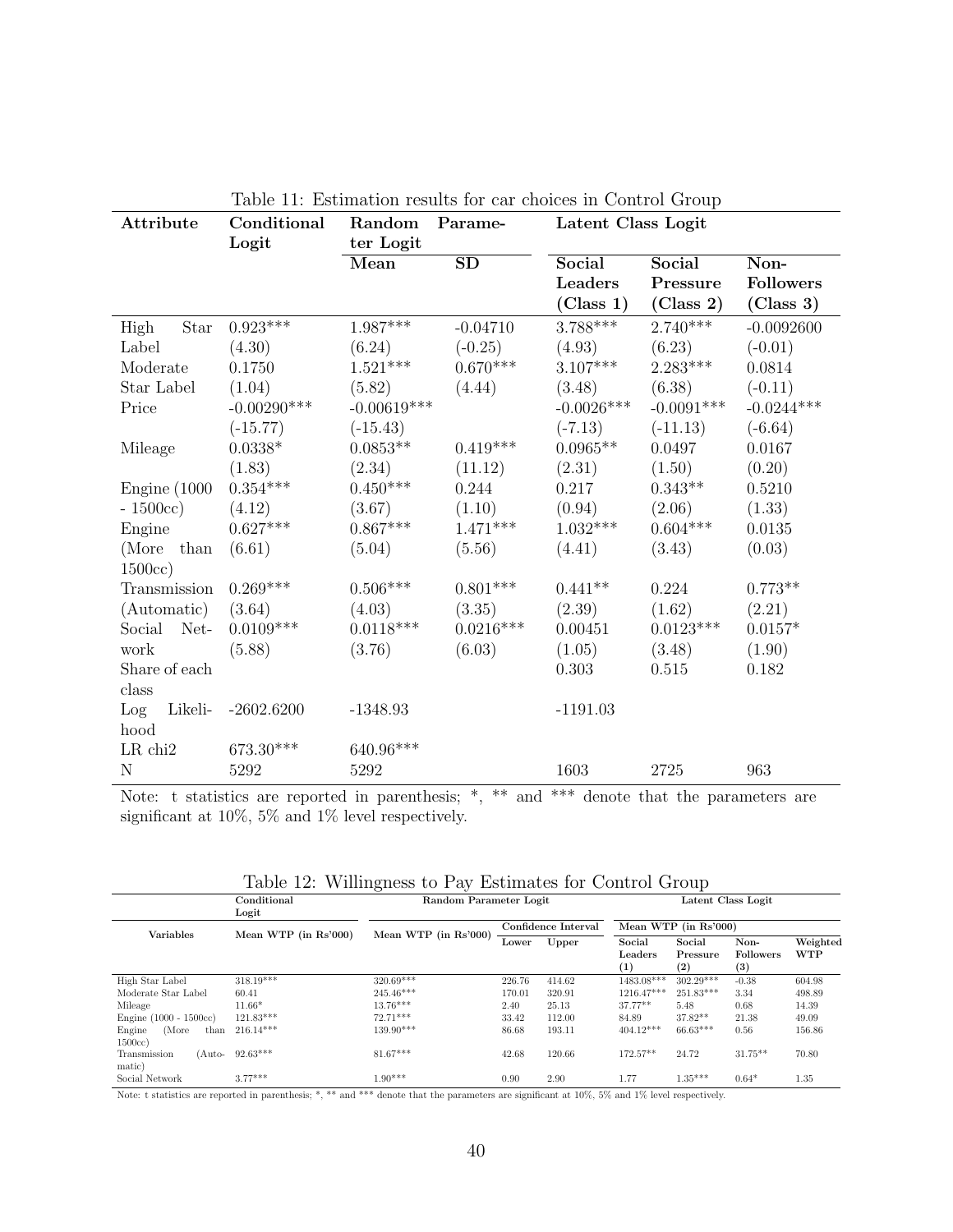| Attribute           | Conditional     | Random          | Parame-                | Latent Class Logit |              |                  |
|---------------------|-----------------|-----------------|------------------------|--------------------|--------------|------------------|
|                     | Logit           | ter Logit       |                        |                    |              |                  |
|                     |                 | Mean            | $\overline{\text{SD}}$ | Social             | Social       | Non-             |
|                     |                 |                 |                        | Leaders            | Pressure     | <b>Followers</b> |
|                     |                 |                 |                        | (Class 1)          | (Class 2)    | (Class 3)        |
| High<br><b>Star</b> | $0.923***$      | $1.987^{***}\;$ | $-0.04710$             | 3.788***           | $2.740***$   | $-0.0092600$     |
| Label               | (4.30)          | (6.24)          | $(-0.25)$              | (4.93)             | (6.23)       | $(-0.01)$        |
| Moderate            | 0.1750          | $1.521***$      | $0.670***$             | $3.107***$         | $2.283***$   | 0.0814           |
| Star Label          | (1.04)          | (5.82)          | (4.44)                 | (3.48)             | (6.38)       | $(-0.11)$        |
| Price               | $-0.00290***$   | $-0.00619***$   |                        | $-0.0026***$       | $-0.0091***$ | $-0.0244***$     |
|                     | $(-15.77)$      | $(-15.43)$      |                        | $(-7.13)$          | $(-11.13)$   | $(-6.64)$        |
| Mileage             | $0.0338*$       | $0.0853**$      | $0.419^{***}\,$        | $0.0965**$         | 0.0497       | 0.0167           |
|                     | (1.83)          | (2.34)          | (11.12)                | (2.31)             | (1.50)       | (0.20)           |
| Engine $(1000)$     | $0.354^{***}\,$ | $0.450***$      | 0.244                  | 0.217              | $0.343**$    | 0.5210           |
| $-1500cc)$          | (4.12)          | (3.67)          | (1.10)                 | (0.94)             | (2.06)       | (1.33)           |
| Engine              | $0.627***$      | $0.867***$      | $1.471***$             | $1.032***$         | $0.604***$   | $0.0135\,$       |
| (More than          | (6.61)          | (5.04)          | (5.56)                 | (4.41)             | (3.43)       | (0.03)           |
| 1500cc)             |                 |                 |                        |                    |              |                  |
| Transmission        | $0.269***$      | $0.506***$      | $0.801***$             | $0.441**$          | 0.224        | $0.773**$        |
| (Automatic)         | (3.64)          | (4.03)          | (3.35)                 | (2.39)             | (1.62)       | (2.21)           |
| Social Net-         | $0.0109***$     | $0.0118***$     | $0.0216***$            | 0.00451            | $0.0123***$  | $0.0157*$        |
| work                | (5.88)          | (3.76)          | (6.03)                 | (1.05)             | (3.48)       | (1.90)           |
| Share of each       |                 |                 |                        | 0.303              | 0.515        | 0.182            |
| class               |                 |                 |                        |                    |              |                  |
| Likeli-<br>Log      | $-2602.6200$    | $-1348.93$      |                        | $-1191.03$         |              |                  |
| hood                |                 |                 |                        |                    |              |                  |
| $LR$ chi $2$        | $673.30***$     | $640.96***$     |                        |                    |              |                  |
| $\mathbf N$         | 5292            | 5292            |                        | 1603               | 2725         | 963              |

Table 11: Estimation results for car choices in Control Group

Note: t statistics are reported in parenthesis; \*, \*\* and \*\*\* denote that the parameters are significant at 10%, 5% and 1% level respectively.

| Table 12: Willingness to Pay Estimates for Control Group |  |  |  |
|----------------------------------------------------------|--|--|--|
|                                                          |  |  |  |

|                                   | Conditional<br>Logit    | $\overline{\phantom{0}}$<br>$\cdot$<br>Random Parameter Logit |                     |        | Latent Class Logit                    |                           |                                              |                        |
|-----------------------------------|-------------------------|---------------------------------------------------------------|---------------------|--------|---------------------------------------|---------------------------|----------------------------------------------|------------------------|
| <b>Variables</b>                  | Mean WTP (in $Rs'000$ ) | Mean WTP (in Rs'000)                                          | Confidence Interval |        | Mean WTP (in Rs'000)                  |                           |                                              |                        |
|                                   |                         |                                                               | Lower               | Upper  | Social<br>Leaders<br>$\left(1\right)$ | Social<br>Pressure<br>(2) | Non-<br><b>Followers</b><br>$\left(3\right)$ | Weighted<br><b>WTP</b> |
| High Star Label                   | 318.19***               | 320.69***                                                     | 226.76              | 414.62 | 1483.08***                            | $302.29***$               | $-0.38$                                      | 604.98                 |
| Moderate Star Label               | 60.41                   | 245.46***                                                     | 170.01              | 320.91 | 1216.47***                            | 251.83***                 | 3.34                                         | 498.89                 |
| Mileage                           | $11.66*$                | $13.76***$                                                    | 2.40                | 25.13  | $37.77**$                             | 5.48                      | 0.68                                         | 14.39                  |
| Engine $(1000 - 1500cc)$          | $121.83***$             | $72.71***$                                                    | 33.42               | 112.00 | 84.89                                 | $37.82**$                 | 21.38                                        | 49.09                  |
| (More<br>Engine<br>than<br>1500cc | $216.14***$             | 139.90***                                                     | 86.68               | 193.11 | $404.12***$                           | $66.63***$                | 0.56                                         | 156.86                 |
| Transmission<br>(Auto-<br>matic)  | $92.63***$              | $81.67***$                                                    | 42.68               | 120.66 | 172.57**                              | 24.72                     | $31.75**$                                    | 70.80                  |
| Social Network                    | $3.77***$               | $1.90***$                                                     | 0.90                | 2.90   | 1.77                                  | $1.35***$                 | $0.64*$                                      | 1.35                   |

Note: t statistics are reported in parenthesis; \*, \*\* and \*\*\* denote that the parameters are significant at 10%, 5% and 1% level respectively.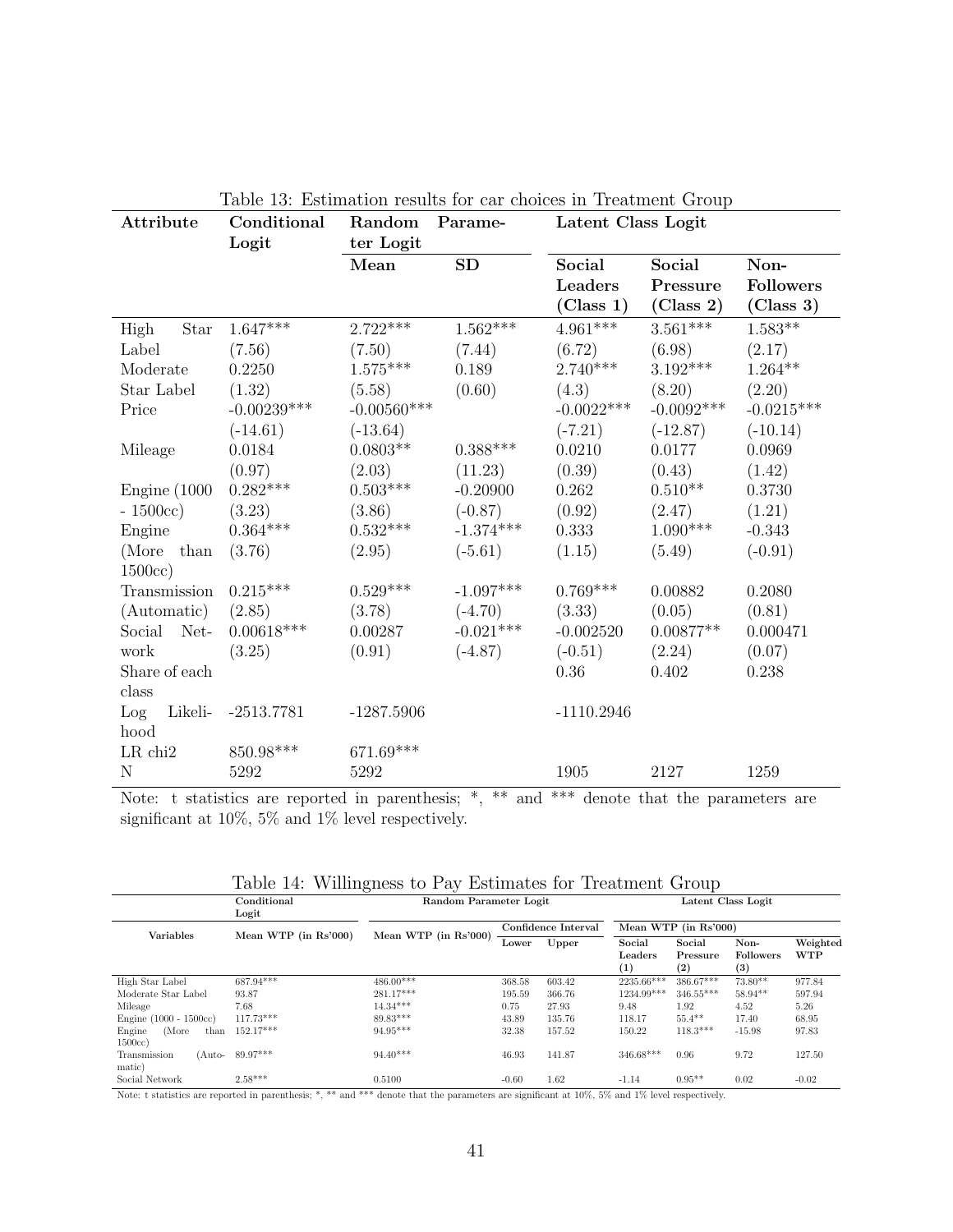| Attribute           | Conditional   | Random            | Parame-     | on results for car enolees in rrequineme eroup<br>Latent Class Logit |                                 |                                       |  |  |
|---------------------|---------------|-------------------|-------------|----------------------------------------------------------------------|---------------------------------|---------------------------------------|--|--|
|                     | Logit         | ter Logit<br>Mean | SD          | Social<br>Leaders<br>(Class 1)                                       | Social<br>Pressure<br>(Class 2) | Non-<br><b>Followers</b><br>(Class 3) |  |  |
| High<br><b>Star</b> | $1.647***$    | $2.722***$        | $1.562***$  | $4.961***$                                                           | $3.561***$                      | $1.583**$                             |  |  |
| Label               | (7.56)        | (7.50)            | (7.44)      | (6.72)                                                               | (6.98)                          | (2.17)                                |  |  |
| Moderate            | 0.2250        | $1.575***$        | 0.189       | $2.740***$                                                           | $3.192***$                      | $1.264**$                             |  |  |
| Star Label          | (1.32)        | (5.58)            | (0.60)      | (4.3)                                                                | (8.20)                          | (2.20)                                |  |  |
| Price               | $-0.00239***$ | $-0.00560***$     |             | $-0.0022***$                                                         | $-0.0092***$                    | $-0.0215***$                          |  |  |
|                     | $(-14.61)$    | $(-13.64)$        |             | $(-7.21)$                                                            | $(-12.87)$                      | $(-10.14)$                            |  |  |
| Mileage             | 0.0184        | $0.0803**$        | $0.388***$  | 0.0210                                                               | 0.0177                          | 0.0969                                |  |  |
|                     | (0.97)        | (2.03)            | (11.23)     | (0.39)                                                               | (0.43)                          | (1.42)                                |  |  |
| Engine $(1000)$     | $0.282***$    | $0.503***$        | $-0.20900$  | 0.262                                                                | $0.510**$                       | 0.3730                                |  |  |
| $-1500cc)$          | (3.23)        | (3.86)            | $(-0.87)$   | (0.92)                                                               | (2.47)                          | (1.21)                                |  |  |
| Engine              | $0.364***$    | $0.532***$        | $-1.374***$ | 0.333                                                                | $1.090***$                      | $-0.343$                              |  |  |
| (More than          | (3.76)        | (2.95)            | $(-5.61)$   | (1.15)                                                               | (5.49)                          | $(-0.91)$                             |  |  |
| 1500cc)             |               |                   |             |                                                                      |                                 |                                       |  |  |
| Transmission        | $0.215***$    | $0.529***$        | $-1.097***$ | $0.769***$                                                           | 0.00882                         | 0.2080                                |  |  |
| (Automatic)         | (2.85)        | (3.78)            | $(-4.70)$   | (3.33)                                                               | (0.05)                          | (0.81)                                |  |  |
| Social Net-         | $0.00618***$  | 0.00287           | $-0.021***$ | $-0.002520$                                                          | $0.00877**$                     | 0.000471                              |  |  |
| work                | (3.25)        | (0.91)            | $(-4.87)$   | $(-0.51)$                                                            | (2.24)                          | (0.07)                                |  |  |
| Share of each       |               |                   |             | 0.36                                                                 | 0.402                           | 0.238                                 |  |  |
| class               |               |                   |             |                                                                      |                                 |                                       |  |  |
| Likeli-<br>Log      | $-2513.7781$  | $-1287.5906$      |             | $-1110.2946$                                                         |                                 |                                       |  |  |
| hood                |               |                   |             |                                                                      |                                 |                                       |  |  |
| $LR$ chi $2$        | $850.98***$   | $671.69***$       |             |                                                                      |                                 |                                       |  |  |
| $\mathbf N$         | 5292          | 5292              |             | 1905                                                                 | 2127                            | 1259                                  |  |  |

Table 13: Estimation results for car choices in Treatment Group

Note: t statistics are reported in parenthesis; \*, \*\* and \*\*\* denote that the parameters are significant at 10%, 5% and 1% level respectively.

| Table 14: Willingness to Pay Estimates for Treatment Group |  |  |  |
|------------------------------------------------------------|--|--|--|
|                                                            |  |  |  |

|                                   | Conditional<br>Logit    | $\checkmark$<br>$\cdot$<br>Random Parameter Logit |                     |        | л.<br>Latent Class Logit              |                           |                                 |                        |
|-----------------------------------|-------------------------|---------------------------------------------------|---------------------|--------|---------------------------------------|---------------------------|---------------------------------|------------------------|
| <b>Variables</b>                  | Mean WTP (in $Rs'000$ ) | Mean WTP (in Rs'000)                              | Confidence Interval |        | Mean WTP (in Rs'000)                  |                           |                                 |                        |
|                                   |                         |                                                   | Lower               | Upper  | Social<br>Leaders<br>$\left(1\right)$ | Social<br>Pressure<br>(2) | Non-<br><b>Followers</b><br>(3) | Weighted<br><b>WTP</b> |
| High Star Label                   | 687.94***               | 486.00***                                         | 368.58              | 603.42 | 2235.66***                            | 386.67***                 | $73.80**$                       | 977.84                 |
| Moderate Star Label               | 93.87                   | 281.17***                                         | 195.59              | 366.76 | 1234.99***                            | $346.55***$               | $58.94**$                       | 597.94                 |
| Mileage                           | 7.68                    | $14.34***$                                        | 0.75                | 27.93  | 9.48                                  | 1.92                      | 4.52                            | 5.26                   |
| Engine $(1000 - 1500cc)$          | 117.73***               | 89.83***                                          | 43.89               | 135.76 | 118.17                                | $55.4**$                  | 17.40                           | 68.95                  |
| (More<br>Engine<br>than<br>1500cc | 152.17***               | 94.95***                                          | 32.38               | 157.52 | 150.22                                | $118.3***$                | $-15.98$                        | 97.83                  |
| Transmission<br>(Auto-<br>matic)  | 89.97***                | $94.40***$                                        | 46.93               | 141.87 | 346.68***                             | 0.96                      | 9.72                            | 127.50                 |
| Social Network                    | $2.58***$               | 0.5100                                            | $-0.60$             | 1.62   | $-1.14$                               | $0.95**$                  | 0.02                            | $-0.02$                |

Note: t statistics are reported in parenthesis; \*, \*\* and \*\*\* denote that the parameters are significant at 10%, 5% and 1% level respectively.